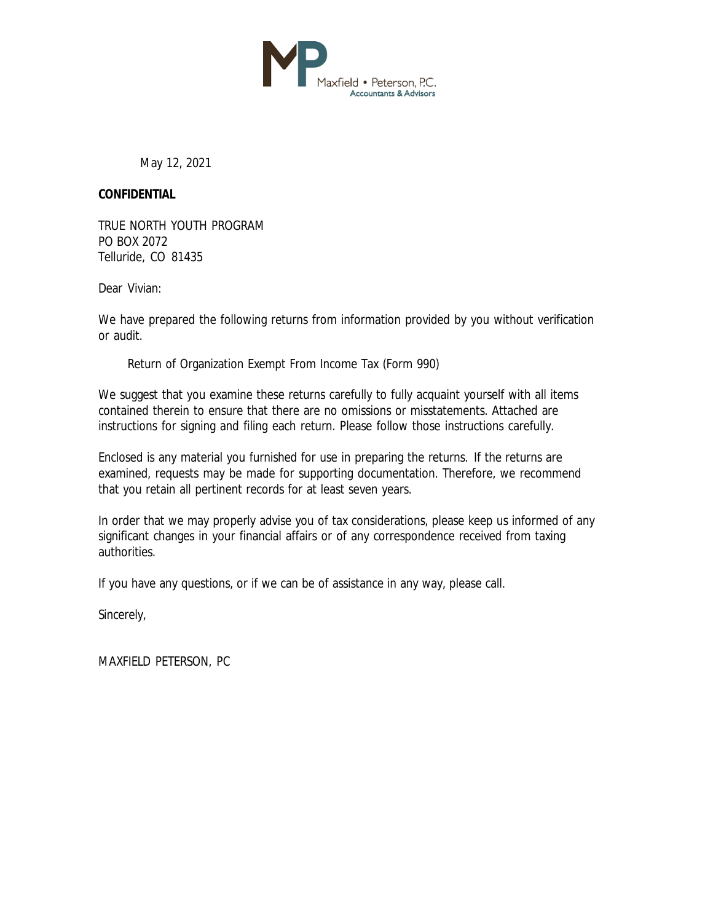

May 12, 2021

**CONFIDENTIAL**

TRUE NORTH YOUTH PROGRAM PO BOX 2072 Telluride, CO 81435

Dear Vivian:

We have prepared the following returns from information provided by you without verification or audit.

Return of Organization Exempt From Income Tax (Form 990)

We suggest that you examine these returns carefully to fully acquaint yourself with all items contained therein to ensure that there are no omissions or misstatements. Attached are instructions for signing and filing each return. Please follow those instructions carefully.

Enclosed is any material you furnished for use in preparing the returns. If the returns are examined, requests may be made for supporting documentation. Therefore, we recommend that you retain all pertinent records for at least seven years.

In order that we may properly advise you of tax considerations, please keep us informed of any significant changes in your financial affairs or of any correspondence received from taxing authorities.

If you have any questions, or if we can be of assistance in any way, please call.

Sincerely,

MAXFIELD PETERSON, PC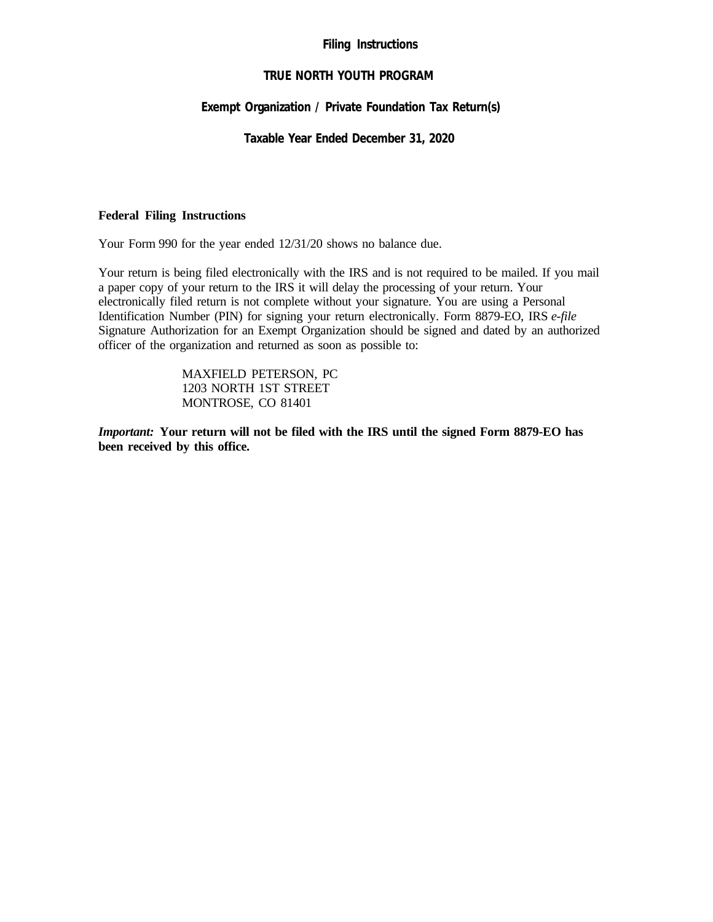### **Filing Instructions**

## **TRUE NORTH YOUTH PROGRAM**

## **Exempt Organization / Private Foundation Tax Return(s)**

**Taxable Year Ended December 31, 2020**

### **Federal Filing Instructions**

Your Form 990 for the year ended 12/31/20 shows no balance due.

Your return is being filed electronically with the IRS and is not required to be mailed. If you mail a paper copy of your return to the IRS it will delay the processing of your return. Your electronically filed return is not complete without your signature. You are using a Personal Identification Number (PIN) for signing your return electronically. Form 8879-EO, IRS *e-file* Signature Authorization for an Exempt Organization should be signed and dated by an authorized officer of the organization and returned as soon as possible to:

> MAXFIELD PETERSON, PC 1203 NORTH 1ST STREET MONTROSE, CO 81401

*Important:* **Your return will not be filed with the IRS until the signed Form 8879-EO has been received by this office.**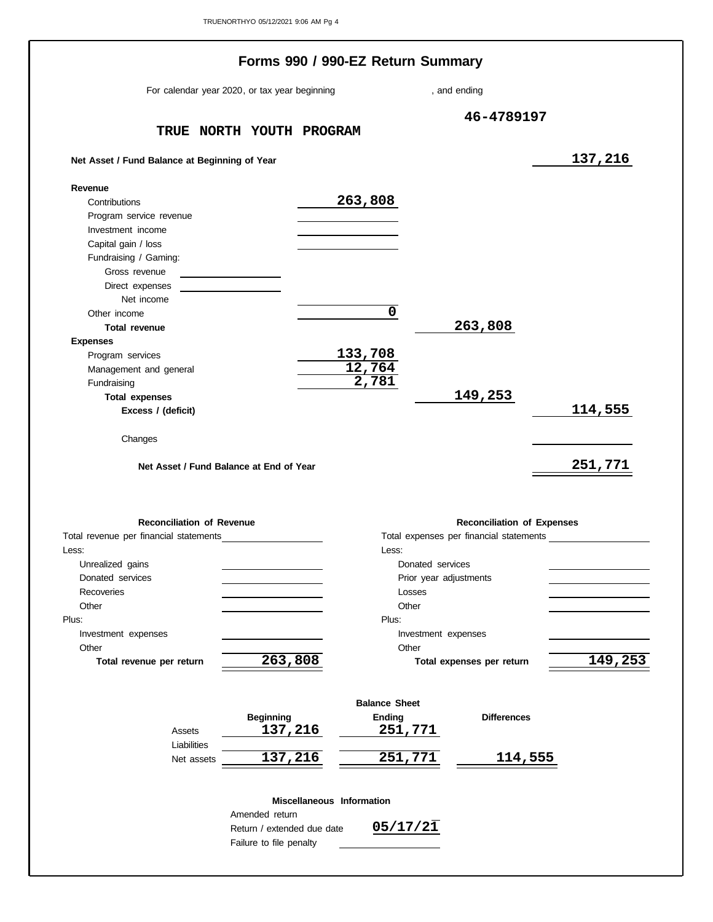|                                                          | Forms 990 / 990-EZ Return Summary             |                      |                                         |                |
|----------------------------------------------------------|-----------------------------------------------|----------------------|-----------------------------------------|----------------|
|                                                          | For calendar year 2020, or tax year beginning |                      | , and ending                            |                |
|                                                          | TRUE NORTH YOUTH PROGRAM                      |                      | 46-4789197                              |                |
| Net Asset / Fund Balance at Beginning of Year            |                                               |                      |                                         | 137,216        |
| Revenue                                                  |                                               |                      |                                         |                |
| Contributions                                            |                                               | 263,808              |                                         |                |
| Program service revenue                                  |                                               |                      |                                         |                |
| Investment income                                        |                                               |                      |                                         |                |
| Capital gain / loss                                      |                                               |                      |                                         |                |
| Fundraising / Gaming:                                    |                                               |                      |                                         |                |
| Gross revenue                                            |                                               |                      |                                         |                |
| Direct expenses                                          |                                               |                      |                                         |                |
| Net income                                               |                                               |                      |                                         |                |
| Other income                                             |                                               | $\mathbf 0$          |                                         |                |
| Total revenue                                            |                                               |                      | 263,808                                 |                |
| <b>Expenses</b>                                          |                                               |                      |                                         |                |
| Program services                                         |                                               | 133,708<br>12,764    |                                         |                |
| Management and general                                   |                                               |                      |                                         |                |
| Fundraising                                              |                                               | $\overline{2,781}$   |                                         |                |
| <b>Total expenses</b>                                    |                                               |                      | 149,253                                 |                |
| Excess / (deficit)                                       |                                               |                      |                                         | 114,555        |
| Changes                                                  |                                               |                      |                                         |                |
|                                                          | Net Asset / Fund Balance at End of Year       |                      |                                         | <u>251,771</u> |
| <b>Reconciliation of Revenue</b>                         |                                               |                      |                                         |                |
|                                                          |                                               |                      | <b>Reconciliation of Expenses</b>       |                |
|                                                          |                                               | Less:                | Total expenses per financial statements |                |
|                                                          |                                               | Donated services     |                                         |                |
| Unrealized gains<br>Donated services                     |                                               |                      |                                         |                |
| Recoveries                                               |                                               | Losses               | Prior year adjustments                  |                |
| Other                                                    |                                               | Other                |                                         |                |
|                                                          |                                               | Plus:                |                                         |                |
|                                                          |                                               |                      |                                         |                |
| Investment expenses                                      |                                               | Other                | Investment expenses                     |                |
| Other<br>Total revenue per return                        | 263,808                                       |                      | Total expenses per return               |                |
|                                                          |                                               |                      |                                         |                |
|                                                          |                                               | <b>Balance Sheet</b> |                                         |                |
|                                                          | <b>Beginning</b>                              | Ending               | <b>Differences</b>                      |                |
| Assets                                                   | <u>137,216</u>                                | 251,771              |                                         |                |
| Liabilities<br>Net assets                                | 137,216                                       | $\overline{251,771}$ | 114,555                                 |                |
|                                                          |                                               |                      |                                         |                |
|                                                          | Miscellaneous Information                     |                      |                                         |                |
| Total revenue per financial statements<br>Less:<br>Plus: | Amended return<br>Return / extended due date  | 05/17/21             |                                         | 149, 253       |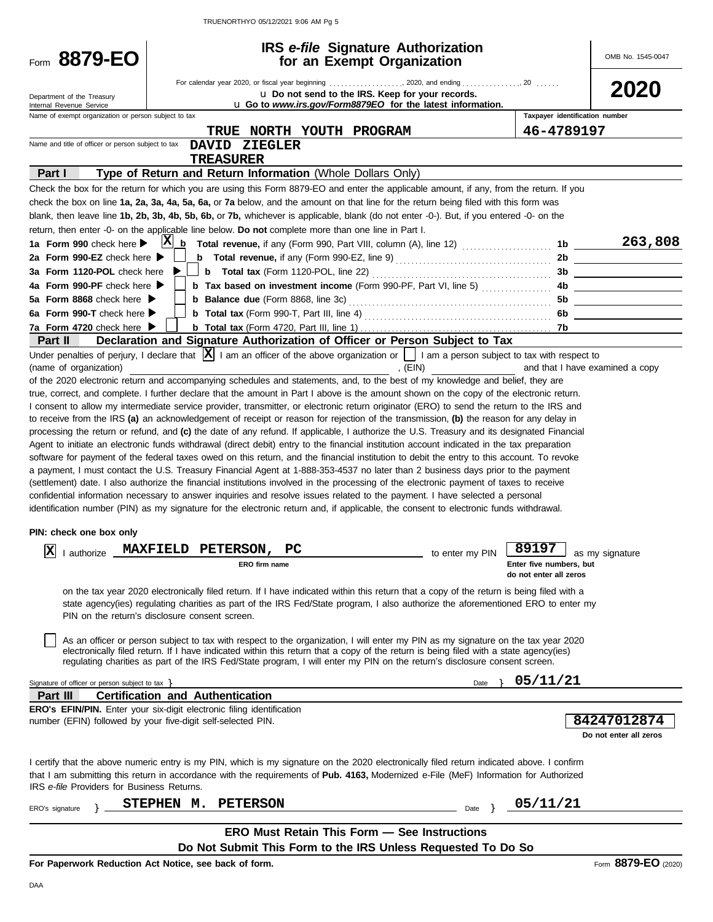| <b>IRS</b> e-file Signature Authorization<br>Form 8879-EO<br>for an Exempt Organization                                                                                                                                                                                                                                                                                                                                                                                                                                                                                                                                                                                                                                                                                                                                                                                                                                                                                                                                                                                                                                                                                                                                                                                                                                                                                                                                                    | OMB No. 1545-0047                                |
|--------------------------------------------------------------------------------------------------------------------------------------------------------------------------------------------------------------------------------------------------------------------------------------------------------------------------------------------------------------------------------------------------------------------------------------------------------------------------------------------------------------------------------------------------------------------------------------------------------------------------------------------------------------------------------------------------------------------------------------------------------------------------------------------------------------------------------------------------------------------------------------------------------------------------------------------------------------------------------------------------------------------------------------------------------------------------------------------------------------------------------------------------------------------------------------------------------------------------------------------------------------------------------------------------------------------------------------------------------------------------------------------------------------------------------------------|--------------------------------------------------|
| u Do not send to the IRS. Keep for your records.<br>Department of the Treasury<br>u Go to www.irs.gov/Form8879EO for the latest information.<br>Internal Revenue Service                                                                                                                                                                                                                                                                                                                                                                                                                                                                                                                                                                                                                                                                                                                                                                                                                                                                                                                                                                                                                                                                                                                                                                                                                                                                   | 2020                                             |
| <b>Taxpaver identification number</b><br>Name of exempt organization or person subject to tax<br>46-4789197<br>TRUE NORTH YOUTH PROGRAM                                                                                                                                                                                                                                                                                                                                                                                                                                                                                                                                                                                                                                                                                                                                                                                                                                                                                                                                                                                                                                                                                                                                                                                                                                                                                                    |                                                  |
| Name and title of officer or person subject to tax<br>DAVID ZIEGLER                                                                                                                                                                                                                                                                                                                                                                                                                                                                                                                                                                                                                                                                                                                                                                                                                                                                                                                                                                                                                                                                                                                                                                                                                                                                                                                                                                        |                                                  |
| <b>TREASURER</b>                                                                                                                                                                                                                                                                                                                                                                                                                                                                                                                                                                                                                                                                                                                                                                                                                                                                                                                                                                                                                                                                                                                                                                                                                                                                                                                                                                                                                           |                                                  |
| Type of Return and Return Information (Whole Dollars Only)<br>Part I                                                                                                                                                                                                                                                                                                                                                                                                                                                                                                                                                                                                                                                                                                                                                                                                                                                                                                                                                                                                                                                                                                                                                                                                                                                                                                                                                                       |                                                  |
| Check the box for the return for which you are using this Form 8879-EO and enter the applicable amount, if any, from the return. If you<br>check the box on line 1a, 2a, 3a, 4a, 5a, 6a, or 7a below, and the amount on that line for the return being filed with this form was                                                                                                                                                                                                                                                                                                                                                                                                                                                                                                                                                                                                                                                                                                                                                                                                                                                                                                                                                                                                                                                                                                                                                            |                                                  |
| blank, then leave line 1b, 2b, 3b, 4b, 5b, 6b, or 7b, whichever is applicable, blank (do not enter -0-). But, if you entered -0- on the                                                                                                                                                                                                                                                                                                                                                                                                                                                                                                                                                                                                                                                                                                                                                                                                                                                                                                                                                                                                                                                                                                                                                                                                                                                                                                    |                                                  |
| return, then enter -0- on the applicable line below. Do not complete more than one line in Part I.                                                                                                                                                                                                                                                                                                                                                                                                                                                                                                                                                                                                                                                                                                                                                                                                                                                                                                                                                                                                                                                                                                                                                                                                                                                                                                                                         |                                                  |
| $ {\bf X} $<br>1a Form 990 check here $\blacktriangleright$<br>1b                                                                                                                                                                                                                                                                                                                                                                                                                                                                                                                                                                                                                                                                                                                                                                                                                                                                                                                                                                                                                                                                                                                                                                                                                                                                                                                                                                          | 263,808                                          |
| 2a Form 990-EZ check here ▶<br><b>b</b> Total revenue, if any (Form 990-EZ, line 9) $\ldots$ $\ldots$ $\ldots$ $\ldots$ $\ldots$ $\ldots$<br>2b                                                                                                                                                                                                                                                                                                                                                                                                                                                                                                                                                                                                                                                                                                                                                                                                                                                                                                                                                                                                                                                                                                                                                                                                                                                                                            |                                                  |
| 3a Form 1120-POL check here<br>3b                                                                                                                                                                                                                                                                                                                                                                                                                                                                                                                                                                                                                                                                                                                                                                                                                                                                                                                                                                                                                                                                                                                                                                                                                                                                                                                                                                                                          |                                                  |
| <b>b</b> Tax based on investment income (Form 990-PF, Part VI, line 5)<br>4a Form 990-PF check here<br>4b.                                                                                                                                                                                                                                                                                                                                                                                                                                                                                                                                                                                                                                                                                                                                                                                                                                                                                                                                                                                                                                                                                                                                                                                                                                                                                                                                 |                                                  |
| <b>b</b> Balance due (Form 8868, line 3c)<br>5a Form 8868 check here $\blacktriangleright$<br>5b                                                                                                                                                                                                                                                                                                                                                                                                                                                                                                                                                                                                                                                                                                                                                                                                                                                                                                                                                                                                                                                                                                                                                                                                                                                                                                                                           | the control of the control of the control of the |
| 6a Form 990-T check here ▶<br>6b.                                                                                                                                                                                                                                                                                                                                                                                                                                                                                                                                                                                                                                                                                                                                                                                                                                                                                                                                                                                                                                                                                                                                                                                                                                                                                                                                                                                                          |                                                  |
| 7a Form 4720 check here ▶                                                                                                                                                                                                                                                                                                                                                                                                                                                                                                                                                                                                                                                                                                                                                                                                                                                                                                                                                                                                                                                                                                                                                                                                                                                                                                                                                                                                                  |                                                  |
| Declaration and Signature Authorization of Officer or Person Subject to Tax<br>Part II                                                                                                                                                                                                                                                                                                                                                                                                                                                                                                                                                                                                                                                                                                                                                                                                                                                                                                                                                                                                                                                                                                                                                                                                                                                                                                                                                     |                                                  |
| Under penalties of perjury, I declare that $ \mathbf{X} $ I am an officer of the above organization or $  \cdot  $ I am a person subject to tax with respect to<br>and that I have examined a copy                                                                                                                                                                                                                                                                                                                                                                                                                                                                                                                                                                                                                                                                                                                                                                                                                                                                                                                                                                                                                                                                                                                                                                                                                                         |                                                  |
| I consent to allow my intermediate service provider, transmitter, or electronic return originator (ERO) to send the return to the IRS and<br>to receive from the IRS (a) an acknowledgement of receipt or reason for rejection of the transmission, (b) the reason for any delay in<br>processing the return or refund, and (c) the date of any refund. If applicable, I authorize the U.S. Treasury and its designated Financial<br>Agent to initiate an electronic funds withdrawal (direct debit) entry to the financial institution account indicated in the tax preparation<br>software for payment of the federal taxes owed on this return, and the financial institution to debit the entry to this account. To revoke<br>a payment, I must contact the U.S. Treasury Financial Agent at 1-888-353-4537 no later than 2 business days prior to the payment<br>(settlement) date. I also authorize the financial institutions involved in the processing of the electronic payment of taxes to receive<br>confidential information necessary to answer inquiries and resolve issues related to the payment. I have selected a personal<br>identification number (PIN) as my signature for the electronic return and, if applicable, the consent to electronic funds withdrawal.<br>PIN: check one box only<br>89197<br>MAXFIELD PETERSON,<br>Iх<br>РC<br>I authorize<br>to enter my PIN<br>Enter five numbers, but<br>ERO firm name | as my signature                                  |
| do not enter all zeros<br>on the tax year 2020 electronically filed return. If I have indicated within this return that a copy of the return is being filed with a<br>state agency(ies) regulating charities as part of the IRS Fed/State program, I also authorize the aforementioned ERO to enter my<br>PIN on the return's disclosure consent screen.                                                                                                                                                                                                                                                                                                                                                                                                                                                                                                                                                                                                                                                                                                                                                                                                                                                                                                                                                                                                                                                                                   |                                                  |
| As an officer or person subject to tax with respect to the organization, I will enter my PIN as my signature on the tax year 2020<br>electronically filed return. If I have indicated within this return that a copy of the return is being filed with a state agency(ies)<br>regulating charities as part of the IRS Fed/State program, I will enter my PIN on the return's disclosure consent screen.                                                                                                                                                                                                                                                                                                                                                                                                                                                                                                                                                                                                                                                                                                                                                                                                                                                                                                                                                                                                                                    |                                                  |
| 05/11/21<br>Signature of officer or person subject to tax $\}$<br>Date                                                                                                                                                                                                                                                                                                                                                                                                                                                                                                                                                                                                                                                                                                                                                                                                                                                                                                                                                                                                                                                                                                                                                                                                                                                                                                                                                                     |                                                  |
| <b>Certification and Authentication</b><br>Part III                                                                                                                                                                                                                                                                                                                                                                                                                                                                                                                                                                                                                                                                                                                                                                                                                                                                                                                                                                                                                                                                                                                                                                                                                                                                                                                                                                                        |                                                  |
| <b>ERO's EFIN/PIN.</b> Enter your six-digit electronic filing identification                                                                                                                                                                                                                                                                                                                                                                                                                                                                                                                                                                                                                                                                                                                                                                                                                                                                                                                                                                                                                                                                                                                                                                                                                                                                                                                                                               |                                                  |
| number (EFIN) followed by your five-digit self-selected PIN.                                                                                                                                                                                                                                                                                                                                                                                                                                                                                                                                                                                                                                                                                                                                                                                                                                                                                                                                                                                                                                                                                                                                                                                                                                                                                                                                                                               | 84247012874<br>Do not enter all zeros            |
| I certify that the above numeric entry is my PIN, which is my signature on the 2020 electronically filed return indicated above. I confirm<br>that I am submitting this return in accordance with the requirements of Pub. 4163, Modernized e-File (MeF) Information for Authorized<br>IRS e-file Providers for Business Returns.                                                                                                                                                                                                                                                                                                                                                                                                                                                                                                                                                                                                                                                                                                                                                                                                                                                                                                                                                                                                                                                                                                          |                                                  |
| 05/11/21<br>STEPHEN M.<br><b>PETERSON</b><br>Date<br>ERO's signature                                                                                                                                                                                                                                                                                                                                                                                                                                                                                                                                                                                                                                                                                                                                                                                                                                                                                                                                                                                                                                                                                                                                                                                                                                                                                                                                                                       |                                                  |
|                                                                                                                                                                                                                                                                                                                                                                                                                                                                                                                                                                                                                                                                                                                                                                                                                                                                                                                                                                                                                                                                                                                                                                                                                                                                                                                                                                                                                                            |                                                  |
| <b>ERO Must Retain This Form - See Instructions</b><br>Do Not Submit This Form to the IRS Unless Requested To Do So                                                                                                                                                                                                                                                                                                                                                                                                                                                                                                                                                                                                                                                                                                                                                                                                                                                                                                                                                                                                                                                                                                                                                                                                                                                                                                                        |                                                  |

**For Paperwork Reduction Act Notice, see back of form.**

Form **8879-EO** (2020)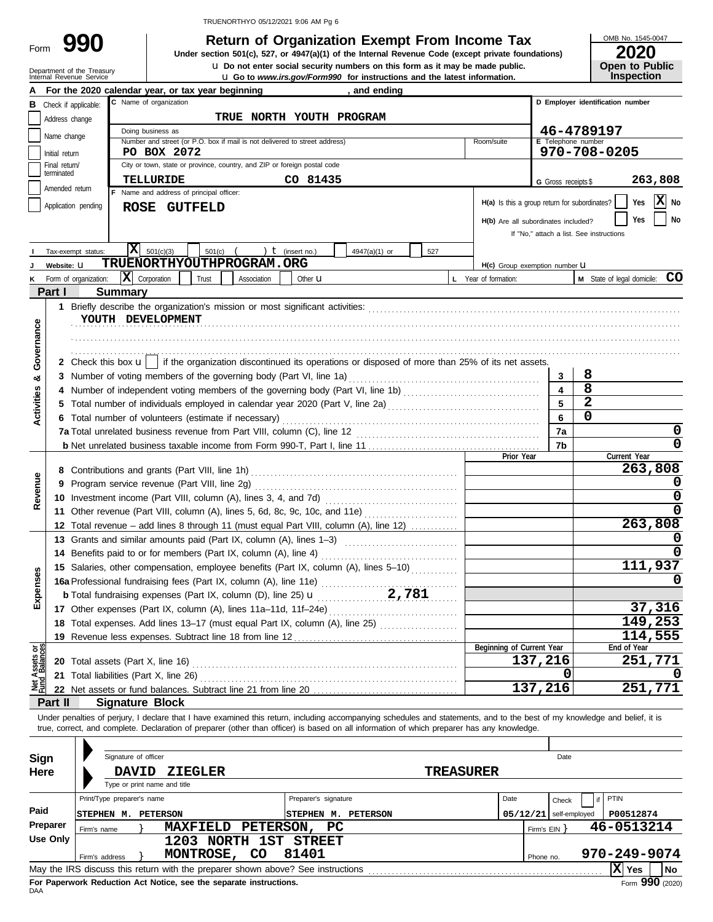| Form | $\bullet$ to $\bullet$<br>۱ |
|------|-----------------------------|
|      |                             |

## **Return of Organization Exempt From Income Tax**

**Under section 501(c), 527, or 4947(a)(1) of the Internal Revenue Code (except private foundations)**

OMB No. 1545-0047

| <b>u</b> Do not enter social security numbers on this form as it may be made public.<br>Department of the Treasury<br><b>u</b> Go to www.irs.gov/Form990 for instructions and the latest information.<br>Internal Revenue Service<br>For the 2020 calendar year, or tax year beginning<br>, and ending<br>C Name of organization<br><b>B</b> Check if applicable:<br>TRUE NORTH YOUTH PROGRAM<br>Address change<br>Doing business as<br>Name change<br>Number and street (or P.O. box if mail is not delivered to street address)<br>PO BOX 2072<br>Initial return<br>City or town, state or province, country, and ZIP or foreign postal code<br>Final return/<br>terminated<br>CO 81435<br><b>TELLURIDE</b><br>Amended return<br>F Name and address of principal officer:<br>Application pending<br>ROSE GUTFELD<br>X<br>501(c)(3)<br>501(c)<br>) $t$ (insert no.)<br>527<br>Tax-exempt status:<br>4947(a)(1) or<br>TRUENORTHYOUTHPROGRAM.ORG<br>Website: U<br>$ \mathbf{X} $ Corporation<br>ĸ<br>Form of organization:<br>Trust<br>Association<br>Other <b>u</b><br>Part I<br><b>Summary</b><br>YOUTH DEVELOPMENT<br>Governance<br>2 Check this box $\mathbf{u}$   if the organization discontinued its operations or disposed of more than 25% of its net assets.<br>ಯ<br>Activities<br>6 Total number of volunteers (estimate if necessary)<br>Revenue<br>9 Program service revenue (Part VIII, line 2g)<br>10 Investment income (Part VIII, column (A), lines 3, 4, and 7d)<br>11 Other revenue (Part VIII, column (A), lines 5, 6d, 8c, 9c, 10c, and 11e)<br>12 Total revenue - add lines 8 through 11 (must equal Part VIII, column (A), line 12)<br>13 Grants and similar amounts paid (Part IX, column (A), lines 1-3)<br>15 Salaries, other compensation, employee benefits (Part IX, column (A), lines 5-10)<br>Ŵ<br>Expense<br>15 Salaties, other components of the Carl IX, column (A), line 11e)<br>16a Professional fundraising fees (Part IX, column (A), line 25) 11 2,781<br>17 Other expenses (Part IX, column (A), lines 11a-11d, 11f-24e)<br>18 Total expenses. Add lines 13-17 (must equal Part IX, column (A), line 25) [<br>19 Revenue less expenses. Subtract line 18 from line 12<br><b>Assets or</b><br>d Balances<br>20 Total assets (Part X, line 16)<br>21 Total liabilities (Part X, line 26)<br>)<br>이번<br>이번<br>22 Net assets or fund balances. Subtract line 21 from line 20<br>Part II<br><b>Signature Block</b><br>Under penalties of perjury, I declare that I have examined this return, including accompanying schedules and statements, and to the best of my knowledge and belief, it is<br>true, correct, and complete. Declaration of preparer (other than officer) is based on all information of which preparer has any knowledge.<br>Signature of officer<br>Sign<br>Here<br><b>DAVID</b><br><b>ZIEGLER</b><br>Type or print name and title<br>Print/Type preparer's name<br>Preparer's signature<br>Paid<br>STEPHEN M. PETERSON<br>STEPHEN M. PETERSON | Under section 501(c), 527, or 4947(a)(1) of the Internal Revenue Code (except private foundations) |                                               | ZUZU                                    |
|--------------------------------------------------------------------------------------------------------------------------------------------------------------------------------------------------------------------------------------------------------------------------------------------------------------------------------------------------------------------------------------------------------------------------------------------------------------------------------------------------------------------------------------------------------------------------------------------------------------------------------------------------------------------------------------------------------------------------------------------------------------------------------------------------------------------------------------------------------------------------------------------------------------------------------------------------------------------------------------------------------------------------------------------------------------------------------------------------------------------------------------------------------------------------------------------------------------------------------------------------------------------------------------------------------------------------------------------------------------------------------------------------------------------------------------------------------------------------------------------------------------------------------------------------------------------------------------------------------------------------------------------------------------------------------------------------------------------------------------------------------------------------------------------------------------------------------------------------------------------------------------------------------------------------------------------------------------------------------------------------------------------------------------------------------------------------------------------------------------------------------------------------------------------------------------------------------------------------------------------------------------------------------------------------------------------------------------------------------------------------------------------------------------------------------------------------------------------------------------------------------------------------------------------------------------------------------------------------------------------------------------------------------------------------------------------------------------------------------------------------------------------------------------------------------------------------------------------------------------------------------------------------------------------------------------------------------------------------------------------------------|----------------------------------------------------------------------------------------------------|-----------------------------------------------|-----------------------------------------|
|                                                                                                                                                                                                                                                                                                                                                                                                                                                                                                                                                                                                                                                                                                                                                                                                                                                                                                                                                                                                                                                                                                                                                                                                                                                                                                                                                                                                                                                                                                                                                                                                                                                                                                                                                                                                                                                                                                                                                                                                                                                                                                                                                                                                                                                                                                                                                                                                                                                                                                                                                                                                                                                                                                                                                                                                                                                                                                                                                                                                        |                                                                                                    |                                               | <b>Open to Public</b>                   |
|                                                                                                                                                                                                                                                                                                                                                                                                                                                                                                                                                                                                                                                                                                                                                                                                                                                                                                                                                                                                                                                                                                                                                                                                                                                                                                                                                                                                                                                                                                                                                                                                                                                                                                                                                                                                                                                                                                                                                                                                                                                                                                                                                                                                                                                                                                                                                                                                                                                                                                                                                                                                                                                                                                                                                                                                                                                                                                                                                                                                        |                                                                                                    |                                               | <b>Inspection</b>                       |
|                                                                                                                                                                                                                                                                                                                                                                                                                                                                                                                                                                                                                                                                                                                                                                                                                                                                                                                                                                                                                                                                                                                                                                                                                                                                                                                                                                                                                                                                                                                                                                                                                                                                                                                                                                                                                                                                                                                                                                                                                                                                                                                                                                                                                                                                                                                                                                                                                                                                                                                                                                                                                                                                                                                                                                                                                                                                                                                                                                                                        |                                                                                                    |                                               |                                         |
|                                                                                                                                                                                                                                                                                                                                                                                                                                                                                                                                                                                                                                                                                                                                                                                                                                                                                                                                                                                                                                                                                                                                                                                                                                                                                                                                                                                                                                                                                                                                                                                                                                                                                                                                                                                                                                                                                                                                                                                                                                                                                                                                                                                                                                                                                                                                                                                                                                                                                                                                                                                                                                                                                                                                                                                                                                                                                                                                                                                                        |                                                                                                    |                                               | D Employer identification number        |
|                                                                                                                                                                                                                                                                                                                                                                                                                                                                                                                                                                                                                                                                                                                                                                                                                                                                                                                                                                                                                                                                                                                                                                                                                                                                                                                                                                                                                                                                                                                                                                                                                                                                                                                                                                                                                                                                                                                                                                                                                                                                                                                                                                                                                                                                                                                                                                                                                                                                                                                                                                                                                                                                                                                                                                                                                                                                                                                                                                                                        |                                                                                                    |                                               |                                         |
|                                                                                                                                                                                                                                                                                                                                                                                                                                                                                                                                                                                                                                                                                                                                                                                                                                                                                                                                                                                                                                                                                                                                                                                                                                                                                                                                                                                                                                                                                                                                                                                                                                                                                                                                                                                                                                                                                                                                                                                                                                                                                                                                                                                                                                                                                                                                                                                                                                                                                                                                                                                                                                                                                                                                                                                                                                                                                                                                                                                                        |                                                                                                    | 46-4789197                                    |                                         |
|                                                                                                                                                                                                                                                                                                                                                                                                                                                                                                                                                                                                                                                                                                                                                                                                                                                                                                                                                                                                                                                                                                                                                                                                                                                                                                                                                                                                                                                                                                                                                                                                                                                                                                                                                                                                                                                                                                                                                                                                                                                                                                                                                                                                                                                                                                                                                                                                                                                                                                                                                                                                                                                                                                                                                                                                                                                                                                                                                                                                        | Room/suite                                                                                         | E Telephone number                            |                                         |
|                                                                                                                                                                                                                                                                                                                                                                                                                                                                                                                                                                                                                                                                                                                                                                                                                                                                                                                                                                                                                                                                                                                                                                                                                                                                                                                                                                                                                                                                                                                                                                                                                                                                                                                                                                                                                                                                                                                                                                                                                                                                                                                                                                                                                                                                                                                                                                                                                                                                                                                                                                                                                                                                                                                                                                                                                                                                                                                                                                                                        |                                                                                                    |                                               | 970-708-0205                            |
|                                                                                                                                                                                                                                                                                                                                                                                                                                                                                                                                                                                                                                                                                                                                                                                                                                                                                                                                                                                                                                                                                                                                                                                                                                                                                                                                                                                                                                                                                                                                                                                                                                                                                                                                                                                                                                                                                                                                                                                                                                                                                                                                                                                                                                                                                                                                                                                                                                                                                                                                                                                                                                                                                                                                                                                                                                                                                                                                                                                                        |                                                                                                    |                                               |                                         |
|                                                                                                                                                                                                                                                                                                                                                                                                                                                                                                                                                                                                                                                                                                                                                                                                                                                                                                                                                                                                                                                                                                                                                                                                                                                                                                                                                                                                                                                                                                                                                                                                                                                                                                                                                                                                                                                                                                                                                                                                                                                                                                                                                                                                                                                                                                                                                                                                                                                                                                                                                                                                                                                                                                                                                                                                                                                                                                                                                                                                        |                                                                                                    | G Gross receipts \$                           | 263,808                                 |
|                                                                                                                                                                                                                                                                                                                                                                                                                                                                                                                                                                                                                                                                                                                                                                                                                                                                                                                                                                                                                                                                                                                                                                                                                                                                                                                                                                                                                                                                                                                                                                                                                                                                                                                                                                                                                                                                                                                                                                                                                                                                                                                                                                                                                                                                                                                                                                                                                                                                                                                                                                                                                                                                                                                                                                                                                                                                                                                                                                                                        |                                                                                                    |                                               |                                         |
|                                                                                                                                                                                                                                                                                                                                                                                                                                                                                                                                                                                                                                                                                                                                                                                                                                                                                                                                                                                                                                                                                                                                                                                                                                                                                                                                                                                                                                                                                                                                                                                                                                                                                                                                                                                                                                                                                                                                                                                                                                                                                                                                                                                                                                                                                                                                                                                                                                                                                                                                                                                                                                                                                                                                                                                                                                                                                                                                                                                                        |                                                                                                    | H(a) Is this a group return for subordinates? | X No<br>Yes                             |
|                                                                                                                                                                                                                                                                                                                                                                                                                                                                                                                                                                                                                                                                                                                                                                                                                                                                                                                                                                                                                                                                                                                                                                                                                                                                                                                                                                                                                                                                                                                                                                                                                                                                                                                                                                                                                                                                                                                                                                                                                                                                                                                                                                                                                                                                                                                                                                                                                                                                                                                                                                                                                                                                                                                                                                                                                                                                                                                                                                                                        |                                                                                                    | H(b) Are all subordinates included?           | No<br>Yes                               |
|                                                                                                                                                                                                                                                                                                                                                                                                                                                                                                                                                                                                                                                                                                                                                                                                                                                                                                                                                                                                                                                                                                                                                                                                                                                                                                                                                                                                                                                                                                                                                                                                                                                                                                                                                                                                                                                                                                                                                                                                                                                                                                                                                                                                                                                                                                                                                                                                                                                                                                                                                                                                                                                                                                                                                                                                                                                                                                                                                                                                        |                                                                                                    | If "No," attach a list. See instructions      |                                         |
|                                                                                                                                                                                                                                                                                                                                                                                                                                                                                                                                                                                                                                                                                                                                                                                                                                                                                                                                                                                                                                                                                                                                                                                                                                                                                                                                                                                                                                                                                                                                                                                                                                                                                                                                                                                                                                                                                                                                                                                                                                                                                                                                                                                                                                                                                                                                                                                                                                                                                                                                                                                                                                                                                                                                                                                                                                                                                                                                                                                                        |                                                                                                    |                                               |                                         |
|                                                                                                                                                                                                                                                                                                                                                                                                                                                                                                                                                                                                                                                                                                                                                                                                                                                                                                                                                                                                                                                                                                                                                                                                                                                                                                                                                                                                                                                                                                                                                                                                                                                                                                                                                                                                                                                                                                                                                                                                                                                                                                                                                                                                                                                                                                                                                                                                                                                                                                                                                                                                                                                                                                                                                                                                                                                                                                                                                                                                        |                                                                                                    |                                               |                                         |
|                                                                                                                                                                                                                                                                                                                                                                                                                                                                                                                                                                                                                                                                                                                                                                                                                                                                                                                                                                                                                                                                                                                                                                                                                                                                                                                                                                                                                                                                                                                                                                                                                                                                                                                                                                                                                                                                                                                                                                                                                                                                                                                                                                                                                                                                                                                                                                                                                                                                                                                                                                                                                                                                                                                                                                                                                                                                                                                                                                                                        |                                                                                                    | H(c) Group exemption number U                 |                                         |
|                                                                                                                                                                                                                                                                                                                                                                                                                                                                                                                                                                                                                                                                                                                                                                                                                                                                                                                                                                                                                                                                                                                                                                                                                                                                                                                                                                                                                                                                                                                                                                                                                                                                                                                                                                                                                                                                                                                                                                                                                                                                                                                                                                                                                                                                                                                                                                                                                                                                                                                                                                                                                                                                                                                                                                                                                                                                                                                                                                                                        | L Year of formation:                                                                               |                                               | <b>CO</b><br>M State of legal domicile: |
|                                                                                                                                                                                                                                                                                                                                                                                                                                                                                                                                                                                                                                                                                                                                                                                                                                                                                                                                                                                                                                                                                                                                                                                                                                                                                                                                                                                                                                                                                                                                                                                                                                                                                                                                                                                                                                                                                                                                                                                                                                                                                                                                                                                                                                                                                                                                                                                                                                                                                                                                                                                                                                                                                                                                                                                                                                                                                                                                                                                                        |                                                                                                    |                                               |                                         |
|                                                                                                                                                                                                                                                                                                                                                                                                                                                                                                                                                                                                                                                                                                                                                                                                                                                                                                                                                                                                                                                                                                                                                                                                                                                                                                                                                                                                                                                                                                                                                                                                                                                                                                                                                                                                                                                                                                                                                                                                                                                                                                                                                                                                                                                                                                                                                                                                                                                                                                                                                                                                                                                                                                                                                                                                                                                                                                                                                                                                        |                                                                                                    |                                               |                                         |
|                                                                                                                                                                                                                                                                                                                                                                                                                                                                                                                                                                                                                                                                                                                                                                                                                                                                                                                                                                                                                                                                                                                                                                                                                                                                                                                                                                                                                                                                                                                                                                                                                                                                                                                                                                                                                                                                                                                                                                                                                                                                                                                                                                                                                                                                                                                                                                                                                                                                                                                                                                                                                                                                                                                                                                                                                                                                                                                                                                                                        |                                                                                                    |                                               |                                         |
|                                                                                                                                                                                                                                                                                                                                                                                                                                                                                                                                                                                                                                                                                                                                                                                                                                                                                                                                                                                                                                                                                                                                                                                                                                                                                                                                                                                                                                                                                                                                                                                                                                                                                                                                                                                                                                                                                                                                                                                                                                                                                                                                                                                                                                                                                                                                                                                                                                                                                                                                                                                                                                                                                                                                                                                                                                                                                                                                                                                                        |                                                                                                    |                                               |                                         |
|                                                                                                                                                                                                                                                                                                                                                                                                                                                                                                                                                                                                                                                                                                                                                                                                                                                                                                                                                                                                                                                                                                                                                                                                                                                                                                                                                                                                                                                                                                                                                                                                                                                                                                                                                                                                                                                                                                                                                                                                                                                                                                                                                                                                                                                                                                                                                                                                                                                                                                                                                                                                                                                                                                                                                                                                                                                                                                                                                                                                        |                                                                                                    |                                               |                                         |
|                                                                                                                                                                                                                                                                                                                                                                                                                                                                                                                                                                                                                                                                                                                                                                                                                                                                                                                                                                                                                                                                                                                                                                                                                                                                                                                                                                                                                                                                                                                                                                                                                                                                                                                                                                                                                                                                                                                                                                                                                                                                                                                                                                                                                                                                                                                                                                                                                                                                                                                                                                                                                                                                                                                                                                                                                                                                                                                                                                                                        |                                                                                                    |                                               |                                         |
|                                                                                                                                                                                                                                                                                                                                                                                                                                                                                                                                                                                                                                                                                                                                                                                                                                                                                                                                                                                                                                                                                                                                                                                                                                                                                                                                                                                                                                                                                                                                                                                                                                                                                                                                                                                                                                                                                                                                                                                                                                                                                                                                                                                                                                                                                                                                                                                                                                                                                                                                                                                                                                                                                                                                                                                                                                                                                                                                                                                                        |                                                                                                    |                                               |                                         |
|                                                                                                                                                                                                                                                                                                                                                                                                                                                                                                                                                                                                                                                                                                                                                                                                                                                                                                                                                                                                                                                                                                                                                                                                                                                                                                                                                                                                                                                                                                                                                                                                                                                                                                                                                                                                                                                                                                                                                                                                                                                                                                                                                                                                                                                                                                                                                                                                                                                                                                                                                                                                                                                                                                                                                                                                                                                                                                                                                                                                        |                                                                                                    | 3                                             | 8                                       |
|                                                                                                                                                                                                                                                                                                                                                                                                                                                                                                                                                                                                                                                                                                                                                                                                                                                                                                                                                                                                                                                                                                                                                                                                                                                                                                                                                                                                                                                                                                                                                                                                                                                                                                                                                                                                                                                                                                                                                                                                                                                                                                                                                                                                                                                                                                                                                                                                                                                                                                                                                                                                                                                                                                                                                                                                                                                                                                                                                                                                        |                                                                                                    |                                               | $\overline{8}$                          |
|                                                                                                                                                                                                                                                                                                                                                                                                                                                                                                                                                                                                                                                                                                                                                                                                                                                                                                                                                                                                                                                                                                                                                                                                                                                                                                                                                                                                                                                                                                                                                                                                                                                                                                                                                                                                                                                                                                                                                                                                                                                                                                                                                                                                                                                                                                                                                                                                                                                                                                                                                                                                                                                                                                                                                                                                                                                                                                                                                                                                        |                                                                                                    |                                               | $\overline{2}$                          |
|                                                                                                                                                                                                                                                                                                                                                                                                                                                                                                                                                                                                                                                                                                                                                                                                                                                                                                                                                                                                                                                                                                                                                                                                                                                                                                                                                                                                                                                                                                                                                                                                                                                                                                                                                                                                                                                                                                                                                                                                                                                                                                                                                                                                                                                                                                                                                                                                                                                                                                                                                                                                                                                                                                                                                                                                                                                                                                                                                                                                        |                                                                                                    |                                               | 0                                       |
|                                                                                                                                                                                                                                                                                                                                                                                                                                                                                                                                                                                                                                                                                                                                                                                                                                                                                                                                                                                                                                                                                                                                                                                                                                                                                                                                                                                                                                                                                                                                                                                                                                                                                                                                                                                                                                                                                                                                                                                                                                                                                                                                                                                                                                                                                                                                                                                                                                                                                                                                                                                                                                                                                                                                                                                                                                                                                                                                                                                                        |                                                                                                    |                                               |                                         |
|                                                                                                                                                                                                                                                                                                                                                                                                                                                                                                                                                                                                                                                                                                                                                                                                                                                                                                                                                                                                                                                                                                                                                                                                                                                                                                                                                                                                                                                                                                                                                                                                                                                                                                                                                                                                                                                                                                                                                                                                                                                                                                                                                                                                                                                                                                                                                                                                                                                                                                                                                                                                                                                                                                                                                                                                                                                                                                                                                                                                        |                                                                                                    | 7a                                            | 0                                       |
|                                                                                                                                                                                                                                                                                                                                                                                                                                                                                                                                                                                                                                                                                                                                                                                                                                                                                                                                                                                                                                                                                                                                                                                                                                                                                                                                                                                                                                                                                                                                                                                                                                                                                                                                                                                                                                                                                                                                                                                                                                                                                                                                                                                                                                                                                                                                                                                                                                                                                                                                                                                                                                                                                                                                                                                                                                                                                                                                                                                                        |                                                                                                    | 7b                                            | 0                                       |
|                                                                                                                                                                                                                                                                                                                                                                                                                                                                                                                                                                                                                                                                                                                                                                                                                                                                                                                                                                                                                                                                                                                                                                                                                                                                                                                                                                                                                                                                                                                                                                                                                                                                                                                                                                                                                                                                                                                                                                                                                                                                                                                                                                                                                                                                                                                                                                                                                                                                                                                                                                                                                                                                                                                                                                                                                                                                                                                                                                                                        | Prior Year                                                                                         |                                               | Current Year                            |
|                                                                                                                                                                                                                                                                                                                                                                                                                                                                                                                                                                                                                                                                                                                                                                                                                                                                                                                                                                                                                                                                                                                                                                                                                                                                                                                                                                                                                                                                                                                                                                                                                                                                                                                                                                                                                                                                                                                                                                                                                                                                                                                                                                                                                                                                                                                                                                                                                                                                                                                                                                                                                                                                                                                                                                                                                                                                                                                                                                                                        |                                                                                                    |                                               | 263,808                                 |
|                                                                                                                                                                                                                                                                                                                                                                                                                                                                                                                                                                                                                                                                                                                                                                                                                                                                                                                                                                                                                                                                                                                                                                                                                                                                                                                                                                                                                                                                                                                                                                                                                                                                                                                                                                                                                                                                                                                                                                                                                                                                                                                                                                                                                                                                                                                                                                                                                                                                                                                                                                                                                                                                                                                                                                                                                                                                                                                                                                                                        |                                                                                                    |                                               | 0                                       |
|                                                                                                                                                                                                                                                                                                                                                                                                                                                                                                                                                                                                                                                                                                                                                                                                                                                                                                                                                                                                                                                                                                                                                                                                                                                                                                                                                                                                                                                                                                                                                                                                                                                                                                                                                                                                                                                                                                                                                                                                                                                                                                                                                                                                                                                                                                                                                                                                                                                                                                                                                                                                                                                                                                                                                                                                                                                                                                                                                                                                        |                                                                                                    |                                               | 0                                       |
|                                                                                                                                                                                                                                                                                                                                                                                                                                                                                                                                                                                                                                                                                                                                                                                                                                                                                                                                                                                                                                                                                                                                                                                                                                                                                                                                                                                                                                                                                                                                                                                                                                                                                                                                                                                                                                                                                                                                                                                                                                                                                                                                                                                                                                                                                                                                                                                                                                                                                                                                                                                                                                                                                                                                                                                                                                                                                                                                                                                                        |                                                                                                    |                                               | 0                                       |
|                                                                                                                                                                                                                                                                                                                                                                                                                                                                                                                                                                                                                                                                                                                                                                                                                                                                                                                                                                                                                                                                                                                                                                                                                                                                                                                                                                                                                                                                                                                                                                                                                                                                                                                                                                                                                                                                                                                                                                                                                                                                                                                                                                                                                                                                                                                                                                                                                                                                                                                                                                                                                                                                                                                                                                                                                                                                                                                                                                                                        |                                                                                                    |                                               |                                         |
|                                                                                                                                                                                                                                                                                                                                                                                                                                                                                                                                                                                                                                                                                                                                                                                                                                                                                                                                                                                                                                                                                                                                                                                                                                                                                                                                                                                                                                                                                                                                                                                                                                                                                                                                                                                                                                                                                                                                                                                                                                                                                                                                                                                                                                                                                                                                                                                                                                                                                                                                                                                                                                                                                                                                                                                                                                                                                                                                                                                                        |                                                                                                    |                                               | 263,808                                 |
|                                                                                                                                                                                                                                                                                                                                                                                                                                                                                                                                                                                                                                                                                                                                                                                                                                                                                                                                                                                                                                                                                                                                                                                                                                                                                                                                                                                                                                                                                                                                                                                                                                                                                                                                                                                                                                                                                                                                                                                                                                                                                                                                                                                                                                                                                                                                                                                                                                                                                                                                                                                                                                                                                                                                                                                                                                                                                                                                                                                                        |                                                                                                    |                                               | 0                                       |
|                                                                                                                                                                                                                                                                                                                                                                                                                                                                                                                                                                                                                                                                                                                                                                                                                                                                                                                                                                                                                                                                                                                                                                                                                                                                                                                                                                                                                                                                                                                                                                                                                                                                                                                                                                                                                                                                                                                                                                                                                                                                                                                                                                                                                                                                                                                                                                                                                                                                                                                                                                                                                                                                                                                                                                                                                                                                                                                                                                                                        |                                                                                                    |                                               | 0                                       |
|                                                                                                                                                                                                                                                                                                                                                                                                                                                                                                                                                                                                                                                                                                                                                                                                                                                                                                                                                                                                                                                                                                                                                                                                                                                                                                                                                                                                                                                                                                                                                                                                                                                                                                                                                                                                                                                                                                                                                                                                                                                                                                                                                                                                                                                                                                                                                                                                                                                                                                                                                                                                                                                                                                                                                                                                                                                                                                                                                                                                        |                                                                                                    |                                               | 111,937                                 |
|                                                                                                                                                                                                                                                                                                                                                                                                                                                                                                                                                                                                                                                                                                                                                                                                                                                                                                                                                                                                                                                                                                                                                                                                                                                                                                                                                                                                                                                                                                                                                                                                                                                                                                                                                                                                                                                                                                                                                                                                                                                                                                                                                                                                                                                                                                                                                                                                                                                                                                                                                                                                                                                                                                                                                                                                                                                                                                                                                                                                        |                                                                                                    |                                               | 0                                       |
|                                                                                                                                                                                                                                                                                                                                                                                                                                                                                                                                                                                                                                                                                                                                                                                                                                                                                                                                                                                                                                                                                                                                                                                                                                                                                                                                                                                                                                                                                                                                                                                                                                                                                                                                                                                                                                                                                                                                                                                                                                                                                                                                                                                                                                                                                                                                                                                                                                                                                                                                                                                                                                                                                                                                                                                                                                                                                                                                                                                                        |                                                                                                    |                                               |                                         |
|                                                                                                                                                                                                                                                                                                                                                                                                                                                                                                                                                                                                                                                                                                                                                                                                                                                                                                                                                                                                                                                                                                                                                                                                                                                                                                                                                                                                                                                                                                                                                                                                                                                                                                                                                                                                                                                                                                                                                                                                                                                                                                                                                                                                                                                                                                                                                                                                                                                                                                                                                                                                                                                                                                                                                                                                                                                                                                                                                                                                        |                                                                                                    |                                               | 37,316                                  |
|                                                                                                                                                                                                                                                                                                                                                                                                                                                                                                                                                                                                                                                                                                                                                                                                                                                                                                                                                                                                                                                                                                                                                                                                                                                                                                                                                                                                                                                                                                                                                                                                                                                                                                                                                                                                                                                                                                                                                                                                                                                                                                                                                                                                                                                                                                                                                                                                                                                                                                                                                                                                                                                                                                                                                                                                                                                                                                                                                                                                        |                                                                                                    |                                               |                                         |
|                                                                                                                                                                                                                                                                                                                                                                                                                                                                                                                                                                                                                                                                                                                                                                                                                                                                                                                                                                                                                                                                                                                                                                                                                                                                                                                                                                                                                                                                                                                                                                                                                                                                                                                                                                                                                                                                                                                                                                                                                                                                                                                                                                                                                                                                                                                                                                                                                                                                                                                                                                                                                                                                                                                                                                                                                                                                                                                                                                                                        |                                                                                                    |                                               | 149,253                                 |
|                                                                                                                                                                                                                                                                                                                                                                                                                                                                                                                                                                                                                                                                                                                                                                                                                                                                                                                                                                                                                                                                                                                                                                                                                                                                                                                                                                                                                                                                                                                                                                                                                                                                                                                                                                                                                                                                                                                                                                                                                                                                                                                                                                                                                                                                                                                                                                                                                                                                                                                                                                                                                                                                                                                                                                                                                                                                                                                                                                                                        |                                                                                                    |                                               | 114,555                                 |
|                                                                                                                                                                                                                                                                                                                                                                                                                                                                                                                                                                                                                                                                                                                                                                                                                                                                                                                                                                                                                                                                                                                                                                                                                                                                                                                                                                                                                                                                                                                                                                                                                                                                                                                                                                                                                                                                                                                                                                                                                                                                                                                                                                                                                                                                                                                                                                                                                                                                                                                                                                                                                                                                                                                                                                                                                                                                                                                                                                                                        | Beginning of Current Year                                                                          |                                               | End of Year                             |
|                                                                                                                                                                                                                                                                                                                                                                                                                                                                                                                                                                                                                                                                                                                                                                                                                                                                                                                                                                                                                                                                                                                                                                                                                                                                                                                                                                                                                                                                                                                                                                                                                                                                                                                                                                                                                                                                                                                                                                                                                                                                                                                                                                                                                                                                                                                                                                                                                                                                                                                                                                                                                                                                                                                                                                                                                                                                                                                                                                                                        |                                                                                                    | 137,216                                       | 251,771                                 |
|                                                                                                                                                                                                                                                                                                                                                                                                                                                                                                                                                                                                                                                                                                                                                                                                                                                                                                                                                                                                                                                                                                                                                                                                                                                                                                                                                                                                                                                                                                                                                                                                                                                                                                                                                                                                                                                                                                                                                                                                                                                                                                                                                                                                                                                                                                                                                                                                                                                                                                                                                                                                                                                                                                                                                                                                                                                                                                                                                                                                        |                                                                                                    | 0                                             | 0                                       |
|                                                                                                                                                                                                                                                                                                                                                                                                                                                                                                                                                                                                                                                                                                                                                                                                                                                                                                                                                                                                                                                                                                                                                                                                                                                                                                                                                                                                                                                                                                                                                                                                                                                                                                                                                                                                                                                                                                                                                                                                                                                                                                                                                                                                                                                                                                                                                                                                                                                                                                                                                                                                                                                                                                                                                                                                                                                                                                                                                                                                        |                                                                                                    | 137,216                                       | 251,771                                 |
|                                                                                                                                                                                                                                                                                                                                                                                                                                                                                                                                                                                                                                                                                                                                                                                                                                                                                                                                                                                                                                                                                                                                                                                                                                                                                                                                                                                                                                                                                                                                                                                                                                                                                                                                                                                                                                                                                                                                                                                                                                                                                                                                                                                                                                                                                                                                                                                                                                                                                                                                                                                                                                                                                                                                                                                                                                                                                                                                                                                                        |                                                                                                    |                                               |                                         |
|                                                                                                                                                                                                                                                                                                                                                                                                                                                                                                                                                                                                                                                                                                                                                                                                                                                                                                                                                                                                                                                                                                                                                                                                                                                                                                                                                                                                                                                                                                                                                                                                                                                                                                                                                                                                                                                                                                                                                                                                                                                                                                                                                                                                                                                                                                                                                                                                                                                                                                                                                                                                                                                                                                                                                                                                                                                                                                                                                                                                        |                                                                                                    |                                               |                                         |
|                                                                                                                                                                                                                                                                                                                                                                                                                                                                                                                                                                                                                                                                                                                                                                                                                                                                                                                                                                                                                                                                                                                                                                                                                                                                                                                                                                                                                                                                                                                                                                                                                                                                                                                                                                                                                                                                                                                                                                                                                                                                                                                                                                                                                                                                                                                                                                                                                                                                                                                                                                                                                                                                                                                                                                                                                                                                                                                                                                                                        |                                                                                                    |                                               |                                         |
|                                                                                                                                                                                                                                                                                                                                                                                                                                                                                                                                                                                                                                                                                                                                                                                                                                                                                                                                                                                                                                                                                                                                                                                                                                                                                                                                                                                                                                                                                                                                                                                                                                                                                                                                                                                                                                                                                                                                                                                                                                                                                                                                                                                                                                                                                                                                                                                                                                                                                                                                                                                                                                                                                                                                                                                                                                                                                                                                                                                                        |                                                                                                    |                                               |                                         |
|                                                                                                                                                                                                                                                                                                                                                                                                                                                                                                                                                                                                                                                                                                                                                                                                                                                                                                                                                                                                                                                                                                                                                                                                                                                                                                                                                                                                                                                                                                                                                                                                                                                                                                                                                                                                                                                                                                                                                                                                                                                                                                                                                                                                                                                                                                                                                                                                                                                                                                                                                                                                                                                                                                                                                                                                                                                                                                                                                                                                        |                                                                                                    |                                               |                                         |
|                                                                                                                                                                                                                                                                                                                                                                                                                                                                                                                                                                                                                                                                                                                                                                                                                                                                                                                                                                                                                                                                                                                                                                                                                                                                                                                                                                                                                                                                                                                                                                                                                                                                                                                                                                                                                                                                                                                                                                                                                                                                                                                                                                                                                                                                                                                                                                                                                                                                                                                                                                                                                                                                                                                                                                                                                                                                                                                                                                                                        |                                                                                                    | Date                                          |                                         |
|                                                                                                                                                                                                                                                                                                                                                                                                                                                                                                                                                                                                                                                                                                                                                                                                                                                                                                                                                                                                                                                                                                                                                                                                                                                                                                                                                                                                                                                                                                                                                                                                                                                                                                                                                                                                                                                                                                                                                                                                                                                                                                                                                                                                                                                                                                                                                                                                                                                                                                                                                                                                                                                                                                                                                                                                                                                                                                                                                                                                        | <b>TREASURER</b>                                                                                   |                                               |                                         |
|                                                                                                                                                                                                                                                                                                                                                                                                                                                                                                                                                                                                                                                                                                                                                                                                                                                                                                                                                                                                                                                                                                                                                                                                                                                                                                                                                                                                                                                                                                                                                                                                                                                                                                                                                                                                                                                                                                                                                                                                                                                                                                                                                                                                                                                                                                                                                                                                                                                                                                                                                                                                                                                                                                                                                                                                                                                                                                                                                                                                        |                                                                                                    |                                               |                                         |
|                                                                                                                                                                                                                                                                                                                                                                                                                                                                                                                                                                                                                                                                                                                                                                                                                                                                                                                                                                                                                                                                                                                                                                                                                                                                                                                                                                                                                                                                                                                                                                                                                                                                                                                                                                                                                                                                                                                                                                                                                                                                                                                                                                                                                                                                                                                                                                                                                                                                                                                                                                                                                                                                                                                                                                                                                                                                                                                                                                                                        | Date                                                                                               | Check                                         | PTIN                                    |
|                                                                                                                                                                                                                                                                                                                                                                                                                                                                                                                                                                                                                                                                                                                                                                                                                                                                                                                                                                                                                                                                                                                                                                                                                                                                                                                                                                                                                                                                                                                                                                                                                                                                                                                                                                                                                                                                                                                                                                                                                                                                                                                                                                                                                                                                                                                                                                                                                                                                                                                                                                                                                                                                                                                                                                                                                                                                                                                                                                                                        |                                                                                                    |                                               |                                         |
|                                                                                                                                                                                                                                                                                                                                                                                                                                                                                                                                                                                                                                                                                                                                                                                                                                                                                                                                                                                                                                                                                                                                                                                                                                                                                                                                                                                                                                                                                                                                                                                                                                                                                                                                                                                                                                                                                                                                                                                                                                                                                                                                                                                                                                                                                                                                                                                                                                                                                                                                                                                                                                                                                                                                                                                                                                                                                                                                                                                                        |                                                                                                    | $05/12/21$ self-employed                      | P00512874                               |
| Preparer<br>MAXFIELD PETERSON, PC<br>Firm's name                                                                                                                                                                                                                                                                                                                                                                                                                                                                                                                                                                                                                                                                                                                                                                                                                                                                                                                                                                                                                                                                                                                                                                                                                                                                                                                                                                                                                                                                                                                                                                                                                                                                                                                                                                                                                                                                                                                                                                                                                                                                                                                                                                                                                                                                                                                                                                                                                                                                                                                                                                                                                                                                                                                                                                                                                                                                                                                                                       |                                                                                                    | Firm's $EIN$ }                                | 46-0513214                              |
| <b>Use Only</b><br>1203 NORTH 1ST STREET                                                                                                                                                                                                                                                                                                                                                                                                                                                                                                                                                                                                                                                                                                                                                                                                                                                                                                                                                                                                                                                                                                                                                                                                                                                                                                                                                                                                                                                                                                                                                                                                                                                                                                                                                                                                                                                                                                                                                                                                                                                                                                                                                                                                                                                                                                                                                                                                                                                                                                                                                                                                                                                                                                                                                                                                                                                                                                                                                               |                                                                                                    |                                               |                                         |
| MONTROSE, CO<br>81401<br>Firm's address                                                                                                                                                                                                                                                                                                                                                                                                                                                                                                                                                                                                                                                                                                                                                                                                                                                                                                                                                                                                                                                                                                                                                                                                                                                                                                                                                                                                                                                                                                                                                                                                                                                                                                                                                                                                                                                                                                                                                                                                                                                                                                                                                                                                                                                                                                                                                                                                                                                                                                                                                                                                                                                                                                                                                                                                                                                                                                                                                                |                                                                                                    | Phone no.                                     | 970-249-9074                            |
|                                                                                                                                                                                                                                                                                                                                                                                                                                                                                                                                                                                                                                                                                                                                                                                                                                                                                                                                                                                                                                                                                                                                                                                                                                                                                                                                                                                                                                                                                                                                                                                                                                                                                                                                                                                                                                                                                                                                                                                                                                                                                                                                                                                                                                                                                                                                                                                                                                                                                                                                                                                                                                                                                                                                                                                                                                                                                                                                                                                                        |                                                                                                    |                                               | $ \mathbf{X} $ Yes<br><b>No</b>         |

| Sign     |                                                                                                         | Signature of officer         |  |                  |                                |                      |  |                          |                            |      |           | Date  |                |  |  |
|----------|---------------------------------------------------------------------------------------------------------|------------------------------|--|------------------|--------------------------------|----------------------|--|--------------------------|----------------------------|------|-----------|-------|----------------|--|--|
| Here     | <b>ZIEGLER</b><br><b>DAVID</b><br><b>TREASURER</b>                                                      |                              |  |                  |                                |                      |  |                          |                            |      |           |       |                |  |  |
|          |                                                                                                         | Type or print name and title |  |                  |                                |                      |  |                          |                            |      |           |       |                |  |  |
|          |                                                                                                         | Print/Type preparer's name   |  |                  |                                | Preparer's signature |  |                          |                            | Date |           | Check | PTIN<br>l if l |  |  |
| Paid     | <b>PETERSON</b><br><b>STEPHEN</b><br>м.                                                                 |                              |  |                  | <b>PETERSON</b><br>ISTEPHEN M. |                      |  | $05/12/21$ self-employed |                            |      | P00512874 |       |                |  |  |
| Preparer | <b>PETERSON,</b><br><b>MAXFIELD</b><br>Firm's name                                                      |                              |  |                  |                                | <b>PC</b>            |  |                          | 46-0513214<br>Firm's $EIN$ |      |           |       |                |  |  |
| Use Only |                                                                                                         |                              |  | 1203             | <b>NORTH 1ST STREET</b>        |                      |  |                          |                            |      |           |       |                |  |  |
|          |                                                                                                         | Firm's address               |  | <b>MONTROSE,</b> | CO.                            | 81401                |  |                          |                            |      | Phone no. |       | 970-249-9074   |  |  |
|          | May the IRS discuss this return with the preparer shown above? See instructions<br> X  Yes<br><b>No</b> |                              |  |                  |                                |                      |  |                          |                            |      |           |       |                |  |  |
|          | $\sim$                                                                                                  |                              |  |                  |                                |                      |  |                          |                            |      |           |       |                |  |  |

**For Paperwork Reduction Act Notice, see the separate instructions.**<br>DAA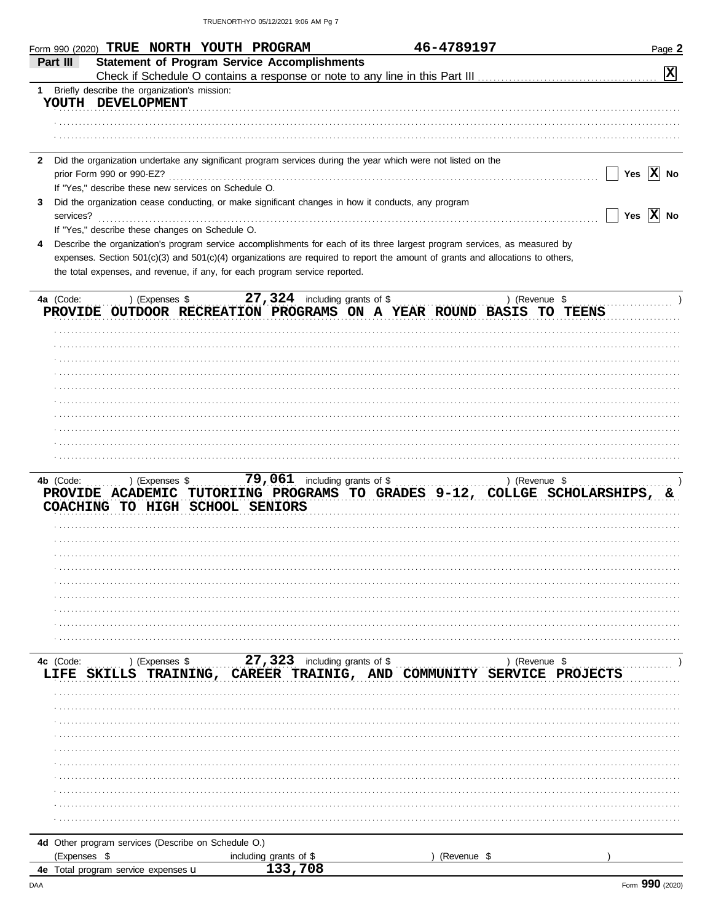|                                     | Form 990 (2020) TRUE NORTH YOUTH PROGRAM             |                                                                                                                                | 46-4789197  | Page 2                                                  |
|-------------------------------------|------------------------------------------------------|--------------------------------------------------------------------------------------------------------------------------------|-------------|---------------------------------------------------------|
| Part III                            |                                                      | <b>Statement of Program Service Accomplishments</b>                                                                            |             |                                                         |
|                                     |                                                      |                                                                                                                                |             | x                                                       |
|                                     | 1 Briefly describe the organization's mission:       |                                                                                                                                |             |                                                         |
| YOUTH DEVELOPMENT                   |                                                      |                                                                                                                                |             |                                                         |
|                                     |                                                      |                                                                                                                                |             |                                                         |
|                                     |                                                      |                                                                                                                                |             |                                                         |
| $\mathbf{2}$                        |                                                      | Did the organization undertake any significant program services during the year which were not listed on the                   |             |                                                         |
| prior Form 990 or 990-EZ?           |                                                      |                                                                                                                                |             | Yes $ \mathbf{X} $ No                                   |
|                                     | If "Yes," describe these new services on Schedule O. |                                                                                                                                |             |                                                         |
| 3                                   |                                                      | Did the organization cease conducting, or make significant changes in how it conducts, any program                             |             |                                                         |
| services?                           |                                                      |                                                                                                                                |             | Yes $\overline{X}$ No                                   |
|                                     | If "Yes," describe these changes on Schedule O.      |                                                                                                                                |             |                                                         |
|                                     |                                                      | Describe the organization's program service accomplishments for each of its three largest program services, as measured by     |             |                                                         |
|                                     |                                                      | expenses. Section 501(c)(3) and 501(c)(4) organizations are required to report the amount of grants and allocations to others, |             |                                                         |
|                                     |                                                      | the total expenses, and revenue, if any, for each program service reported.                                                    |             |                                                         |
|                                     |                                                      |                                                                                                                                |             |                                                         |
| 4a (Code:                           | ) (Expenses \$                                       | $27,324$ including grants of \$                                                                                                |             | ) (Revenue \$                                           |
|                                     |                                                      | PROVIDE OUTDOOR RECREATION PROGRAMS ON A YEAR ROUND BASIS TO TEENS                                                             |             |                                                         |
|                                     |                                                      |                                                                                                                                |             |                                                         |
|                                     |                                                      |                                                                                                                                |             |                                                         |
|                                     |                                                      |                                                                                                                                |             |                                                         |
|                                     |                                                      |                                                                                                                                |             |                                                         |
|                                     |                                                      |                                                                                                                                |             |                                                         |
|                                     |                                                      |                                                                                                                                |             |                                                         |
|                                     |                                                      |                                                                                                                                |             |                                                         |
|                                     |                                                      |                                                                                                                                |             |                                                         |
|                                     |                                                      |                                                                                                                                |             |                                                         |
|                                     |                                                      |                                                                                                                                |             |                                                         |
| 4b (Code:                           | ) (Expenses \$                                       | $\overline{79}$ , 061 including grants of \$                                                                                   |             | ) (Revenue \$                                           |
| PROVIDE ACADEMIC                    |                                                      |                                                                                                                                |             | TUTORIING PROGRAMS TO GRADES 9-12, COLLGE SCHOLARSHIPS, |
|                                     | COACHING TO HIGH SCHOOL SENIORS                      |                                                                                                                                |             |                                                         |
|                                     |                                                      |                                                                                                                                |             |                                                         |
|                                     |                                                      |                                                                                                                                |             |                                                         |
|                                     |                                                      |                                                                                                                                |             |                                                         |
|                                     |                                                      |                                                                                                                                |             |                                                         |
|                                     |                                                      |                                                                                                                                |             |                                                         |
|                                     |                                                      |                                                                                                                                |             |                                                         |
|                                     |                                                      |                                                                                                                                |             |                                                         |
|                                     |                                                      |                                                                                                                                |             |                                                         |
|                                     |                                                      |                                                                                                                                |             |                                                         |
| 4c (Code:                           | $\ldots$ ) (Expenses \$                              | $27,323$ including grants of \$                                                                                                |             | ) (Revenue \$                                           |
|                                     |                                                      | LIFE SKILLS TRAINING, CAREER TRAINIG, AND COMMUNITY SERVICE PROJECTS                                                           |             |                                                         |
|                                     |                                                      |                                                                                                                                |             |                                                         |
|                                     |                                                      |                                                                                                                                |             |                                                         |
|                                     |                                                      |                                                                                                                                |             |                                                         |
|                                     |                                                      |                                                                                                                                |             |                                                         |
|                                     |                                                      |                                                                                                                                |             |                                                         |
|                                     |                                                      |                                                                                                                                |             |                                                         |
|                                     |                                                      |                                                                                                                                |             |                                                         |
|                                     |                                                      |                                                                                                                                |             |                                                         |
|                                     |                                                      |                                                                                                                                |             |                                                         |
|                                     |                                                      |                                                                                                                                |             |                                                         |
|                                     |                                                      |                                                                                                                                |             |                                                         |
|                                     | 4d Other program services (Describe on Schedule O.)  |                                                                                                                                |             |                                                         |
| (Expenses \$                        |                                                      | including grants of \$                                                                                                         | (Revenue \$ |                                                         |
| 4e Total program service expenses u |                                                      | 133,708                                                                                                                        |             |                                                         |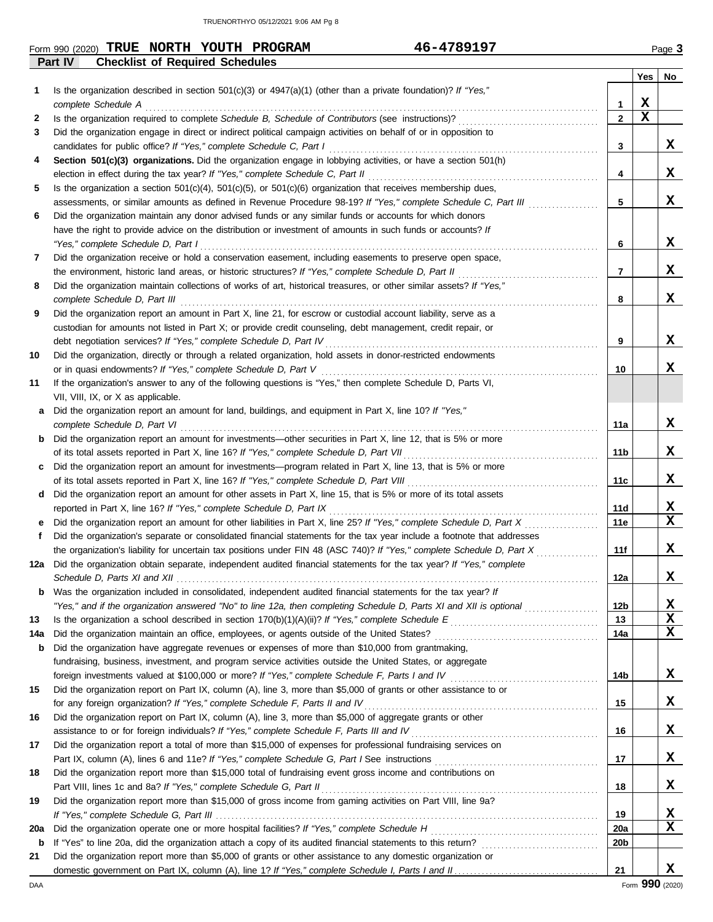|          | 46-4789197<br>Form 990 (2020) TRUE NORTH YOUTH PROGRAM                                                                                                                                                     |                 |     | Page 3 |
|----------|------------------------------------------------------------------------------------------------------------------------------------------------------------------------------------------------------------|-----------------|-----|--------|
|          | Part IV<br><b>Checklist of Required Schedules</b>                                                                                                                                                          |                 |     |        |
|          |                                                                                                                                                                                                            |                 | Yes | No     |
| 1        | Is the organization described in section 501(c)(3) or 4947(a)(1) (other than a private foundation)? If "Yes,"                                                                                              |                 |     |        |
|          | complete Schedule A                                                                                                                                                                                        | 1               | х   |        |
| 2        | Is the organization required to complete Schedule B, Schedule of Contributors (see instructions)?                                                                                                          | $\mathbf{2}$    | X   |        |
| 3        | Did the organization engage in direct or indirect political campaign activities on behalf of or in opposition to                                                                                           |                 |     | X      |
| 4        | candidates for public office? If "Yes," complete Schedule C, Part I<br>Section 501(c)(3) organizations. Did the organization engage in lobbying activities, or have a section 501(h)                       | 3               |     |        |
|          | election in effect during the tax year? If "Yes," complete Schedule C, Part II                                                                                                                             | 4               |     | X      |
| 5        | Is the organization a section $501(c)(4)$ , $501(c)(5)$ , or $501(c)(6)$ organization that receives membership dues,                                                                                       |                 |     |        |
|          | assessments, or similar amounts as defined in Revenue Procedure 98-19? If "Yes," complete Schedule C, Part III                                                                                             | 5               |     | X      |
| 6        | Did the organization maintain any donor advised funds or any similar funds or accounts for which donors                                                                                                    |                 |     |        |
|          | have the right to provide advice on the distribution or investment of amounts in such funds or accounts? If                                                                                                |                 |     |        |
|          | "Yes," complete Schedule D, Part I                                                                                                                                                                         | 6               |     | X      |
| 7        | Did the organization receive or hold a conservation easement, including easements to preserve open space,                                                                                                  |                 |     |        |
|          | the environment, historic land areas, or historic structures? If "Yes," complete Schedule D, Part II                                                                                                       | 7               |     | X      |
| 8        | Did the organization maintain collections of works of art, historical treasures, or other similar assets? If "Yes,"                                                                                        |                 |     |        |
|          | complete Schedule D, Part III                                                                                                                                                                              | 8               |     | X      |
| 9        | Did the organization report an amount in Part X, line 21, for escrow or custodial account liability, serve as a                                                                                            |                 |     |        |
|          | custodian for amounts not listed in Part X; or provide credit counseling, debt management, credit repair, or                                                                                               |                 |     |        |
|          | debt negotiation services? If "Yes," complete Schedule D, Part IV                                                                                                                                          | 9               |     | X      |
| 10       | Did the organization, directly or through a related organization, hold assets in donor-restricted endowments                                                                                               |                 |     |        |
|          | or in quasi endowments? If "Yes," complete Schedule D, Part V                                                                                                                                              | 10              |     | x      |
| 11       | If the organization's answer to any of the following questions is "Yes," then complete Schedule D, Parts VI,                                                                                               |                 |     |        |
| a        | VII, VIII, IX, or X as applicable.<br>Did the organization report an amount for land, buildings, and equipment in Part X, line 10? If "Yes,"                                                               |                 |     |        |
|          | complete Schedule D, Part VI                                                                                                                                                                               | 11a             |     | X      |
| b        | Did the organization report an amount for investments-other securities in Part X, line 12, that is 5% or more                                                                                              |                 |     |        |
|          | of its total assets reported in Part X, line 16? If "Yes," complete Schedule D, Part VII<br>and a complete the contract of the complete the complete the complete the complete the complete the complete t | 11b             |     | X      |
| c        | Did the organization report an amount for investments—program related in Part X, line 13, that is 5% or more                                                                                               |                 |     |        |
|          | of its total assets reported in Part X, line 16? If "Yes," complete Schedule D, Part VIII                                                                                                                  | 11c             |     | X      |
| d        | Did the organization report an amount for other assets in Part X, line 15, that is 5% or more of its total assets                                                                                          |                 |     |        |
|          | reported in Part X, line 16? If "Yes," complete Schedule D, Part IX                                                                                                                                        | 11d             |     | X      |
| е        | Did the organization report an amount for other liabilities in Part X, line 25? If "Yes," complete Schedule D, Part X                                                                                      | 11e             |     | X      |
| f        | Did the organization's separate or consolidated financial statements for the tax year include a footnote that addresses                                                                                    |                 |     |        |
|          | the organization's liability for uncertain tax positions under FIN 48 (ASC 740)? If "Yes," complete Schedule D, Part X                                                                                     | 11f             |     | X      |
| 12a      | Did the organization obtain separate, independent audited financial statements for the tax year? If "Yes," complete                                                                                        |                 |     |        |
|          |                                                                                                                                                                                                            | 12a             |     | x      |
|          | <b>b</b> Was the organization included in consolidated, independent audited financial statements for the tax year? If                                                                                      |                 |     |        |
|          | "Yes," and if the organization answered "No" to line 12a, then completing Schedule D, Parts XI and XII is optional                                                                                         | 12b             |     | X      |
| 13       |                                                                                                                                                                                                            | 13              |     | х<br>X |
| 14a<br>b | Did the organization have aggregate revenues or expenses of more than \$10,000 from grantmaking,                                                                                                           | 14a             |     |        |
|          | fundraising, business, investment, and program service activities outside the United States, or aggregate                                                                                                  |                 |     |        |
|          |                                                                                                                                                                                                            | 14b             |     | X      |
| 15       | Did the organization report on Part IX, column (A), line 3, more than \$5,000 of grants or other assistance to or                                                                                          |                 |     |        |
|          | for any foreign organization? If "Yes," complete Schedule F, Parts II and IV [[[[[[[[[[[[[[[[[[[[[[[[[[[[[[[[[                                                                                             | 15              |     | x      |
| 16       | Did the organization report on Part IX, column (A), line 3, more than \$5,000 of aggregate grants or other                                                                                                 |                 |     |        |
|          | assistance to or for foreign individuals? If "Yes," complete Schedule F, Parts III and IV [[[[[[[[[[[[[[[[[[[                                                                                              | 16              |     | x      |
| 17       | Did the organization report a total of more than \$15,000 of expenses for professional fundraising services on                                                                                             |                 |     |        |
|          |                                                                                                                                                                                                            | 17              |     | X      |
| 18       | Did the organization report more than \$15,000 total of fundraising event gross income and contributions on                                                                                                |                 |     |        |
|          |                                                                                                                                                                                                            | 18              |     | X      |
| 19       | Did the organization report more than \$15,000 of gross income from gaming activities on Part VIII, line 9a?                                                                                               |                 |     |        |
|          |                                                                                                                                                                                                            | 19              |     | х      |
| 20a      |                                                                                                                                                                                                            | 20a             |     | х      |
| b        |                                                                                                                                                                                                            | 20 <sub>b</sub> |     |        |
| 21       | Did the organization report more than \$5,000 of grants or other assistance to any domestic organization or                                                                                                |                 |     |        |
|          |                                                                                                                                                                                                            | 21              |     | x      |

DAA Form **990** (2020) Form 990 (2020)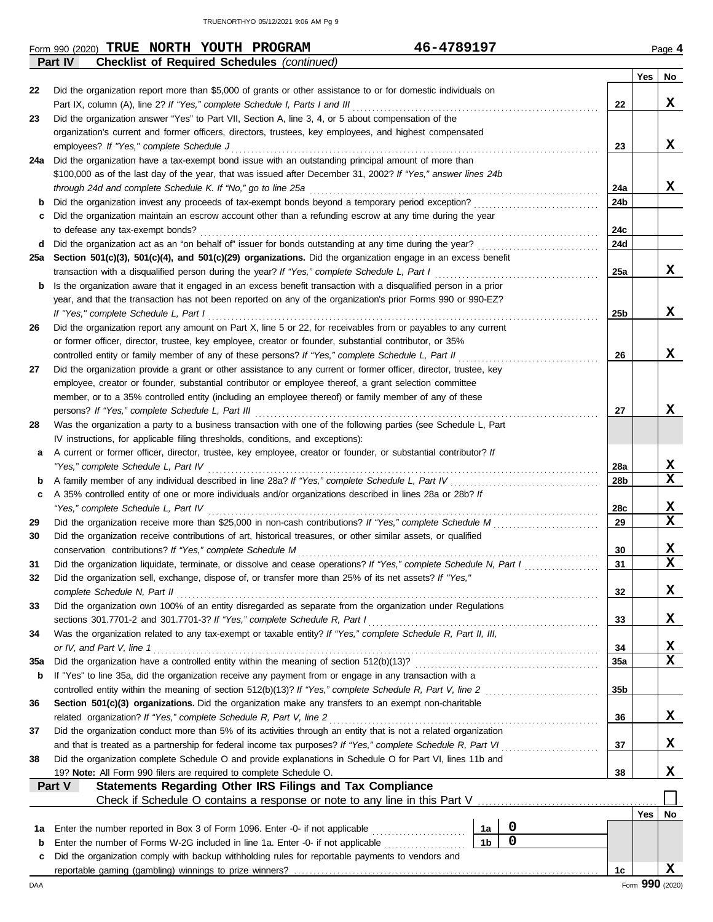|     | 46-4789197<br>Form 990 (2020) TRUE NORTH YOUTH PROGRAM                                                                                                                                                        |                |             |     |     | Page 4      |
|-----|---------------------------------------------------------------------------------------------------------------------------------------------------------------------------------------------------------------|----------------|-------------|-----|-----|-------------|
|     | <b>Checklist of Required Schedules (continued)</b><br>Part IV                                                                                                                                                 |                |             |     |     |             |
|     |                                                                                                                                                                                                               |                |             |     | Yes | No          |
| 22  | Did the organization report more than \$5,000 of grants or other assistance to or for domestic individuals on<br>Part IX, column (A), line 2? If "Yes," complete Schedule I, Parts I and III                  |                |             | 22  |     | X           |
| 23  | Did the organization answer "Yes" to Part VII, Section A, line 3, 4, or 5 about compensation of the                                                                                                           |                |             |     |     |             |
|     | organization's current and former officers, directors, trustees, key employees, and highest compensated                                                                                                       |                |             |     |     |             |
|     | employees? If "Yes," complete Schedule J                                                                                                                                                                      |                |             | 23  |     | X           |
| 24a | Did the organization have a tax-exempt bond issue with an outstanding principal amount of more than                                                                                                           |                |             |     |     |             |
|     | \$100,000 as of the last day of the year, that was issued after December 31, 2002? If "Yes," answer lines 24b                                                                                                 |                |             |     |     |             |
|     | through 24d and complete Schedule K. If "No," go to line 25a                                                                                                                                                  |                |             | 24a |     | x           |
| b   | Did the organization invest any proceeds of tax-exempt bonds beyond a temporary period exception?                                                                                                             |                |             | 24b |     |             |
|     | Did the organization maintain an escrow account other than a refunding escrow at any time during the year                                                                                                     |                |             |     |     |             |
|     | to defease any tax-exempt bonds?                                                                                                                                                                              |                |             | 24c |     |             |
| d   | Did the organization act as an "on behalf of" issuer for bonds outstanding at any time during the year?                                                                                                       |                |             | 24d |     |             |
| 25а | Section 501(c)(3), 501(c)(4), and 501(c)(29) organizations. Did the organization engage in an excess benefit<br>transaction with a disqualified person during the year? If "Yes," complete Schedule L, Part I |                |             | 25a |     | x           |
| b   | Is the organization aware that it engaged in an excess benefit transaction with a disqualified person in a prior                                                                                              |                |             |     |     |             |
|     | year, and that the transaction has not been reported on any of the organization's prior Forms 990 or 990-EZ?                                                                                                  |                |             |     |     |             |
|     | If "Yes," complete Schedule L, Part I                                                                                                                                                                         |                |             | 25b |     | X           |
| 26  | Did the organization report any amount on Part X, line 5 or 22, for receivables from or payables to any current                                                                                               |                |             |     |     |             |
|     | or former officer, director, trustee, key employee, creator or founder, substantial contributor, or 35%                                                                                                       |                |             |     |     |             |
|     | controlled entity or family member of any of these persons? If "Yes," complete Schedule L, Part II                                                                                                            |                |             | 26  |     | x           |
| 27  | Did the organization provide a grant or other assistance to any current or former officer, director, trustee, key                                                                                             |                |             |     |     |             |
|     | employee, creator or founder, substantial contributor or employee thereof, a grant selection committee                                                                                                        |                |             |     |     |             |
|     | member, or to a 35% controlled entity (including an employee thereof) or family member of any of these                                                                                                        |                |             |     |     |             |
|     | persons? If "Yes," complete Schedule L, Part III                                                                                                                                                              |                |             | 27  |     | x           |
| 28  | Was the organization a party to a business transaction with one of the following parties (see Schedule L, Part                                                                                                |                |             |     |     |             |
|     | IV instructions, for applicable filing thresholds, conditions, and exceptions):<br>A current or former officer, director, trustee, key employee, creator or founder, or substantial contributor? If           |                |             |     |     |             |
| а   | "Yes," complete Schedule L, Part IV                                                                                                                                                                           |                |             | 28a |     | <u>x</u>    |
| b   | A family member of any individual described in line 28a? If "Yes," complete Schedule L, Part IV                                                                                                               |                |             | 28b |     | $\mathbf x$ |
| c   | A 35% controlled entity of one or more individuals and/or organizations described in lines 28a or 28b? If                                                                                                     |                |             |     |     |             |
|     | "Yes," complete Schedule L, Part IV                                                                                                                                                                           |                |             | 28c |     | X           |
| 29  | Did the organization receive more than \$25,000 in non-cash contributions? If "Yes," complete Schedule M                                                                                                      |                |             | 29  |     | X           |
| 30  | Did the organization receive contributions of art, historical treasures, or other similar assets, or qualified                                                                                                |                |             |     |     |             |
|     | conservation contributions? If "Yes," complete Schedule M                                                                                                                                                     |                |             | 30  |     | X           |
| 31  | Did the organization liquidate, terminate, or dissolve and cease operations? If "Yes," complete Schedule N, Part I                                                                                            |                |             | 31  |     | $\mathbf x$ |
| 32  | Did the organization sell, exchange, dispose of, or transfer more than 25% of its net assets? If "Yes,"                                                                                                       |                |             |     |     |             |
|     | complete Schedule N, Part II                                                                                                                                                                                  |                |             | 32  |     | х           |
| 33  | Did the organization own 100% of an entity disregarded as separate from the organization under Regulations<br>sections 301.7701-2 and 301.7701-3? If "Yes," complete Schedule R, Part I                       |                |             | 33  |     | X           |
| 34  | Was the organization related to any tax-exempt or taxable entity? If "Yes," complete Schedule R, Part II, III,                                                                                                |                |             |     |     |             |
|     | or IV, and Part V, line 1                                                                                                                                                                                     |                |             | 34  |     | X           |
| 35a |                                                                                                                                                                                                               |                |             | 35a |     | X           |
| b   | If "Yes" to line 35a, did the organization receive any payment from or engage in any transaction with a                                                                                                       |                |             |     |     |             |
|     | controlled entity within the meaning of section 512(b)(13)? If "Yes," complete Schedule R, Part V, line 2                                                                                                     |                |             | 35b |     |             |
| 36  | Section 501(c)(3) organizations. Did the organization make any transfers to an exempt non-charitable                                                                                                          |                |             |     |     |             |
|     |                                                                                                                                                                                                               |                |             | 36  |     | X           |
| 37  | Did the organization conduct more than 5% of its activities through an entity that is not a related organization                                                                                              |                |             |     |     |             |
|     | and that is treated as a partnership for federal income tax purposes? If "Yes," complete Schedule R, Part VI                                                                                                  |                |             | 37  |     | X           |
| 38  | Did the organization complete Schedule O and provide explanations in Schedule O for Part VI, lines 11b and                                                                                                    |                |             |     |     | X           |
|     | 19? Note: All Form 990 filers are required to complete Schedule O.<br><b>Statements Regarding Other IRS Filings and Tax Compliance</b><br>Part V                                                              |                |             | 38  |     |             |
|     |                                                                                                                                                                                                               |                |             |     |     |             |
|     |                                                                                                                                                                                                               |                |             |     | Yes | No          |
| 1а  | Enter the number reported in Box 3 of Form 1096. Enter -0- if not applicable [                                                                                                                                | 1a             | 0           |     |     |             |
| b   | Enter the number of Forms W-2G included in line 1a. Enter -0- if not applicable                                                                                                                               | 1 <sub>b</sub> | $\mathbf 0$ |     |     |             |
| c   | Did the organization comply with backup withholding rules for reportable payments to vendors and                                                                                                              |                |             |     |     |             |
|     |                                                                                                                                                                                                               |                |             | 1c  |     | X           |

|  | $\lambda$ $\sigma$ $\lambda$ $\sigma$ $\alpha$ $\alpha$ $\sigma$ $\alpha$ |  |  |
|--|---------------------------------------------------------------------------|--|--|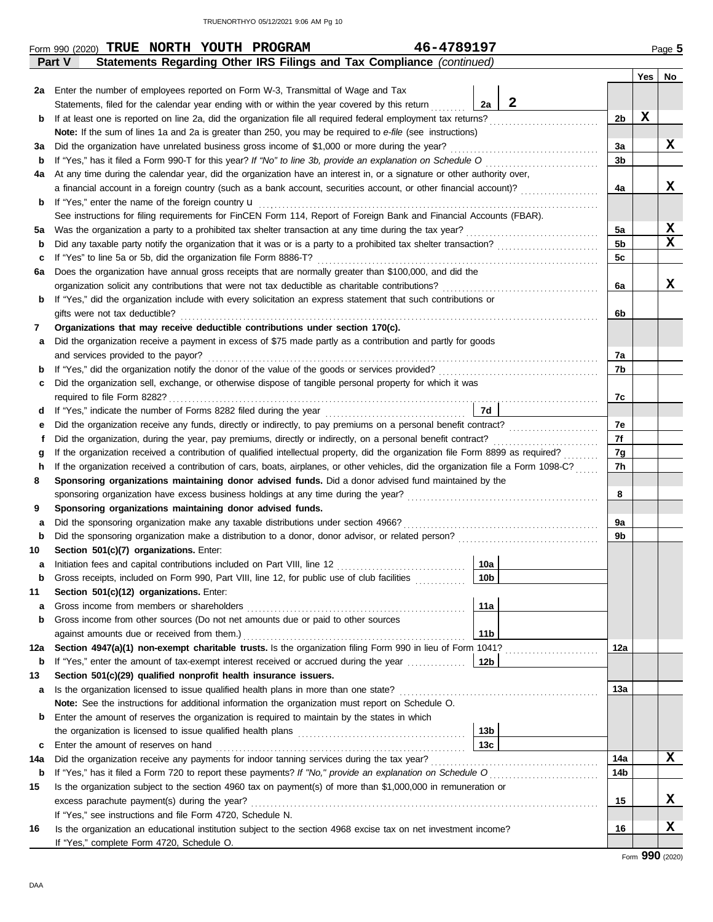|     | 46-4789197<br>Form 990 (2020) TRUE NORTH YOUTH PROGRAM                                                                                                                                             |                    |                      |   | Page 5   |
|-----|----------------------------------------------------------------------------------------------------------------------------------------------------------------------------------------------------|--------------------|----------------------|---|----------|
|     | Statements Regarding Other IRS Filings and Tax Compliance (continued)<br>Part V                                                                                                                    |                    |                      |   |          |
|     | 2a Enter the number of employees reported on Form W-3, Transmittal of Wage and Tax                                                                                                                 |                    |                      |   | Yes   No |
|     | Statements, filed for the calendar year ending with or within the year covered by this return                                                                                                      | $\mathbf{2}$<br>2a |                      |   |          |
| b   |                                                                                                                                                                                                    |                    | 2 <sub>b</sub>       | X |          |
|     | Note: If the sum of lines 1a and 2a is greater than 250, you may be required to e-file (see instructions)                                                                                          |                    |                      |   |          |
| За  |                                                                                                                                                                                                    |                    | 3a                   |   | x        |
| b   | If "Yes," has it filed a Form 990-T for this year? If "No" to line 3b, provide an explanation on Schedule O consequences                                                                           |                    | 3 <sub>b</sub>       |   |          |
| 4a  | At any time during the calendar year, did the organization have an interest in, or a signature or other authority over,                                                                            |                    |                      |   |          |
|     | a financial account in a foreign country (such as a bank account, securities account, or other financial account)?                                                                                 |                    | 4a                   |   | x        |
| b   |                                                                                                                                                                                                    |                    |                      |   |          |
|     | See instructions for filing requirements for FinCEN Form 114, Report of Foreign Bank and Financial Accounts (FBAR).                                                                                |                    |                      |   |          |
| 5а  |                                                                                                                                                                                                    |                    | 5a                   |   | X        |
| b   |                                                                                                                                                                                                    |                    | 5 <sub>b</sub>       |   | X        |
| c   | If "Yes" to line 5a or 5b, did the organization file Form 8886-T?                                                                                                                                  |                    | 5c                   |   |          |
| 6а  | Does the organization have annual gross receipts that are normally greater than \$100,000, and did the                                                                                             |                    |                      |   |          |
|     | organization solicit any contributions that were not tax deductible as charitable contributions?                                                                                                   |                    | 6a                   |   | х        |
| b   | If "Yes," did the organization include with every solicitation an express statement that such contributions or                                                                                     |                    |                      |   |          |
|     | gifts were not tax deductible?                                                                                                                                                                     |                    | 6b                   |   |          |
| 7   | Organizations that may receive deductible contributions under section 170(c).                                                                                                                      |                    |                      |   |          |
| а   | Did the organization receive a payment in excess of \$75 made partly as a contribution and partly for goods                                                                                        |                    |                      |   |          |
|     | and services provided to the payor?                                                                                                                                                                |                    | 7a                   |   |          |
| b   | If "Yes," did the organization notify the donor of the value of the goods or services provided?<br>If "Yes," did the organization notify the donor of the value of the goods or services provided? |                    | 7b                   |   |          |
| c   | Did the organization sell, exchange, or otherwise dispose of tangible personal property for which it was                                                                                           |                    |                      |   |          |
|     |                                                                                                                                                                                                    |                    | 7c                   |   |          |
|     |                                                                                                                                                                                                    | 7d                 |                      |   |          |
|     | Did the organization receive any funds, directly or indirectly, to pay premiums on a personal benefit contract?                                                                                    |                    | 7e                   |   |          |
| f   |                                                                                                                                                                                                    |                    | 7f                   |   |          |
| g   | If the organization received a contribution of qualified intellectual property, did the organization file Form 8899 as required?                                                                   |                    | 7g                   |   |          |
| h   | If the organization received a contribution of cars, boats, airplanes, or other vehicles, did the organization file a Form 1098-C?                                                                 |                    | 7h                   |   |          |
| 8   | Sponsoring organizations maintaining donor advised funds. Did a donor advised fund maintained by the                                                                                               |                    |                      |   |          |
|     |                                                                                                                                                                                                    |                    | 8                    |   |          |
| 9   | Sponsoring organizations maintaining donor advised funds.                                                                                                                                          |                    |                      |   |          |
| а   | Did the sponsoring organization make any taxable distributions under section 4966?                                                                                                                 |                    | 9a<br>9 <sub>b</sub> |   |          |
| b   | Section 501(c)(7) organizations. Enter:                                                                                                                                                            |                    |                      |   |          |
| 10  |                                                                                                                                                                                                    | 10a                |                      |   |          |
| b   | Gross receipts, included on Form 990, Part VIII, line 12, for public use of club facilities [[[[[[[[[[[[[[[[[                                                                                      | 10b                |                      |   |          |
| 11  | Section 501(c)(12) organizations. Enter:                                                                                                                                                           |                    |                      |   |          |
| а   | Gross income from members or shareholders                                                                                                                                                          | 11a                |                      |   |          |
| b   | Gross income from other sources (Do not net amounts due or paid to other sources                                                                                                                   |                    |                      |   |          |
|     | against amounts due or received from them.)                                                                                                                                                        | 11 <sub>b</sub>    |                      |   |          |
| 12a | Section 4947(a)(1) non-exempt charitable trusts. Is the organization filing Form 990 in lieu of Form 1041?                                                                                         |                    | 12a                  |   |          |
| b   | If "Yes," enter the amount of tax-exempt interest received or accrued during the year                                                                                                              | 12b                |                      |   |          |
| 13  | Section 501(c)(29) qualified nonprofit health insurance issuers.                                                                                                                                   |                    |                      |   |          |
| а   | Is the organization licensed to issue qualified health plans in more than one state?                                                                                                               |                    | 13а                  |   |          |
|     | Note: See the instructions for additional information the organization must report on Schedule O.                                                                                                  |                    |                      |   |          |
| b   | Enter the amount of reserves the organization is required to maintain by the states in which                                                                                                       |                    |                      |   |          |
|     |                                                                                                                                                                                                    | 13 <sub>b</sub>    |                      |   |          |
| c   | Enter the amount of reserves on hand                                                                                                                                                               | 13с                |                      |   |          |
| 14a | Did the organization receive any payments for indoor tanning services during the tax year?                                                                                                         |                    | 14a                  |   | х        |
| b   |                                                                                                                                                                                                    |                    | 14b                  |   |          |
| 15  | Is the organization subject to the section 4960 tax on payment(s) of more than \$1,000,000 in remuneration or                                                                                      |                    |                      |   |          |
|     | excess parachute payment(s) during the year?                                                                                                                                                       |                    | 15                   |   | х        |
|     | If "Yes," see instructions and file Form 4720, Schedule N.                                                                                                                                         |                    |                      |   |          |
| 16  | Is the organization an educational institution subject to the section 4968 excise tax on net investment income?                                                                                    |                    | 16                   |   | X        |
|     | If "Yes," complete Form 4720, Schedule O.                                                                                                                                                          |                    |                      |   |          |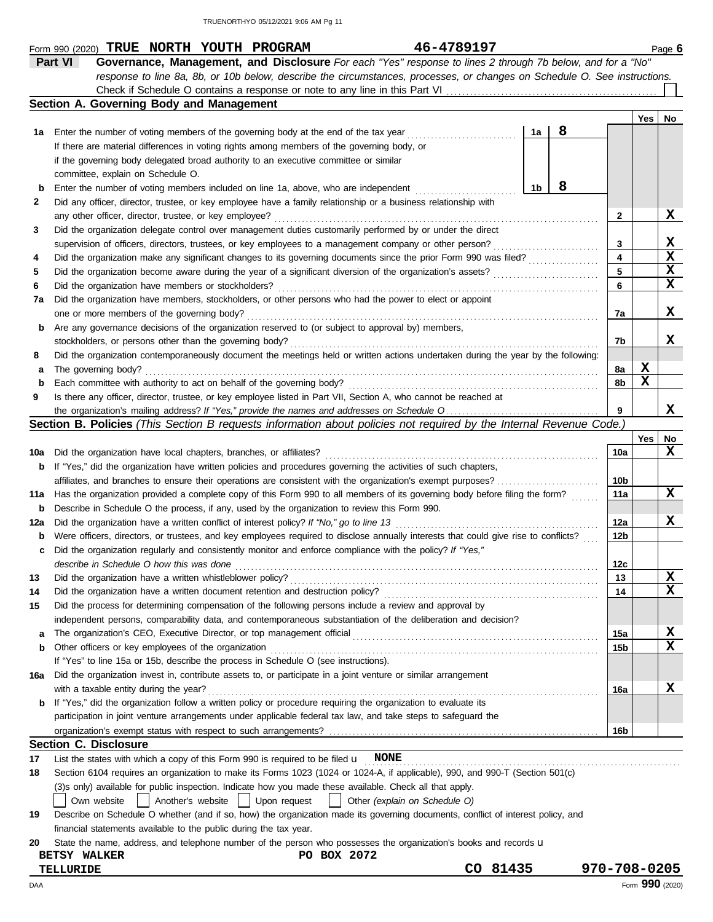|          | <b>Part VI</b><br>Governance, Management, and Disclosure For each "Yes" response to lines 2 through 7b below, and for a "No"                                                                                         |              |     |                 |
|----------|----------------------------------------------------------------------------------------------------------------------------------------------------------------------------------------------------------------------|--------------|-----|-----------------|
|          | response to line 8a, 8b, or 10b below, describe the circumstances, processes, or changes on Schedule O. See instructions.                                                                                            |              |     |                 |
|          | Section A. Governing Body and Management                                                                                                                                                                             |              |     |                 |
|          |                                                                                                                                                                                                                      |              | Yes | No              |
| 1a       | 8<br>Enter the number of voting members of the governing body at the end of the tax year<br>1a                                                                                                                       |              |     |                 |
|          | If there are material differences in voting rights among members of the governing body, or                                                                                                                           |              |     |                 |
|          | if the governing body delegated broad authority to an executive committee or similar                                                                                                                                 |              |     |                 |
|          | committee, explain on Schedule O.                                                                                                                                                                                    |              |     |                 |
| b        | 8<br>1b<br>Enter the number of voting members included on line 1a, above, who are independent                                                                                                                        |              |     |                 |
| 2        | Did any officer, director, trustee, or key employee have a family relationship or a business relationship with                                                                                                       |              |     | X.              |
|          | any other officer, director, trustee, or key employee?                                                                                                                                                               | 2            |     |                 |
| 3        | Did the organization delegate control over management duties customarily performed by or under the direct<br>supervision of officers, directors, trustees, or key employees to a management company or other person? | 3            |     | X               |
| 4        | Did the organization make any significant changes to its governing documents since the prior Form 990 was filed?                                                                                                     | 4            |     | х               |
| 5        |                                                                                                                                                                                                                      | 5            |     | х               |
| 6        | Did the organization have members or stockholders?                                                                                                                                                                   | 6            |     | х               |
| 7a       | Did the organization have members, stockholders, or other persons who had the power to elect or appoint                                                                                                              |              |     |                 |
|          | one or more members of the governing body?                                                                                                                                                                           | 7a           |     | X               |
| b        | Are any governance decisions of the organization reserved to (or subject to approval by) members,                                                                                                                    |              |     |                 |
|          | stockholders, or persons other than the governing body?                                                                                                                                                              | 7b           |     | X.              |
| 8        | Did the organization contemporaneously document the meetings held or written actions undertaken during the year by the following:                                                                                    |              |     |                 |
| а        | The governing body?                                                                                                                                                                                                  | 8a           | x   |                 |
| b        | Each committee with authority to act on behalf of the governing body?                                                                                                                                                | 8b           | x   |                 |
| 9        | Is there any officer, director, trustee, or key employee listed in Part VII, Section A, who cannot be reached at                                                                                                     |              |     |                 |
|          |                                                                                                                                                                                                                      | 9            |     | x               |
|          | Section B. Policies (This Section B requests information about policies not required by the Internal Revenue Code.)                                                                                                  |              |     |                 |
|          |                                                                                                                                                                                                                      |              | Yes | No              |
| 10a      | Did the organization have local chapters, branches, or affiliates?                                                                                                                                                   | 10a          |     | x               |
| b        | If "Yes," did the organization have written policies and procedures governing the activities of such chapters,                                                                                                       |              |     |                 |
|          | affiliates, and branches to ensure their operations are consistent with the organization's exempt purposes?                                                                                                          | 10b          |     |                 |
| 11a      | Has the organization provided a complete copy of this Form 990 to all members of its governing body before filing the form?                                                                                          | 11a          |     | X               |
| b        | Describe in Schedule O the process, if any, used by the organization to review this Form 990.                                                                                                                        |              |     |                 |
| 12a      | Did the organization have a written conflict of interest policy? If "No," go to line 13                                                                                                                              | 12a          |     | х               |
| b        | Were officers, directors, or trustees, and key employees required to disclose annually interests that could give rise to conflicts?                                                                                  | 12b          |     |                 |
| c        | Did the organization regularly and consistently monitor and enforce compliance with the policy? If "Yes,"                                                                                                            |              |     |                 |
|          | describe in Schedule O how this was done<br>Did the organization have a written whistleblower policy?                                                                                                                | 12c<br>13    |     | X               |
| 13<br>14 |                                                                                                                                                                                                                      | 14           |     | $\mathbf x$     |
| 15       | Did the process for determining compensation of the following persons include a review and approval by                                                                                                               |              |     |                 |
|          | independent persons, comparability data, and contemporaneous substantiation of the deliberation and decision?                                                                                                        |              |     |                 |
| a        |                                                                                                                                                                                                                      | 15a          |     | х               |
| b        | Other officers or key employees of the organization                                                                                                                                                                  | 15b          |     | $\mathbf x$     |
|          | If "Yes" to line 15a or 15b, describe the process in Schedule O (see instructions).                                                                                                                                  |              |     |                 |
| 16a      | Did the organization invest in, contribute assets to, or participate in a joint venture or similar arrangement                                                                                                       |              |     |                 |
|          | with a taxable entity during the year?                                                                                                                                                                               | 16a          |     | X               |
| b        | If "Yes," did the organization follow a written policy or procedure requiring the organization to evaluate its                                                                                                       |              |     |                 |
|          | participation in joint venture arrangements under applicable federal tax law, and take steps to safeguard the                                                                                                        |              |     |                 |
|          |                                                                                                                                                                                                                      | 16b          |     |                 |
|          | <b>Section C. Disclosure</b>                                                                                                                                                                                         |              |     |                 |
| 17       | List the states with which a copy of this Form 990 is required to be filed $\mathbf u$ NONE                                                                                                                          |              |     |                 |
| 18       | Section 6104 requires an organization to make its Forms 1023 (1024 or 1024-A, if applicable), 990, and 990-T (Section 501(c)                                                                                         |              |     |                 |
|          | (3)s only) available for public inspection. Indicate how you made these available. Check all that apply.                                                                                                             |              |     |                 |
|          | Own website     Another's website     Upon request<br>Other (explain on Schedule O)                                                                                                                                  |              |     |                 |
| 19       | Describe on Schedule O whether (and if so, how) the organization made its governing documents, conflict of interest policy, and                                                                                      |              |     |                 |
| 20       | financial statements available to the public during the tax year.<br>State the name, address, and telephone number of the person who possesses the organization's books and records u                                |              |     |                 |
|          | PO BOX 2072<br><b>BETSY WALKER</b>                                                                                                                                                                                   |              |     |                 |
|          | CO 81435<br>TELLURIDE                                                                                                                                                                                                | 970-708-0205 |     |                 |
| DAA      |                                                                                                                                                                                                                      |              |     | Form 990 (2020) |

Form 990 (2020) Page **6 TRUE NORTH YOUTH PROGRAM 46-4789197**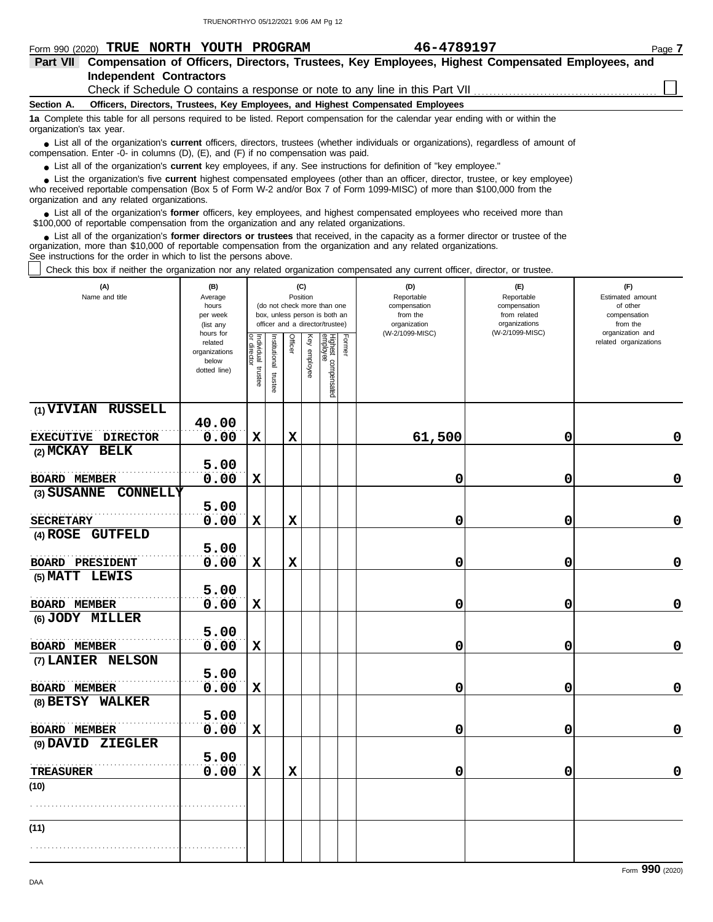|                          |                                             |  | Form 990 (2020) TRUE NORTH YOUTH PROGRAM                                          | 46-4789197                                                                                                                                                                                                                                                  | Page 7 |
|--------------------------|---------------------------------------------|--|-----------------------------------------------------------------------------------|-------------------------------------------------------------------------------------------------------------------------------------------------------------------------------------------------------------------------------------------------------------|--------|
| <b>Part VII</b>          |                                             |  |                                                                                   | Compensation of Officers, Directors, Trustees, Key Employees, Highest Compensated Employees, and                                                                                                                                                            |        |
|                          | <b>Independent Contractors</b>              |  |                                                                                   |                                                                                                                                                                                                                                                             |        |
|                          |                                             |  |                                                                                   | Check if Schedule O contains a response or note to any line in this Part VII                                                                                                                                                                                |        |
| Section A.               |                                             |  |                                                                                   | Officers, Directors, Trustees, Key Employees, and Highest Compensated Employees                                                                                                                                                                             |        |
| organization's tax year. |                                             |  |                                                                                   | 1a Complete this table for all persons required to be listed. Report compensation for the calendar year ending with or within the                                                                                                                           |        |
|                          |                                             |  | compensation. Enter -0- in columns (D), (E), and (F) if no compensation was paid. | • List all of the organization's <b>current</b> officers, directors, trustees (whether individuals or organizations), regardless of amount of                                                                                                               |        |
|                          |                                             |  |                                                                                   | • List all of the organization's current key employees, if any. See instructions for definition of "key employee."                                                                                                                                          |        |
|                          | organization and any related organizations. |  |                                                                                   | • List the organization's five current highest compensated employees (other than an officer, director, trustee, or key employee)<br>who received reportable compensation (Box 5 of Form W-2 and/or Box 7 of Form 1099-MISC) of more than \$100,000 from the |        |
|                          |                                             |  |                                                                                   | الموطة وموجود والموجود والمرور والمسود المتوجود ومعارضها الموارد والموارد والمستحدث والمستحدث والمواقع والموارد والتاريخ الورقاني المراقية                                                                                                                  |        |

List all of the organization's **former** officers, key employees, and highest compensated employees who received more than • List all of the organization's **former** officers, key employees, and highest compensate \$100,000 of reportable compensation from the organization and any related organizations.

List all of the organization's **former directors or trustees** that received, in the capacity as a former director or trustee of the organization, more than \$10,000 of reportable compensation from the organization and any related organizations. See instructions for the order in which to list the persons above. **•**

Check this box if neither the organization nor any related organization compensated any current officer, director, or trustee.

| (A)<br>Name and title              | (B)<br>Average<br>hours<br>per week<br>(list any<br>hours for |                                   |                      | (C)<br>Position |                 | (do not check more than one<br>box, unless person is both an<br>officer and a director/trustee) |        | (D)<br>Reportable<br>compensation<br>from the<br>organization<br>(W-2/1099-MISC) | (E)<br>Reportable<br>compensation<br>from related<br>organizations<br>(W-2/1099-MISC) | (F)<br>Estimated amount<br>of other<br>compensation<br>from the<br>organization and |
|------------------------------------|---------------------------------------------------------------|-----------------------------------|----------------------|-----------------|-----------------|-------------------------------------------------------------------------------------------------|--------|----------------------------------------------------------------------------------|---------------------------------------------------------------------------------------|-------------------------------------------------------------------------------------|
|                                    | related<br>organizations<br>below<br>dotted line)             | Individual trustee<br>or director | nstitutional trustee | Officer         | Ķey<br>employee | Highest compensated<br>employee                                                                 | Former |                                                                                  |                                                                                       | related organizations                                                               |
| (1) VIVIAN RUSSELL                 | 40.00                                                         |                                   |                      |                 |                 |                                                                                                 |        |                                                                                  |                                                                                       |                                                                                     |
| EXECUTIVE DIRECTOR                 | 0.00                                                          | $\mathbf x$                       |                      | $\mathbf x$     |                 |                                                                                                 |        | 61,500                                                                           | 0                                                                                     | $\mathbf 0$                                                                         |
| (2) MCKAY BELK                     |                                                               |                                   |                      |                 |                 |                                                                                                 |        |                                                                                  |                                                                                       |                                                                                     |
|                                    | 5.00                                                          |                                   |                      |                 |                 |                                                                                                 |        |                                                                                  |                                                                                       |                                                                                     |
| <b>BOARD MEMBER</b>                | 0.00                                                          | $\mathbf x$                       |                      |                 |                 |                                                                                                 |        | 0                                                                                | 0                                                                                     | $\mathbf 0$                                                                         |
| (3) SUSANNE CONNELLY               |                                                               |                                   |                      |                 |                 |                                                                                                 |        |                                                                                  |                                                                                       |                                                                                     |
|                                    | 5.00                                                          |                                   |                      |                 |                 |                                                                                                 |        |                                                                                  |                                                                                       |                                                                                     |
| <b>SECRETARY</b>                   | 0.00                                                          | $\mathbf x$                       |                      | $\mathbf x$     |                 |                                                                                                 |        | 0                                                                                | 0                                                                                     | $\mathbf 0$                                                                         |
| (4) ROSE GUTFELD                   |                                                               |                                   |                      |                 |                 |                                                                                                 |        |                                                                                  |                                                                                       |                                                                                     |
|                                    | 5.00                                                          |                                   |                      |                 |                 |                                                                                                 |        |                                                                                  |                                                                                       |                                                                                     |
| <b>BOARD PRESIDENT</b>             | 0.00                                                          | $\mathbf x$                       |                      | $\mathbf x$     |                 |                                                                                                 |        | 0                                                                                | 0                                                                                     | 0                                                                                   |
| (5) MATT LEWIS                     | 5.00                                                          |                                   |                      |                 |                 |                                                                                                 |        |                                                                                  |                                                                                       |                                                                                     |
| <b>BOARD MEMBER</b>                | 0.00                                                          | $\mathbf x$                       |                      |                 |                 |                                                                                                 |        | 0                                                                                | 0                                                                                     | $\mathbf 0$                                                                         |
| (6) JODY MILLER                    | 5.00                                                          |                                   |                      |                 |                 |                                                                                                 |        |                                                                                  |                                                                                       |                                                                                     |
| <b>BOARD MEMBER</b>                | 0.00                                                          | $\mathbf x$                       |                      |                 |                 |                                                                                                 |        | 0                                                                                | 0                                                                                     | $\mathbf 0$                                                                         |
| (7) LANIER NELSON                  |                                                               |                                   |                      |                 |                 |                                                                                                 |        |                                                                                  |                                                                                       |                                                                                     |
|                                    | 5.00                                                          |                                   |                      |                 |                 |                                                                                                 |        |                                                                                  |                                                                                       |                                                                                     |
| <b>BOARD MEMBER</b>                | 0.00                                                          | $\mathbf x$                       |                      |                 |                 |                                                                                                 |        | 0                                                                                | 0                                                                                     | 0                                                                                   |
| (8) BETSY WALKER                   |                                                               |                                   |                      |                 |                 |                                                                                                 |        |                                                                                  |                                                                                       |                                                                                     |
|                                    | 5.00                                                          |                                   |                      |                 |                 |                                                                                                 |        |                                                                                  |                                                                                       |                                                                                     |
| <b>BOARD MEMBER</b>                | 0.00                                                          | $\mathbf x$                       |                      |                 |                 |                                                                                                 |        | 0                                                                                | 0                                                                                     | $\mathbf 0$                                                                         |
| <b>ZIEGLER</b><br>(9) <b>DAVID</b> |                                                               |                                   |                      |                 |                 |                                                                                                 |        |                                                                                  |                                                                                       |                                                                                     |
|                                    | 5.00                                                          |                                   |                      |                 |                 |                                                                                                 |        |                                                                                  |                                                                                       |                                                                                     |
| <b>TREASURER</b>                   | 0.00                                                          | $\mathbf x$                       |                      | $\mathbf x$     |                 |                                                                                                 |        | 0                                                                                | 0                                                                                     | 0                                                                                   |
| (10)                               |                                                               |                                   |                      |                 |                 |                                                                                                 |        |                                                                                  |                                                                                       |                                                                                     |
|                                    |                                                               |                                   |                      |                 |                 |                                                                                                 |        |                                                                                  |                                                                                       |                                                                                     |
| (11)                               |                                                               |                                   |                      |                 |                 |                                                                                                 |        |                                                                                  |                                                                                       |                                                                                     |
|                                    |                                                               |                                   |                      |                 |                 |                                                                                                 |        |                                                                                  |                                                                                       |                                                                                     |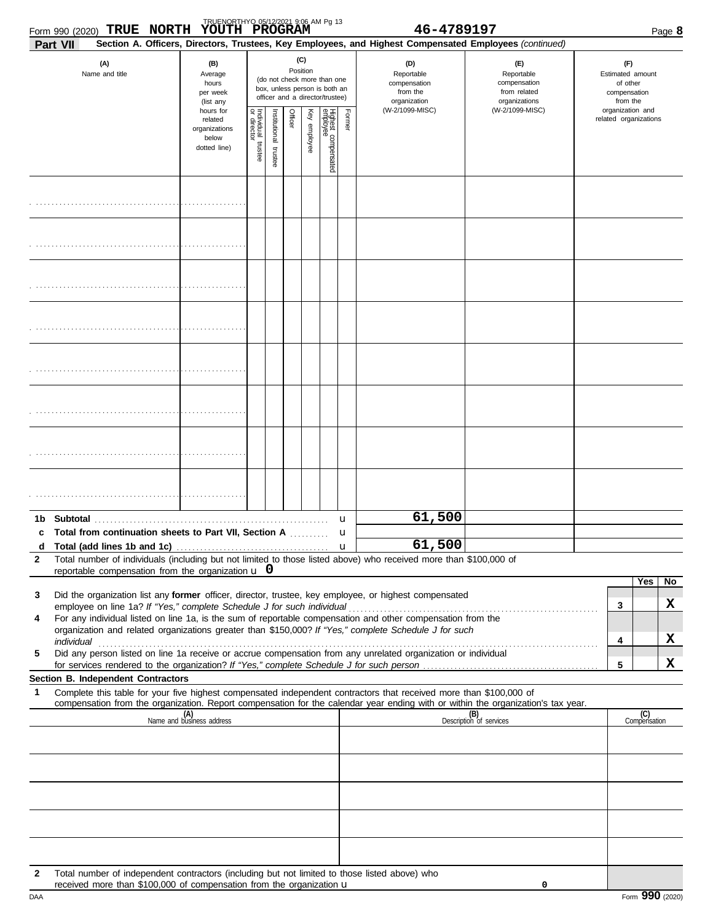|         | Form 990 (2020) TRUE NORTH YOUTH PROGRAM<br><b>Part VII</b>                                                                                                                                                                                                                                                                                           | TRUENORTHYO 05/12/2021 9:06 AM Pg 13                           |                                        |                      |         |                 |                                                                                                 |             | 46-4789197<br>Section A. Officers, Directors, Trustees, Key Employees, and Highest Compensated Employees (continued) |                                                                    |  |                                             |                       | Page 8 |
|---------|-------------------------------------------------------------------------------------------------------------------------------------------------------------------------------------------------------------------------------------------------------------------------------------------------------------------------------------------------------|----------------------------------------------------------------|----------------------------------------|----------------------|---------|-----------------|-------------------------------------------------------------------------------------------------|-------------|----------------------------------------------------------------------------------------------------------------------|--------------------------------------------------------------------|--|---------------------------------------------|-----------------------|--------|
|         | (A)<br>Name and title                                                                                                                                                                                                                                                                                                                                 | (B)<br>Average<br>hours<br>per week<br>(list any               |                                        |                      |         | (C)<br>Position | (do not check more than one<br>box, unless person is both an<br>officer and a director/trustee) |             | (D)<br>Reportable<br>compensation<br>from the<br>organization                                                        | (E)<br>Reportable<br>compensation<br>from related<br>organizations |  | (F)<br>of other<br>compensation<br>from the | Estimated amount      |        |
|         |                                                                                                                                                                                                                                                                                                                                                       | hours for<br>related<br>organizations<br>below<br>dotted line) | Individual 1<br>or director<br>trustee | nstitutional trustee | Officer | Key employee    | Highest compensated<br>employee                                                                 | Former      | (W-2/1099-MISC)                                                                                                      | (W-2/1099-MISC)                                                    |  | organization and                            | related organizations |        |
|         |                                                                                                                                                                                                                                                                                                                                                       |                                                                |                                        |                      |         |                 |                                                                                                 |             |                                                                                                                      |                                                                    |  |                                             |                       |        |
|         |                                                                                                                                                                                                                                                                                                                                                       |                                                                |                                        |                      |         |                 |                                                                                                 |             |                                                                                                                      |                                                                    |  |                                             |                       |        |
|         |                                                                                                                                                                                                                                                                                                                                                       |                                                                |                                        |                      |         |                 |                                                                                                 |             |                                                                                                                      |                                                                    |  |                                             |                       |        |
|         |                                                                                                                                                                                                                                                                                                                                                       |                                                                |                                        |                      |         |                 |                                                                                                 |             |                                                                                                                      |                                                                    |  |                                             |                       |        |
|         |                                                                                                                                                                                                                                                                                                                                                       |                                                                |                                        |                      |         |                 |                                                                                                 |             |                                                                                                                      |                                                                    |  |                                             |                       |        |
|         |                                                                                                                                                                                                                                                                                                                                                       |                                                                |                                        |                      |         |                 |                                                                                                 |             |                                                                                                                      |                                                                    |  |                                             |                       |        |
|         |                                                                                                                                                                                                                                                                                                                                                       |                                                                |                                        |                      |         |                 |                                                                                                 |             |                                                                                                                      |                                                                    |  |                                             |                       |        |
|         |                                                                                                                                                                                                                                                                                                                                                       |                                                                |                                        |                      |         |                 |                                                                                                 |             |                                                                                                                      |                                                                    |  |                                             |                       |        |
| 1b<br>c | Total from continuation sheets to Part VII, Section A                                                                                                                                                                                                                                                                                                 |                                                                |                                        |                      |         |                 |                                                                                                 | u<br>u      | 61,500                                                                                                               |                                                                    |  |                                             |                       |        |
| d<br>2  | Total number of individuals (including but not limited to those listed above) who received more than \$100,000 of<br>reportable compensation from the organization $\bf{u}$ 0                                                                                                                                                                         |                                                                |                                        |                      |         |                 |                                                                                                 | $\mathbf u$ | 61,500                                                                                                               |                                                                    |  |                                             |                       |        |
| 3       | Did the organization list any former officer, director, trustee, key employee, or highest compensated                                                                                                                                                                                                                                                 |                                                                |                                        |                      |         |                 |                                                                                                 |             |                                                                                                                      |                                                                    |  |                                             | Yes                   | No     |
| 4       | employee on line 1a? If "Yes," complete Schedule J for such individual<br>For any individual listed on line 1a, is the sum of reportable compensation and other compensation from the<br>organization and related organizations greater than \$150,000? If "Yes," complete Schedule J for such                                                        |                                                                |                                        |                      |         |                 |                                                                                                 |             |                                                                                                                      |                                                                    |  | 3                                           |                       | X      |
| 5       | individual <b>construction in the construction of the construction of the construction of the construction of the construction of the construction of the construction of the construction of the construction of the constructi</b><br>Did any person listed on line 1a receive or accrue compensation from any unrelated organization or individual |                                                                |                                        |                      |         |                 |                                                                                                 |             |                                                                                                                      |                                                                    |  | 4                                           |                       | X      |
|         | Section B. Independent Contractors                                                                                                                                                                                                                                                                                                                    |                                                                |                                        |                      |         |                 |                                                                                                 |             |                                                                                                                      |                                                                    |  | 5                                           |                       | х      |
| 1       | Complete this table for your five highest compensated independent contractors that received more than \$100,000 of<br>compensation from the organization. Report compensation for the calendar year ending with or within the organization's tax year.                                                                                                |                                                                |                                        |                      |         |                 |                                                                                                 |             |                                                                                                                      |                                                                    |  |                                             |                       |        |
|         |                                                                                                                                                                                                                                                                                                                                                       | (A)<br>Name and business address                               |                                        |                      |         |                 |                                                                                                 |             |                                                                                                                      | (B)<br>Description of services                                     |  |                                             | (C)<br>Compensation   |        |
|         |                                                                                                                                                                                                                                                                                                                                                       |                                                                |                                        |                      |         |                 |                                                                                                 |             |                                                                                                                      |                                                                    |  |                                             |                       |        |
|         |                                                                                                                                                                                                                                                                                                                                                       |                                                                |                                        |                      |         |                 |                                                                                                 |             |                                                                                                                      |                                                                    |  |                                             |                       |        |
|         |                                                                                                                                                                                                                                                                                                                                                       |                                                                |                                        |                      |         |                 |                                                                                                 |             |                                                                                                                      |                                                                    |  |                                             |                       |        |
|         |                                                                                                                                                                                                                                                                                                                                                       |                                                                |                                        |                      |         |                 |                                                                                                 |             |                                                                                                                      |                                                                    |  |                                             |                       |        |
|         |                                                                                                                                                                                                                                                                                                                                                       |                                                                |                                        |                      |         |                 |                                                                                                 |             |                                                                                                                      |                                                                    |  |                                             |                       |        |
| 2       | Total number of independent contractors (including but not limited to those listed above) who<br>received more than \$100,000 of compensation from the organization u                                                                                                                                                                                 |                                                                |                                        |                      |         |                 |                                                                                                 |             |                                                                                                                      | 0                                                                  |  |                                             |                       |        |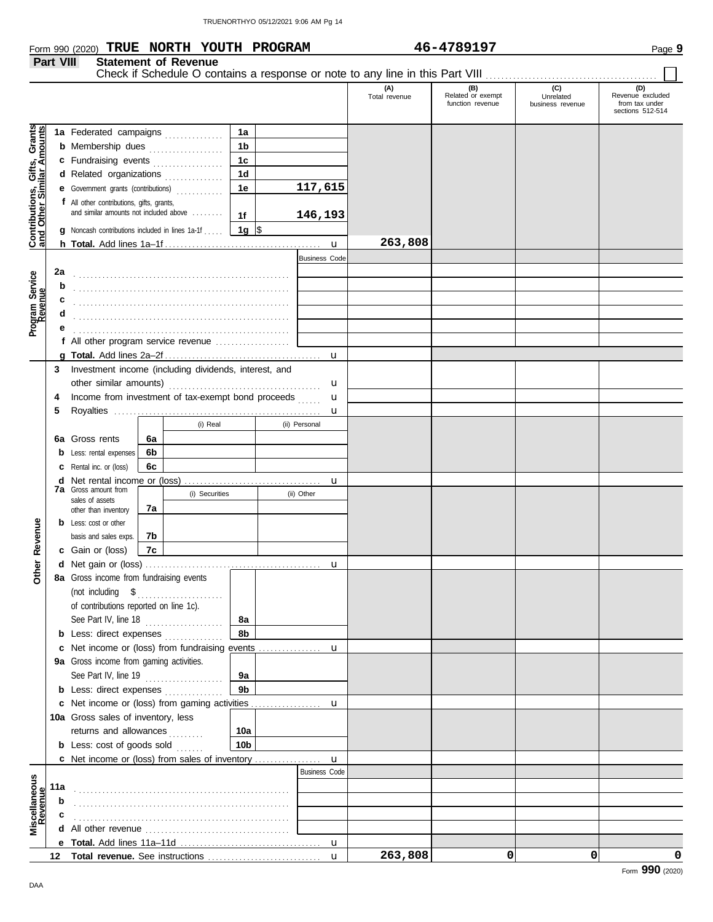**TRUE NORTH YOUTH PROGRAM 46-4789197**

|                                                           | Part VIII |                                                        |    | <b>Statement of Revenue</b> |                |                      | Check if Schedule O contains a response or note to any line in this Part VIII |                          |                               |                                    |
|-----------------------------------------------------------|-----------|--------------------------------------------------------|----|-----------------------------|----------------|----------------------|-------------------------------------------------------------------------------|--------------------------|-------------------------------|------------------------------------|
|                                                           |           |                                                        |    |                             |                |                      | (A)                                                                           | (B)<br>Related or exempt | (C)                           | (D)                                |
|                                                           |           |                                                        |    |                             |                |                      | Total revenue                                                                 | function revenue         | Unrelated<br>business revenue | Revenue excluded<br>from tax under |
|                                                           |           |                                                        |    |                             |                |                      |                                                                               |                          |                               | sections 512-514                   |
|                                                           |           | 1a Federated campaigns                                 |    |                             | 1a             |                      |                                                                               |                          |                               |                                    |
| Contributions, Gifts, Grants<br>and Other Similar Amounts |           | <b>b</b> Membership dues <i></i>                       |    |                             | 1b             |                      |                                                                               |                          |                               |                                    |
|                                                           |           | c Fundraising events                                   |    |                             | 1 <sub>c</sub> |                      |                                                                               |                          |                               |                                    |
|                                                           |           | d Related organizations                                |    |                             | 1 <sub>d</sub> |                      |                                                                               |                          |                               |                                    |
|                                                           |           | e Government grants (contributions)                    |    |                             | 1е             | 117,615              |                                                                               |                          |                               |                                    |
|                                                           |           | f All other contributions, gifts, grants,              |    |                             |                |                      |                                                                               |                          |                               |                                    |
|                                                           |           | and similar amounts not included above                 |    |                             | 1f             | 146,193              |                                                                               |                          |                               |                                    |
|                                                           |           | <b>g</b> Noncash contributions included in lines 1a-1f |    |                             | 1g $\sqrt{3}$  |                      |                                                                               |                          |                               |                                    |
|                                                           |           |                                                        |    |                             |                | $\mathbf{u}$         | 263,808                                                                       |                          |                               |                                    |
|                                                           |           |                                                        |    |                             |                | <b>Business Code</b> |                                                                               |                          |                               |                                    |
|                                                           | 2a        |                                                        |    |                             |                |                      |                                                                               |                          |                               |                                    |
| Program Service<br>Revenue                                | b         |                                                        |    |                             |                |                      |                                                                               |                          |                               |                                    |
|                                                           | c         |                                                        |    |                             |                |                      |                                                                               |                          |                               |                                    |
|                                                           |           |                                                        |    |                             |                |                      |                                                                               |                          |                               |                                    |
|                                                           |           | f All other program service revenue                    |    |                             |                |                      |                                                                               |                          |                               |                                    |
|                                                           |           |                                                        |    |                             |                | u                    |                                                                               |                          |                               |                                    |
|                                                           | 3         | Investment income (including dividends, interest, and  |    |                             |                |                      |                                                                               |                          |                               |                                    |
|                                                           |           |                                                        |    |                             |                | u                    |                                                                               |                          |                               |                                    |
|                                                           | 4         | Income from investment of tax-exempt bond proceeds     |    |                             |                | u                    |                                                                               |                          |                               |                                    |
|                                                           | 5         |                                                        |    |                             |                | u                    |                                                                               |                          |                               |                                    |
|                                                           |           |                                                        |    | (i) Real                    |                | (ii) Personal        |                                                                               |                          |                               |                                    |
|                                                           |           | 6a Gross rents                                         | 6а |                             |                |                      |                                                                               |                          |                               |                                    |
|                                                           | b         | Less: rental expenses                                  | 6b |                             |                |                      |                                                                               |                          |                               |                                    |
|                                                           |           | Rental inc. or (loss)                                  | 6c |                             |                |                      |                                                                               |                          |                               |                                    |
|                                                           |           | <b>7a</b> Gross amount from                            |    |                             |                | u                    |                                                                               |                          |                               |                                    |
|                                                           |           | sales of assets                                        |    | (i) Securities              |                | (ii) Other           |                                                                               |                          |                               |                                    |
|                                                           |           | other than inventory                                   | 7а |                             |                |                      |                                                                               |                          |                               |                                    |
| Revenue                                                   |           | <b>b</b> Less: cost or other                           |    |                             |                |                      |                                                                               |                          |                               |                                    |
|                                                           |           | basis and sales exps.                                  | 7b |                             |                |                      |                                                                               |                          |                               |                                    |
|                                                           |           | c Gain or (loss)                                       | 7c |                             |                |                      |                                                                               |                          |                               |                                    |
| <b>Other</b>                                              |           | 8a Gross income from fundraising events                |    |                             |                | u                    |                                                                               |                          |                               |                                    |
|                                                           |           | (not including $\delta$                                |    |                             |                |                      |                                                                               |                          |                               |                                    |
|                                                           |           | of contributions reported on line 1c).                 |    |                             |                |                      |                                                                               |                          |                               |                                    |
|                                                           |           | See Part IV, line 18                                   |    |                             | 8а             |                      |                                                                               |                          |                               |                                    |
|                                                           |           | <b>b</b> Less: direct expenses                         |    |                             | 8b             |                      |                                                                               |                          |                               |                                    |
|                                                           |           | c Net income or (loss) from fundraising events         |    |                             |                | u                    |                                                                               |                          |                               |                                    |
|                                                           |           | 9a Gross income from gaming activities.                |    |                             |                |                      |                                                                               |                          |                               |                                    |
|                                                           |           | See Part IV, line 19                                   |    |                             | 9а             |                      |                                                                               |                          |                               |                                    |
|                                                           |           | <b>b</b> Less: direct expenses <i>minimum</i>          |    |                             | 9 <sub>b</sub> |                      |                                                                               |                          |                               |                                    |
|                                                           |           | c Net income or (loss) from gaming activities          |    |                             |                | u                    |                                                                               |                          |                               |                                    |
|                                                           |           | 10a Gross sales of inventory, less                     |    |                             |                |                      |                                                                               |                          |                               |                                    |
|                                                           |           | returns and allowances                                 |    |                             | 10a            |                      |                                                                               |                          |                               |                                    |
|                                                           |           | <b>b</b> Less: cost of goods sold                      |    |                             | 10b            |                      |                                                                               |                          |                               |                                    |
|                                                           |           | c Net income or (loss) from sales of inventory         |    |                             |                | u                    |                                                                               |                          |                               |                                    |
|                                                           |           |                                                        |    |                             |                | <b>Business Code</b> |                                                                               |                          |                               |                                    |
|                                                           | 11a       |                                                        |    |                             |                |                      |                                                                               |                          |                               |                                    |
|                                                           | b         |                                                        |    |                             |                |                      |                                                                               |                          |                               |                                    |
| Miscellaneous<br>Revenue                                  |           |                                                        |    |                             |                |                      |                                                                               |                          |                               |                                    |
|                                                           |           |                                                        |    |                             |                | u                    |                                                                               |                          |                               |                                    |
|                                                           |           |                                                        |    |                             |                | $\mathbf{u}$         | 263,808                                                                       | 0                        | 0                             |                                    |
|                                                           |           |                                                        |    |                             |                |                      |                                                                               |                          |                               |                                    |

Form 990 (2020) Page **9**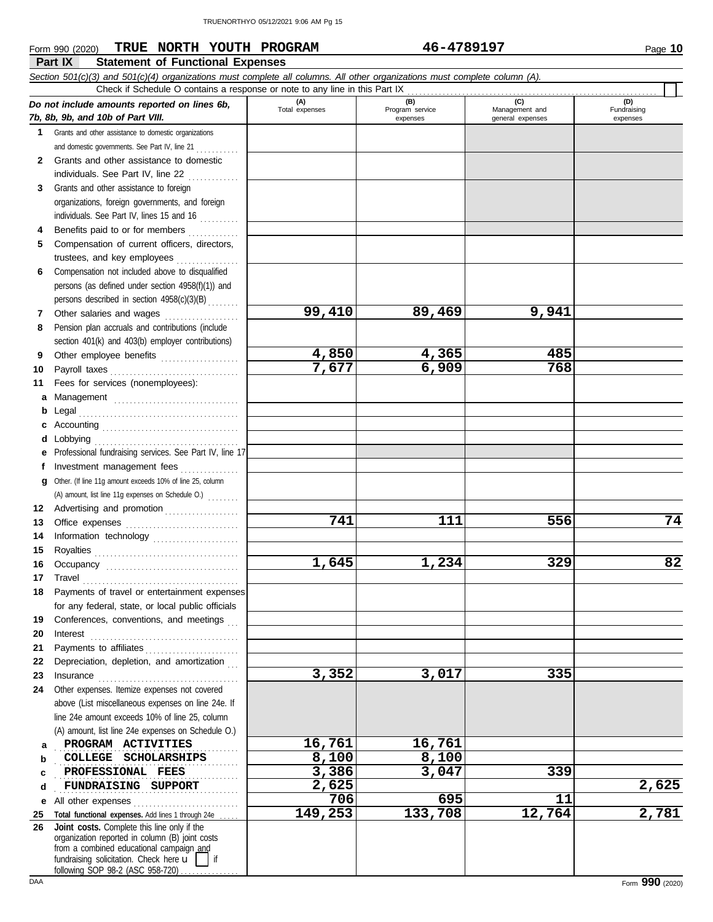### **Part IX Statement of Functional Expenses** *Section 501(c)(3) and 501(c)(4) organizations must complete all columns. All other organizations must complete column (A). Do not include amounts reported on lines 6b, 7b, 8b, 9b, and 10b of Part VIII.* **1 2 3 4 5 6 7 8 9 10 11 a** Management ................................. **b** Legal **c** Accounting . . . . . . . . . . . . . . . . . . . . . . . . . . . . . . . . . . . **d** Lobbying . . . . . . . . . . . . . . . . . . . . . . . . . . . . . . . . . . . . . **e** Professional fundraising services. See Part IV, line 17 **f g** Other. (If line 11g amount exceeds 10% of line 25, column **12** Advertising and promotion . . . . . . . . . . . . . . . . . **13 14 15 16 17 18 19 20 21 22 23 24 a b c d e** All other expenses . . . . . . . . . . . . . . . . . . . . . . . . . . . 25 Total functional expenses. Add lines 1 through 24e . . . . . **26** Grants and other assistance to domestic organizations and domestic governments. See Part IV, line 21 . . . . . . . . . . . Grants and other assistance to domestic individuals. See Part IV, line 22 Grants and other assistance to foreign organizations, foreign governments, and foreign individuals. See Part IV, lines 15 and 16 Benefits paid to or for members . . . . . . . . . . . . Compensation of current officers, directors, trustees, and key employees ................ Compensation not included above to disqualified persons (as defined under section 4958(f)(1)) and persons described in section  $4958(c)(3)(B)$ <sub>.......</sub> Other salaries and wages ................... Pension plan accruals and contributions (include section 401(k) and 403(b) employer contributions) Other employee benefits .................... Payroll taxes . . . . . . . . . . . . . . . . . . . . . . . . . . . . . . . . . Fees for services (nonemployees): . . . . . . . . . . . . . . . . . . . . . . . . . . . . . . . . . . . . . . . . . Investment management fees ............... Office expenses ................................. Information technology ..................... Royalties . . . . . . . . . . . . . . . . . . . . . . . . . . . . . . . . . . . . . Occupancy . . . . . . . . . . . . . . . . . . . . . . . . . . . . . . . . . . Travel . . . . . . . . . . . . . . . . . . . . . . . . . . . . . . . . . . . . . . . . Payments of travel or entertainment expenses for any federal, state, or local public officials Conferences, conventions, and meetings Interest . . . . . . . . . . . . . . . . . . . . . . . . . . . . . . . . . . . . . . Payments to affiliates . . . . . . . . . . . . . . . . . . . . . . . . Depreciation, depletion, and amortization Insurance . . . . . . . . . . . . . . . . . . . . . . . . . . . . . . . . . . . . Other expenses. Itemize expenses not covered above (List miscellaneous expenses on line 24e. If line 24e amount exceeds 10% of line 25, column (A) amount, list line 24e expenses on Schedule O.) fundraising solicitation. Check here  $\mathbf{u}$  | if organization reported in column (B) joint costs from a combined educational campaign and following SOP 98-2 (ASC 958-720) . **(A) (B) (C) (D)** Total expenses Program service Management and expenses | general expenses Fundraising expenses **PROGRAM ACTIVITIES 16,761 16,761 COLLEGE SCHOLARSHIPS** 8,100 8,100 . . . . . . . . . . . . . . . . . . . . . . . . . . . . . . . . . . . . . . . . . . . . . . . **PROFESSIONAL FEES 3,386 3,047 339** . . . . . . . . . . . . . . . . . . . . . . . . . . . . . . . . . . . . . . . . . . . . . . . **FUNDRAISING SUPPORT 2,625 2,625** Check if Schedule O contains a response or note to any line in this Part IX **Joint costs.** Complete this line only if the (A) amount, list line 11g expenses on Schedule O.) . . . . . . . . **99,410 89,469 9,941 4,850 4,365 485 7,677 6,909 768 741 111 556 74 1,645 1,234 329 82 3,352 3,017 335 706 695 11 149,253 133,708 12,764 2,781**

Form 990 (2020) Page **10 TRUE NORTH YOUTH PROGRAM 46-4789197**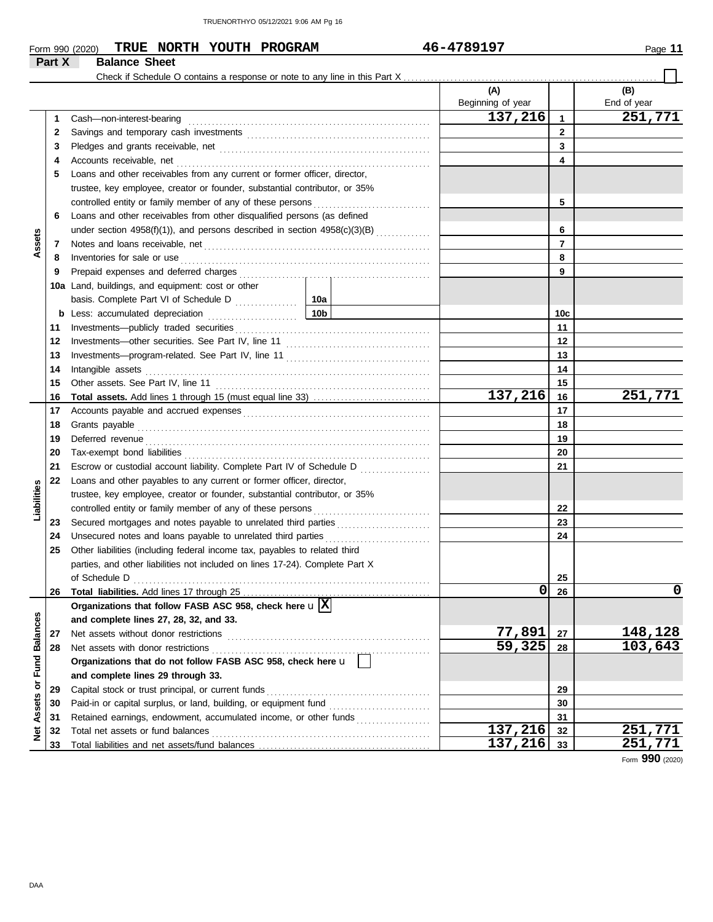|                         |        | TRUE NORTH YOUTH PROGRAM<br>Form 990 (2020)                                                                                                                                                                                    |  | 46-4789197               |                | Page 11            |
|-------------------------|--------|--------------------------------------------------------------------------------------------------------------------------------------------------------------------------------------------------------------------------------|--|--------------------------|----------------|--------------------|
|                         | Part X | <b>Balance Sheet</b>                                                                                                                                                                                                           |  |                          |                |                    |
|                         |        |                                                                                                                                                                                                                                |  |                          |                |                    |
|                         |        |                                                                                                                                                                                                                                |  | (A)<br>Beginning of year |                | (B)<br>End of year |
|                         |        |                                                                                                                                                                                                                                |  |                          |                | 251,771            |
|                         | 1      | Cash-non-interest-bearing                                                                                                                                                                                                      |  | 137,216                  | 1              |                    |
|                         | 2      |                                                                                                                                                                                                                                |  |                          | $\mathbf{2}$   |                    |
|                         | 3      |                                                                                                                                                                                                                                |  |                          | 3              |                    |
|                         | 4      |                                                                                                                                                                                                                                |  |                          | 4              |                    |
|                         | 5      | Loans and other receivables from any current or former officer, director,                                                                                                                                                      |  |                          |                |                    |
|                         |        | trustee, key employee, creator or founder, substantial contributor, or 35%                                                                                                                                                     |  |                          |                |                    |
|                         |        |                                                                                                                                                                                                                                |  |                          | 5              |                    |
|                         | 6      | Loans and other receivables from other disqualified persons (as defined                                                                                                                                                        |  |                          |                |                    |
| Assets                  |        |                                                                                                                                                                                                                                |  |                          | 6              |                    |
|                         | 7      |                                                                                                                                                                                                                                |  |                          | $\overline{7}$ |                    |
|                         | 8      |                                                                                                                                                                                                                                |  |                          | 8              |                    |
|                         | 9      |                                                                                                                                                                                                                                |  |                          | 9              |                    |
|                         |        | <b>10a</b> Land, buildings, and equipment: cost or other                                                                                                                                                                       |  |                          |                |                    |
|                         |        |                                                                                                                                                                                                                                |  |                          |                |                    |
|                         |        |                                                                                                                                                                                                                                |  |                          | 10c            |                    |
|                         | 11     |                                                                                                                                                                                                                                |  |                          | 11             |                    |
|                         | 12     |                                                                                                                                                                                                                                |  |                          | 12             |                    |
|                         | 13     |                                                                                                                                                                                                                                |  |                          | 13             |                    |
|                         | 14     | Intangible assets with a state of the contract of the state of the state of the state of the state of the state of the state of the state of the state of the state of the state of the state of the state of the state of the |  |                          | 14             |                    |
|                         | 15     |                                                                                                                                                                                                                                |  |                          | 15             |                    |
|                         | 16     |                                                                                                                                                                                                                                |  | 137,216                  | 16             | 251,771            |
|                         | 17     |                                                                                                                                                                                                                                |  |                          | 17             |                    |
|                         | 18     |                                                                                                                                                                                                                                |  |                          | 18             |                    |
|                         | 19     |                                                                                                                                                                                                                                |  |                          | 19             |                    |
|                         | 20     |                                                                                                                                                                                                                                |  | 20                       |                |                    |
|                         | 21     | Escrow or custodial account liability. Complete Part IV of Schedule D                                                                                                                                                          |  |                          | 21             |                    |
|                         | 22     | Loans and other payables to any current or former officer, director,                                                                                                                                                           |  |                          |                |                    |
| Liabilities             |        | trustee, key employee, creator or founder, substantial contributor, or 35%                                                                                                                                                     |  |                          |                |                    |
|                         |        | controlled entity or family member of any of these persons                                                                                                                                                                     |  |                          | 22             |                    |
|                         | 23     | Secured mortgages and notes payable to unrelated third parties [111] Secured mortgages and notes payable to unrelated third parties                                                                                            |  |                          | 23             |                    |
|                         | 24     | Unsecured notes and loans payable to unrelated third parties                                                                                                                                                                   |  |                          | 24             |                    |
|                         | 25     | Other liabilities (including federal income tax, payables to related third                                                                                                                                                     |  |                          |                |                    |
|                         |        | parties, and other liabilities not included on lines 17-24). Complete Part X                                                                                                                                                   |  |                          |                |                    |
|                         |        | of Schedule D                                                                                                                                                                                                                  |  | 0                        | 25<br>26       | 0                  |
|                         | 26     | Organizations that follow FASB ASC 958, check here $\mathbf{u} \overline{X}$                                                                                                                                                   |  |                          |                |                    |
|                         |        | and complete lines 27, 28, 32, and 33.                                                                                                                                                                                         |  |                          |                |                    |
|                         | 27     | Net assets without donor restrictions                                                                                                                                                                                          |  | 77,891                   | 27             | 148,128            |
|                         | 28     | Net assets with donor restrictions                                                                                                                                                                                             |  | 59,325                   | 28             | 103,643            |
|                         |        | Organizations that do not follow FASB ASC 958, check here u                                                                                                                                                                    |  |                          |                |                    |
|                         |        |                                                                                                                                                                                                                                |  |                          |                |                    |
| Assets or Fund Balances | 29     | and complete lines 29 through 33.<br>Capital stock or trust principal, or current funds                                                                                                                                        |  | 29                       |                |                    |
|                         | 30     | Paid-in or capital surplus, or land, building, or equipment fund                                                                                                                                                               |  |                          | 30             |                    |
|                         | 31     | Retained earnings, endowment, accumulated income, or other funds                                                                                                                                                               |  |                          | 31             |                    |
|                         | 32     | Total net assets or fund balances                                                                                                                                                                                              |  | 137,216                  | 32             | 251,771            |
| ğ                       | 33     |                                                                                                                                                                                                                                |  | 137,216                  | 33             | 251,771            |
|                         |        |                                                                                                                                                                                                                                |  |                          |                |                    |

Form **990** (2020)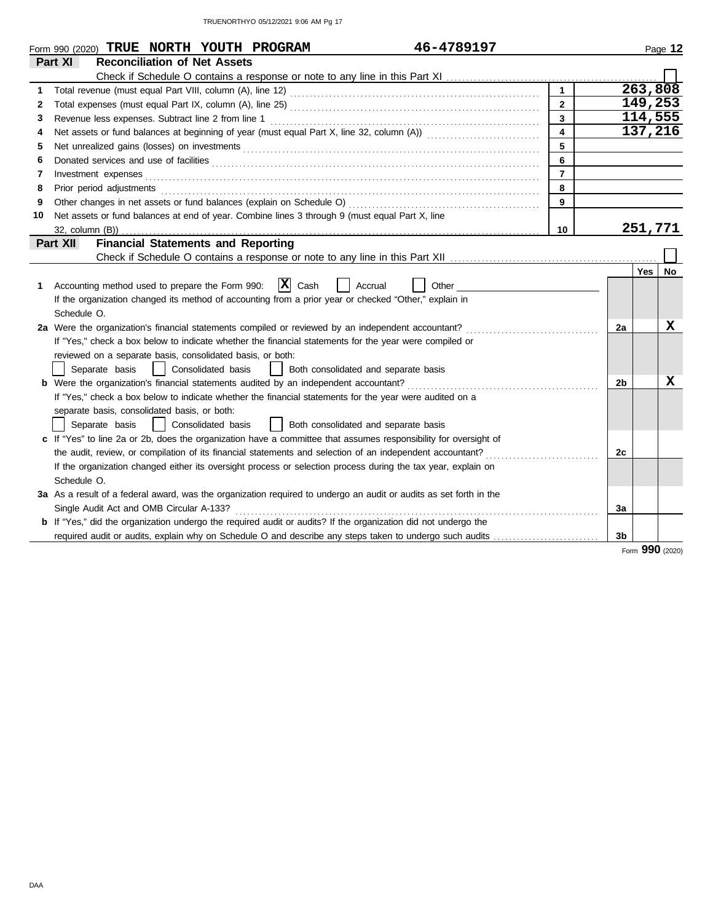|    | 46-4789197<br>Form 990 (2020) TRUE NORTH YOUTH PROGRAM                                                                                                                                                                         |                         |    |         | Page 12 |
|----|--------------------------------------------------------------------------------------------------------------------------------------------------------------------------------------------------------------------------------|-------------------------|----|---------|---------|
|    | <b>Reconciliation of Net Assets</b><br>Part XI                                                                                                                                                                                 |                         |    |         |         |
|    |                                                                                                                                                                                                                                |                         |    |         |         |
| 1  |                                                                                                                                                                                                                                | $\mathbf{1}$            |    |         | 263,808 |
| 2  |                                                                                                                                                                                                                                | $\overline{2}$          |    |         | 149,253 |
| 3  | Revenue less expenses. Subtract line 2 from line 1                                                                                                                                                                             | $\overline{\mathbf{3}}$ |    |         | 114,555 |
| 4  | Net assets or fund balances at beginning of year (must equal Part X, line 32, column (A)) [[[[[[[[[[[[[[[[[[[                                                                                                                  | $\overline{\mathbf{4}}$ |    |         | 137,216 |
| 5  |                                                                                                                                                                                                                                | 5                       |    |         |         |
| 6  | Donated services and use of facilities <b>constructs</b> and the service of facilities <b>constructs</b> and use of facilities                                                                                                 | 6                       |    |         |         |
| 7  |                                                                                                                                                                                                                                | $\overline{7}$          |    |         |         |
| 8  | Prior period adjustments [11, 12] and the contract of the contract of the contract of the contract of the contract of the contract of the contract of the contract of the contract of the contract of the contract of the cont | 8                       |    |         |         |
| 9  |                                                                                                                                                                                                                                | 9                       |    |         |         |
| 10 | Net assets or fund balances at end of year. Combine lines 3 through 9 (must equal Part X, line                                                                                                                                 |                         |    |         |         |
|    | $32$ , column $(B)$ )                                                                                                                                                                                                          | 10                      |    | 251,771 |         |
|    | <b>Financial Statements and Reporting</b><br>Part XII                                                                                                                                                                          |                         |    |         |         |
|    |                                                                                                                                                                                                                                |                         |    |         |         |
|    |                                                                                                                                                                                                                                |                         |    | Yes     | No      |
| 1  | $ \mathbf{X} $ Cash<br>Accounting method used to prepare the Form 990:<br>Accrual<br>Other                                                                                                                                     |                         |    |         |         |
|    | If the organization changed its method of accounting from a prior year or checked "Other," explain in                                                                                                                          |                         |    |         |         |
|    | Schedule O.                                                                                                                                                                                                                    |                         |    |         |         |
|    | 2a Were the organization's financial statements compiled or reviewed by an independent accountant?                                                                                                                             |                         | 2a |         | x       |
|    | If "Yes," check a box below to indicate whether the financial statements for the year were compiled or                                                                                                                         |                         |    |         |         |
|    | reviewed on a separate basis, consolidated basis, or both:                                                                                                                                                                     |                         |    |         |         |
|    | Consolidated basis<br>Separate basis<br>$\Box$<br>Both consolidated and separate basis                                                                                                                                         |                         |    |         |         |
|    |                                                                                                                                                                                                                                |                         | 2b |         | X       |
|    | If "Yes," check a box below to indicate whether the financial statements for the year were audited on a                                                                                                                        |                         |    |         |         |
|    | separate basis, consolidated basis, or both:                                                                                                                                                                                   |                         |    |         |         |
|    | Separate basis<br>Consolidated basis<br>Both consolidated and separate basis                                                                                                                                                   |                         |    |         |         |
|    | c If "Yes" to line 2a or 2b, does the organization have a committee that assumes responsibility for oversight of                                                                                                               |                         |    |         |         |
|    | the audit, review, or compilation of its financial statements and selection of an independent accountant?                                                                                                                      |                         | 2с |         |         |
|    | If the organization changed either its oversight process or selection process during the tax year, explain on                                                                                                                  |                         |    |         |         |
|    | Schedule O.                                                                                                                                                                                                                    |                         |    |         |         |
|    | 3a As a result of a federal award, was the organization required to undergo an audit or audits as set forth in the                                                                                                             |                         |    |         |         |
|    | Single Audit Act and OMB Circular A-133?                                                                                                                                                                                       |                         | За |         |         |
|    | <b>b</b> If "Yes," did the organization undergo the required audit or audits? If the organization did not undergo the                                                                                                          |                         |    |         |         |
|    |                                                                                                                                                                                                                                |                         | 3b |         |         |

Form **990** (2020)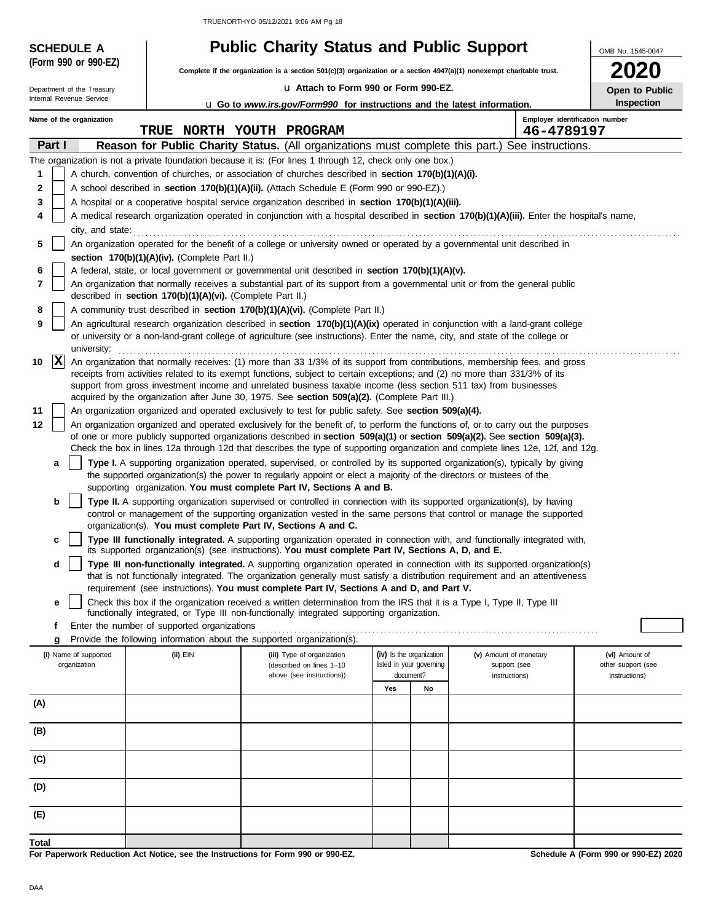| <b>SCHEDULE A</b>                                                                                                                                                               |                                                            | <b>Public Charity Status and Public Support</b>                                                                                                                                                                                                                 |     |                                                      |                                        |                                      |  |  |
|---------------------------------------------------------------------------------------------------------------------------------------------------------------------------------|------------------------------------------------------------|-----------------------------------------------------------------------------------------------------------------------------------------------------------------------------------------------------------------------------------------------------------------|-----|------------------------------------------------------|----------------------------------------|--------------------------------------|--|--|
| (Form 990 or 990-EZ)                                                                                                                                                            |                                                            | Complete if the organization is a section 501(c)(3) organization or a section 4947(a)(1) nonexempt charitable trust.                                                                                                                                            |     |                                                      |                                        | OMB No. 1545-0047                    |  |  |
| Department of the Treasury                                                                                                                                                      |                                                            | La Attach to Form 990 or Form 990-EZ.                                                                                                                                                                                                                           |     |                                                      |                                        | Open to Public                       |  |  |
| Internal Revenue Service                                                                                                                                                        |                                                            | <b>u</b> Go to <i>www.irs.gov/Form990</i> for instructions and the latest information.                                                                                                                                                                          |     |                                                      |                                        | Inspection                           |  |  |
| Name of the organization                                                                                                                                                        |                                                            |                                                                                                                                                                                                                                                                 |     |                                                      |                                        | Employer identification number       |  |  |
|                                                                                                                                                                                 |                                                            | TRUE NORTH YOUTH PROGRAM                                                                                                                                                                                                                                        |     |                                                      | 46-4789197                             |                                      |  |  |
| Part I                                                                                                                                                                          |                                                            | Reason for Public Charity Status. (All organizations must complete this part.) See instructions.<br>The organization is not a private foundation because it is: (For lines 1 through 12, check only one box.)                                                   |     |                                                      |                                        |                                      |  |  |
| 1                                                                                                                                                                               |                                                            | A church, convention of churches, or association of churches described in section 170(b)(1)(A)(i).                                                                                                                                                              |     |                                                      |                                        |                                      |  |  |
| $\mathbf{2}$                                                                                                                                                                    |                                                            | A school described in section 170(b)(1)(A)(ii). (Attach Schedule E (Form 990 or 990-EZ).)                                                                                                                                                                       |     |                                                      |                                        |                                      |  |  |
| 3                                                                                                                                                                               |                                                            | A hospital or a cooperative hospital service organization described in section 170(b)(1)(A)(iii).                                                                                                                                                               |     |                                                      |                                        |                                      |  |  |
| 4                                                                                                                                                                               |                                                            | A medical research organization operated in conjunction with a hospital described in section 170(b)(1)(A)(iii). Enter the hospital's name,                                                                                                                      |     |                                                      |                                        |                                      |  |  |
| city, and state:                                                                                                                                                                |                                                            |                                                                                                                                                                                                                                                                 |     |                                                      |                                        |                                      |  |  |
| 5<br>An organization operated for the benefit of a college or university owned or operated by a governmental unit described in<br>section 170(b)(1)(A)(iv). (Complete Part II.) |                                                            |                                                                                                                                                                                                                                                                 |     |                                                      |                                        |                                      |  |  |
| 6                                                                                                                                                                               |                                                            | A federal, state, or local government or governmental unit described in section 170(b)(1)(A)(v).                                                                                                                                                                |     |                                                      |                                        |                                      |  |  |
| 7                                                                                                                                                                               |                                                            | An organization that normally receives a substantial part of its support from a governmental unit or from the general public                                                                                                                                    |     |                                                      |                                        |                                      |  |  |
|                                                                                                                                                                                 | described in section 170(b)(1)(A)(vi). (Complete Part II.) |                                                                                                                                                                                                                                                                 |     |                                                      |                                        |                                      |  |  |
| 8                                                                                                                                                                               |                                                            | A community trust described in section 170(b)(1)(A)(vi). (Complete Part II.)                                                                                                                                                                                    |     |                                                      |                                        |                                      |  |  |
| 9<br>university:                                                                                                                                                                |                                                            | An agricultural research organization described in section 170(b)(1)(A)(ix) operated in conjunction with a land-grant college<br>or university or a non-land-grant college of agriculture (see instructions). Enter the name, city, and state of the college or |     |                                                      |                                        |                                      |  |  |
| $ {\bf x} $<br>10                                                                                                                                                               |                                                            | An organization that normally receives: (1) more than 33 1/3% of its support from contributions, membership fees, and gross                                                                                                                                     |     |                                                      |                                        |                                      |  |  |
|                                                                                                                                                                                 |                                                            | receipts from activities related to its exempt functions, subject to certain exceptions; and (2) no more than 331/3% of its<br>support from gross investment income and unrelated business taxable income (less section 511 tax) from businesses                |     |                                                      |                                        |                                      |  |  |
|                                                                                                                                                                                 |                                                            | acquired by the organization after June 30, 1975. See section 509(a)(2). (Complete Part III.)                                                                                                                                                                   |     |                                                      |                                        |                                      |  |  |
| 11                                                                                                                                                                              |                                                            | An organization organized and operated exclusively to test for public safety. See section 509(a)(4).                                                                                                                                                            |     |                                                      |                                        |                                      |  |  |
| 12                                                                                                                                                                              |                                                            | An organization organized and operated exclusively for the benefit of, to perform the functions of, or to carry out the purposes                                                                                                                                |     |                                                      |                                        |                                      |  |  |
|                                                                                                                                                                                 |                                                            | of one or more publicly supported organizations described in section 509(a)(1) or section 509(a)(2). See section 509(a)(3).<br>Check the box in lines 12a through 12d that describes the type of supporting organization and complete lines 12e, 12f, and 12g.  |     |                                                      |                                        |                                      |  |  |
| a                                                                                                                                                                               |                                                            | Type I. A supporting organization operated, supervised, or controlled by its supported organization(s), typically by giving                                                                                                                                     |     |                                                      |                                        |                                      |  |  |
|                                                                                                                                                                                 |                                                            | the supported organization(s) the power to regularly appoint or elect a majority of the directors or trustees of the                                                                                                                                            |     |                                                      |                                        |                                      |  |  |
|                                                                                                                                                                                 |                                                            | supporting organization. You must complete Part IV, Sections A and B.                                                                                                                                                                                           |     |                                                      |                                        |                                      |  |  |
| b                                                                                                                                                                               |                                                            | Type II. A supporting organization supervised or controlled in connection with its supported organization(s), by having<br>control or management of the supporting organization vested in the same persons that control or manage the supported                 |     |                                                      |                                        |                                      |  |  |
|                                                                                                                                                                                 |                                                            | organization(s). You must complete Part IV, Sections A and C.                                                                                                                                                                                                   |     |                                                      |                                        |                                      |  |  |
| c                                                                                                                                                                               |                                                            | Type III functionally integrated. A supporting organization operated in connection with, and functionally integrated with,<br>its supported organization(s) (see instructions). You must complete Part IV, Sections A, D, and E.                                |     |                                                      |                                        |                                      |  |  |
| d                                                                                                                                                                               |                                                            | Type III non-functionally integrated. A supporting organization operated in connection with its supported organization(s)                                                                                                                                       |     |                                                      |                                        |                                      |  |  |
|                                                                                                                                                                                 |                                                            | that is not functionally integrated. The organization generally must satisfy a distribution requirement and an attentiveness                                                                                                                                    |     |                                                      |                                        |                                      |  |  |
|                                                                                                                                                                                 |                                                            | requirement (see instructions). You must complete Part IV, Sections A and D, and Part V.                                                                                                                                                                        |     |                                                      |                                        |                                      |  |  |
| е                                                                                                                                                                               |                                                            | Check this box if the organization received a written determination from the IRS that it is a Type I, Type II, Type III<br>functionally integrated, or Type III non-functionally integrated supporting organization.                                            |     |                                                      |                                        |                                      |  |  |
| f                                                                                                                                                                               | Enter the number of supported organizations                |                                                                                                                                                                                                                                                                 |     |                                                      |                                        |                                      |  |  |
| g                                                                                                                                                                               |                                                            | Provide the following information about the supported organization(s).                                                                                                                                                                                          |     |                                                      |                                        |                                      |  |  |
| (i) Name of supported<br>organization                                                                                                                                           | (ii) EIN                                                   | (iii) Type of organization<br>(described on lines 1-10                                                                                                                                                                                                          |     | (iv) Is the organization<br>listed in your governing | (v) Amount of monetary<br>support (see | (vi) Amount of<br>other support (see |  |  |
|                                                                                                                                                                                 |                                                            | above (see instructions))                                                                                                                                                                                                                                       |     | document?                                            | instructions)                          | instructions)                        |  |  |
|                                                                                                                                                                                 |                                                            |                                                                                                                                                                                                                                                                 | Yes | No                                                   |                                        |                                      |  |  |
| (A)                                                                                                                                                                             |                                                            |                                                                                                                                                                                                                                                                 |     |                                                      |                                        |                                      |  |  |
| (B)                                                                                                                                                                             |                                                            |                                                                                                                                                                                                                                                                 |     |                                                      |                                        |                                      |  |  |
|                                                                                                                                                                                 |                                                            |                                                                                                                                                                                                                                                                 |     |                                                      |                                        |                                      |  |  |
| (C)                                                                                                                                                                             |                                                            |                                                                                                                                                                                                                                                                 |     |                                                      |                                        |                                      |  |  |
| (D)                                                                                                                                                                             |                                                            |                                                                                                                                                                                                                                                                 |     |                                                      |                                        |                                      |  |  |
| (E)                                                                                                                                                                             |                                                            |                                                                                                                                                                                                                                                                 |     |                                                      |                                        |                                      |  |  |
| <b>Total</b>                                                                                                                                                                    |                                                            |                                                                                                                                                                                                                                                                 |     |                                                      |                                        |                                      |  |  |

**For Paperwork Reduction Act Notice, see the Instructions for Form 990 or 990-EZ.**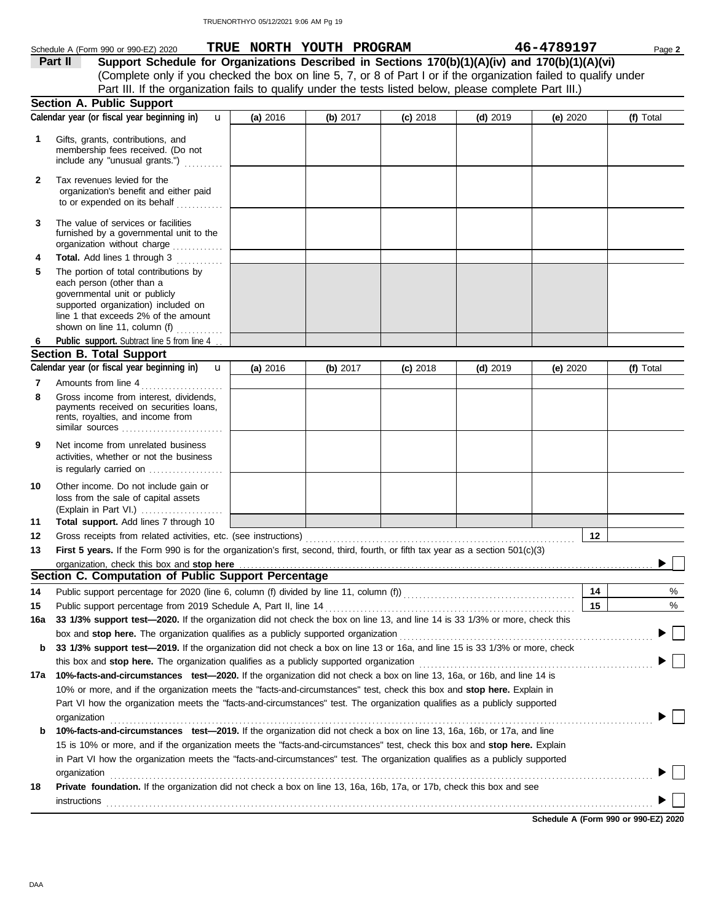|          | Schedule A (Form 990 or 990-EZ) 2020                                                                                                                                                                                                                                                                                                                          |          | TRUE NORTH YOUTH PROGRAM |            |            | 46-4789197 | Page 2    |
|----------|---------------------------------------------------------------------------------------------------------------------------------------------------------------------------------------------------------------------------------------------------------------------------------------------------------------------------------------------------------------|----------|--------------------------|------------|------------|------------|-----------|
|          | Support Schedule for Organizations Described in Sections 170(b)(1)(A)(iv) and 170(b)(1)(A)(vi)<br>Part II                                                                                                                                                                                                                                                     |          |                          |            |            |            |           |
|          | (Complete only if you checked the box on line 5, 7, or 8 of Part I or if the organization failed to qualify under                                                                                                                                                                                                                                             |          |                          |            |            |            |           |
|          | Part III. If the organization fails to qualify under the tests listed below, please complete Part III.)                                                                                                                                                                                                                                                       |          |                          |            |            |            |           |
|          | <b>Section A. Public Support</b>                                                                                                                                                                                                                                                                                                                              |          |                          |            |            |            |           |
|          | Calendar year (or fiscal year beginning in)<br>$\mathbf{u}$                                                                                                                                                                                                                                                                                                   | (a) 2016 | (b) 2017                 | $(c)$ 2018 | $(d)$ 2019 | (e) $2020$ | (f) Total |
| 1        | Gifts, grants, contributions, and<br>membership fees received. (Do not<br>include any "unusual grants.")                                                                                                                                                                                                                                                      |          |                          |            |            |            |           |
| 2        | Tax revenues levied for the<br>organization's benefit and either paid<br>to or expended on its behalf                                                                                                                                                                                                                                                         |          |                          |            |            |            |           |
| 3        | The value of services or facilities<br>furnished by a governmental unit to the<br>organization without charge                                                                                                                                                                                                                                                 |          |                          |            |            |            |           |
| 4        | Total. Add lines 1 through 3                                                                                                                                                                                                                                                                                                                                  |          |                          |            |            |            |           |
| 5        | The portion of total contributions by<br>each person (other than a<br>governmental unit or publicly<br>supported organization) included on<br>line 1 that exceeds 2% of the amount<br>shown on line 11, column (f)                                                                                                                                            |          |                          |            |            |            |           |
| 6        | Public support. Subtract line 5 from line 4                                                                                                                                                                                                                                                                                                                   |          |                          |            |            |            |           |
|          | <b>Section B. Total Support</b>                                                                                                                                                                                                                                                                                                                               |          |                          |            |            |            |           |
|          | Calendar year (or fiscal year beginning in)<br>$\mathbf{u}$                                                                                                                                                                                                                                                                                                   | (a) 2016 | (b) 2017                 | $(c)$ 2018 | $(d)$ 2019 | (e) $2020$ | (f) Total |
| 7        | Amounts from line 4                                                                                                                                                                                                                                                                                                                                           |          |                          |            |            |            |           |
| 8        | Gross income from interest, dividends,<br>payments received on securities loans,<br>rents, royalties, and income from<br>similar sources                                                                                                                                                                                                                      |          |                          |            |            |            |           |
| 9        | Net income from unrelated business<br>activities, whether or not the business<br>is regularly carried on                                                                                                                                                                                                                                                      |          |                          |            |            |            |           |
| 10       | Other income. Do not include gain or<br>loss from the sale of capital assets<br>(Explain in Part VI.)                                                                                                                                                                                                                                                         |          |                          |            |            |            |           |
| 11       | Total support. Add lines 7 through 10                                                                                                                                                                                                                                                                                                                         |          |                          |            |            |            |           |
| 12       |                                                                                                                                                                                                                                                                                                                                                               |          |                          |            |            | 12         |           |
| 13       | First 5 years. If the Form 990 is for the organization's first, second, third, fourth, or fifth tax year as a section 501(c)(3)                                                                                                                                                                                                                               |          |                          |            |            |            |           |
|          | Section C. Computation of Public Support Percentage                                                                                                                                                                                                                                                                                                           |          |                          |            |            |            |           |
|          |                                                                                                                                                                                                                                                                                                                                                               |          |                          |            |            | 14         |           |
| 14<br>15 |                                                                                                                                                                                                                                                                                                                                                               |          |                          |            |            | 15         | %<br>%    |
| 16a      | 33 1/3% support test-2020. If the organization did not check the box on line 13, and line 14 is 33 1/3% or more, check this                                                                                                                                                                                                                                   |          |                          |            |            |            |           |
|          |                                                                                                                                                                                                                                                                                                                                                               |          |                          |            |            |            |           |
| b        | box and stop here. The organization qualifies as a publicly supported organization [11] content content content or the organization [11] content and stop here. The organization content of the state of the state or the stat<br>33 1/3% support test-2019. If the organization did not check a box on line 13 or 16a, and line 15 is 33 1/3% or more, check |          |                          |            |            |            |           |
|          |                                                                                                                                                                                                                                                                                                                                                               |          |                          |            |            |            |           |
|          | 17a 10%-facts-and-circumstances test-2020. If the organization did not check a box on line 13, 16a, or 16b, and line 14 is                                                                                                                                                                                                                                    |          |                          |            |            |            |           |
|          | 10% or more, and if the organization meets the "facts-and-circumstances" test, check this box and stop here. Explain in                                                                                                                                                                                                                                       |          |                          |            |            |            |           |
|          | Part VI how the organization meets the "facts-and-circumstances" test. The organization qualifies as a publicly supported                                                                                                                                                                                                                                     |          |                          |            |            |            |           |
|          |                                                                                                                                                                                                                                                                                                                                                               |          |                          |            |            |            |           |
| b        | organization www.commutation.com/www.commutation.com/www.commutation.com/www.commutation.com/www.commutation.com<br>10%-facts-and-circumstances test-2019. If the organization did not check a box on line 13, 16a, 16b, or 17a, and line                                                                                                                     |          |                          |            |            |            |           |
|          | 15 is 10% or more, and if the organization meets the "facts-and-circumstances" test, check this box and stop here. Explain                                                                                                                                                                                                                                    |          |                          |            |            |            |           |
|          | in Part VI how the organization meets the "facts-and-circumstances" test. The organization qualifies as a publicly supported                                                                                                                                                                                                                                  |          |                          |            |            |            |           |
|          |                                                                                                                                                                                                                                                                                                                                                               |          |                          |            |            |            |           |
| 18       | Private foundation. If the organization did not check a box on line 13, 16a, 16b, 17a, or 17b, check this box and see                                                                                                                                                                                                                                         |          |                          |            |            |            |           |
|          |                                                                                                                                                                                                                                                                                                                                                               |          |                          |            |            |            |           |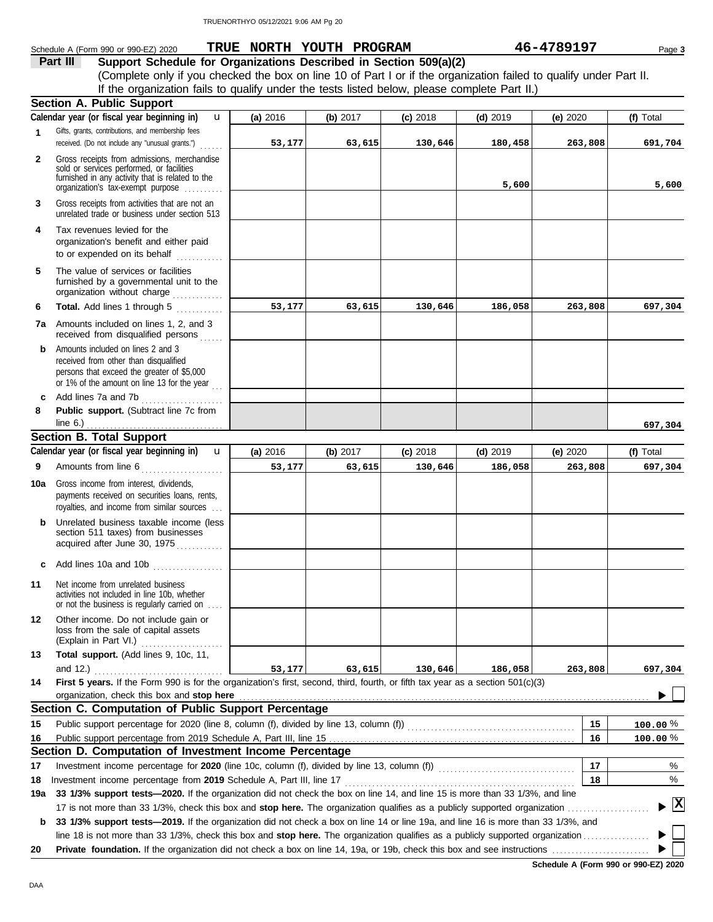|     |                                                                                                                                                                                   |            | TRUE NORTH YOUTH PROGRAM |            |            | 46-4789197 |           |
|-----|-----------------------------------------------------------------------------------------------------------------------------------------------------------------------------------|------------|--------------------------|------------|------------|------------|-----------|
|     | Schedule A (Form 990 or 990-EZ) 2020<br>Part III<br>Support Schedule for Organizations Described in Section 509(a)(2)                                                             |            |                          |            |            |            | Page 3    |
|     | (Complete only if you checked the box on line 10 of Part I or if the organization failed to qualify under Part II.                                                                |            |                          |            |            |            |           |
|     | If the organization fails to qualify under the tests listed below, please complete Part II.)                                                                                      |            |                          |            |            |            |           |
|     | <b>Section A. Public Support</b>                                                                                                                                                  |            |                          |            |            |            |           |
|     | Calendar year (or fiscal year beginning in)<br>u                                                                                                                                  | (a) $2016$ | (b) $2017$               | $(c)$ 2018 | $(d)$ 2019 | (e) $2020$ | (f) Total |
| 1   | Gifts, grants, contributions, and membership fees                                                                                                                                 |            |                          |            |            |            |           |
|     | received. (Do not include any "unusual grants.")                                                                                                                                  | 53,177     | 63,615                   | 130,646    | 180,458    | 263,808    | 691,704   |
| 2   | Gross receipts from admissions, merchandise<br>sold or services performed, or facilities<br>furnished in any activity that is related to the<br>organization's tax-exempt purpose |            |                          |            | 5,600      |            | 5,600     |
| 3   | Gross receipts from activities that are not an<br>unrelated trade or business under section 513                                                                                   |            |                          |            |            |            |           |
| 4   | Tax revenues levied for the<br>organization's benefit and either paid<br>to or expended on its behalf<br><u>a sa salawan</u>                                                      |            |                          |            |            |            |           |
| 5   | The value of services or facilities<br>furnished by a governmental unit to the<br>organization without charge                                                                     |            |                          |            |            |            |           |
| 6   | Total. Add lines 1 through 5                                                                                                                                                      | 53,177     | 63,615                   | 130,646    | 186,058    | 263,808    | 697,304   |
| 7a  | Amounts included on lines 1, 2, and 3<br>received from disqualified persons                                                                                                       |            |                          |            |            |            |           |
| b   | Amounts included on lines 2 and 3<br>received from other than disqualified<br>persons that exceed the greater of \$5,000<br>or 1% of the amount on line 13 for the year           |            |                          |            |            |            |           |
| c   | Add lines 7a and 7b                                                                                                                                                               |            |                          |            |            |            |           |
| 8   | Public support. (Subtract line 7c from                                                                                                                                            |            |                          |            |            |            |           |
|     | line $6.$ )                                                                                                                                                                       |            |                          |            |            |            | 697,304   |
|     | <b>Section B. Total Support</b>                                                                                                                                                   |            |                          |            |            |            |           |
|     | Calendar year (or fiscal year beginning in)<br>$\mathbf{u}$                                                                                                                       | (a) 2016   | (b) 2017                 | $(c)$ 2018 | $(d)$ 2019 | (e) 2020   | (f) Total |
| 9   | Amounts from line 6                                                                                                                                                               | 53,177     | 63,615                   | 130,646    | 186,058    | 263,808    | 697,304   |
| 10a | Gross income from interest, dividends,<br>payments received on securities loans, rents,<br>royalties, and income from similar sources                                             |            |                          |            |            |            |           |
|     | Unrelated business taxable income (less<br>section 511 taxes) from businesses<br>acquired after June 30, 1975                                                                     |            |                          |            |            |            |           |
| c   | Add lines 10a and 10b                                                                                                                                                             |            |                          |            |            |            |           |
| 11  | Net income from unrelated business<br>activities not included in line 10b, whether<br>or not the business is regularly carried on                                                 |            |                          |            |            |            |           |
| 12  | Other income. Do not include gain or<br>loss from the sale of capital assets<br>(Explain in Part VI.)                                                                             |            |                          |            |            |            |           |
| 13  | Total support. (Add lines 9, 10c, 11,<br>and $12.$ )                                                                                                                              | 53,177     | 63,615                   | 130,646    | 186,058    | 263,808    | 697,304   |
| 14  | First 5 years. If the Form 990 is for the organization's first, second, third, fourth, or fifth tax year as a section 501(c)(3)                                                   |            |                          |            |            |            |           |
|     | organization, check this box and stop here                                                                                                                                        |            |                          |            |            |            |           |
|     | Section C. Computation of Public Support Percentage                                                                                                                               |            |                          |            |            |            |           |
| 15  |                                                                                                                                                                                   |            |                          |            |            | 15         | 100.00%   |
| 16  |                                                                                                                                                                                   |            |                          |            |            | 16         | 100.00%   |
|     | Section D. Computation of Investment Income Percentage                                                                                                                            |            |                          |            |            |            |           |
| 17  | Investment income percentage for 2020 (line 10c, column (f), divided by line 13, column (f))                                                                                      |            |                          |            |            | 17         | %         |
| 18  |                                                                                                                                                                                   |            |                          |            |            | 18         | %         |

17 is not more than 33 1/3%, check this box and **stop here.** The organization qualifies as a publicly supported organization . . . . . . . . . . . . . . . . . . . . . **19a 33 1/3% support tests—2020.** If the organization did not check the box on line 14, and line 15 is more than 33 1/3%, and line **b 33 1/3% support tests—2019.** If the organization did not check a box on line 14 or line 19a, and line 16 is more than 33 1/3%, and

line 18 is not more than 33 1/3%, check this box and **stop here.** The organization qualifies as a publicly supported organization . . . . . . . . . . . . . . . . .

**20 Private foundation.** If the organization did not check a box on line 14, 19a, or 19b, check this box and see instructions . . . . . . . . . . . . . . . . . . . . . . . . .

**X**

 $\blacktriangleright$  $\blacktriangleright$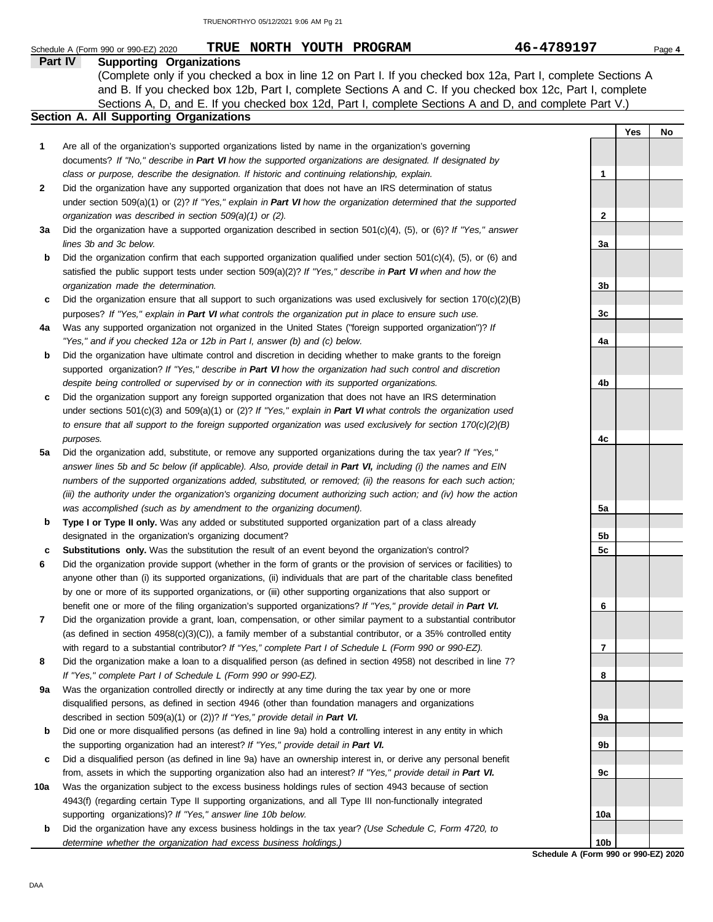|        | TRUE NORTH YOUTH PROGRAM<br>Schedule A (Form 990 or 990-EZ) 2020                                                                                                                                                                                                                                                                                                                                                                                               | 46-4789197             |     | Page 4 |
|--------|----------------------------------------------------------------------------------------------------------------------------------------------------------------------------------------------------------------------------------------------------------------------------------------------------------------------------------------------------------------------------------------------------------------------------------------------------------------|------------------------|-----|--------|
|        | Part IV<br><b>Supporting Organizations</b><br>(Complete only if you checked a box in line 12 on Part I. If you checked box 12a, Part I, complete Sections A<br>and B. If you checked box 12b, Part I, complete Sections A and C. If you checked box 12c, Part I, complete<br>Sections A, D, and E. If you checked box 12d, Part I, complete Sections A and D, and complete Part V.)                                                                            |                        |     |        |
|        | Section A. All Supporting Organizations                                                                                                                                                                                                                                                                                                                                                                                                                        |                        |     |        |
| 1      | Are all of the organization's supported organizations listed by name in the organization's governing<br>documents? If "No," describe in Part VI how the supported organizations are designated. If designated by                                                                                                                                                                                                                                               |                        | Yes | No     |
| 2      | class or purpose, describe the designation. If historic and continuing relationship, explain.<br>Did the organization have any supported organization that does not have an IRS determination of status<br>under section 509(a)(1) or (2)? If "Yes," explain in Part VI how the organization determined that the supported<br>organization was described in section 509(a)(1) or (2).                                                                          | 1<br>$\mathbf{2}$      |     |        |
| За     | Did the organization have a supported organization described in section $501(c)(4)$ , (5), or (6)? If "Yes," answer<br>lines 3b and 3c below.                                                                                                                                                                                                                                                                                                                  | 3a                     |     |        |
| b      | Did the organization confirm that each supported organization qualified under section $501(c)(4)$ , $(5)$ , or $(6)$ and<br>satisfied the public support tests under section 509(a)(2)? If "Yes," describe in Part VI when and how the<br>organization made the determination.                                                                                                                                                                                 | 3b                     |     |        |
| c      | Did the organization ensure that all support to such organizations was used exclusively for section $170(c)(2)(B)$<br>purposes? If "Yes," explain in Part VI what controls the organization put in place to ensure such use.                                                                                                                                                                                                                                   | 3c                     |     |        |
| 4a     | Was any supported organization not organized in the United States ("foreign supported organization")? If<br>"Yes," and if you checked 12a or 12b in Part I, answer (b) and (c) below.                                                                                                                                                                                                                                                                          | 4a                     |     |        |
| b      | Did the organization have ultimate control and discretion in deciding whether to make grants to the foreign<br>supported organization? If "Yes," describe in Part VI how the organization had such control and discretion                                                                                                                                                                                                                                      |                        |     |        |
| c      | despite being controlled or supervised by or in connection with its supported organizations.<br>Did the organization support any foreign supported organization that does not have an IRS determination<br>under sections $501(c)(3)$ and $509(a)(1)$ or (2)? If "Yes," explain in Part VI what controls the organization used<br>to ensure that all support to the foreign supported organization was used exclusively for section $170(c)(2)(B)$             | 4b                     |     |        |
| 5a     | purposes.<br>Did the organization add, substitute, or remove any supported organizations during the tax year? If "Yes,"                                                                                                                                                                                                                                                                                                                                        | 4с                     |     |        |
|        | answer lines 5b and 5c below (if applicable). Also, provide detail in Part VI, including (i) the names and EIN<br>numbers of the supported organizations added, substituted, or removed; (ii) the reasons for each such action;<br>(iii) the authority under the organization's organizing document authorizing such action; and (iv) how the action                                                                                                           |                        |     |        |
| b      | was accomplished (such as by amendment to the organizing document).<br>Type I or Type II only. Was any added or substituted supported organization part of a class already                                                                                                                                                                                                                                                                                     | 5a                     |     |        |
|        | designated in the organization's organizing document?                                                                                                                                                                                                                                                                                                                                                                                                          | 5b                     |     |        |
| c<br>6 | Substitutions only. Was the substitution the result of an event beyond the organization's control?<br>Did the organization provide support (whether in the form of grants or the provision of services or facilities) to<br>anyone other than (i) its supported organizations, (ii) individuals that are part of the charitable class benefited<br>by one or more of its supported organizations, or (iii) other supporting organizations that also support or | 5c                     |     |        |
| 7      | benefit one or more of the filing organization's supported organizations? If "Yes," provide detail in Part VI.<br>Did the organization provide a grant, loan, compensation, or other similar payment to a substantial contributor<br>(as defined in section $4958(c)(3)(C)$ ), a family member of a substantial contributor, or a 35% controlled entity                                                                                                        | 6                      |     |        |
| 8      | with regard to a substantial contributor? If "Yes," complete Part I of Schedule L (Form 990 or 990-EZ).<br>Did the organization make a loan to a disqualified person (as defined in section 4958) not described in line 7?                                                                                                                                                                                                                                     | 7                      |     |        |
| 9а     | If "Yes," complete Part I of Schedule L (Form 990 or 990-EZ).<br>Was the organization controlled directly or indirectly at any time during the tax year by one or more<br>disqualified persons, as defined in section 4946 (other than foundation managers and organizations                                                                                                                                                                                   | 8                      |     |        |
| b      | described in section 509(a)(1) or (2))? If "Yes," provide detail in Part VI.<br>Did one or more disqualified persons (as defined in line 9a) hold a controlling interest in any entity in which                                                                                                                                                                                                                                                                | 9а                     |     |        |
| c      | the supporting organization had an interest? If "Yes," provide detail in Part VI.<br>Did a disqualified person (as defined in line 9a) have an ownership interest in, or derive any personal benefit                                                                                                                                                                                                                                                           | 9b                     |     |        |
| 10a    | from, assets in which the supporting organization also had an interest? If "Yes," provide detail in Part VI.<br>Was the organization subject to the excess business holdings rules of section 4943 because of section<br>4943(f) (regarding certain Type II supporting organizations, and all Type III non-functionally integrated                                                                                                                             | 9c                     |     |        |
| b      | supporting organizations)? If "Yes," answer line 10b below.<br>Did the organization have any excess business holdings in the tax year? (Use Schedule C, Form 4720, to<br>determine whether the organization had excess business holdings.)                                                                                                                                                                                                                     | 10a<br>10 <sub>b</sub> |     |        |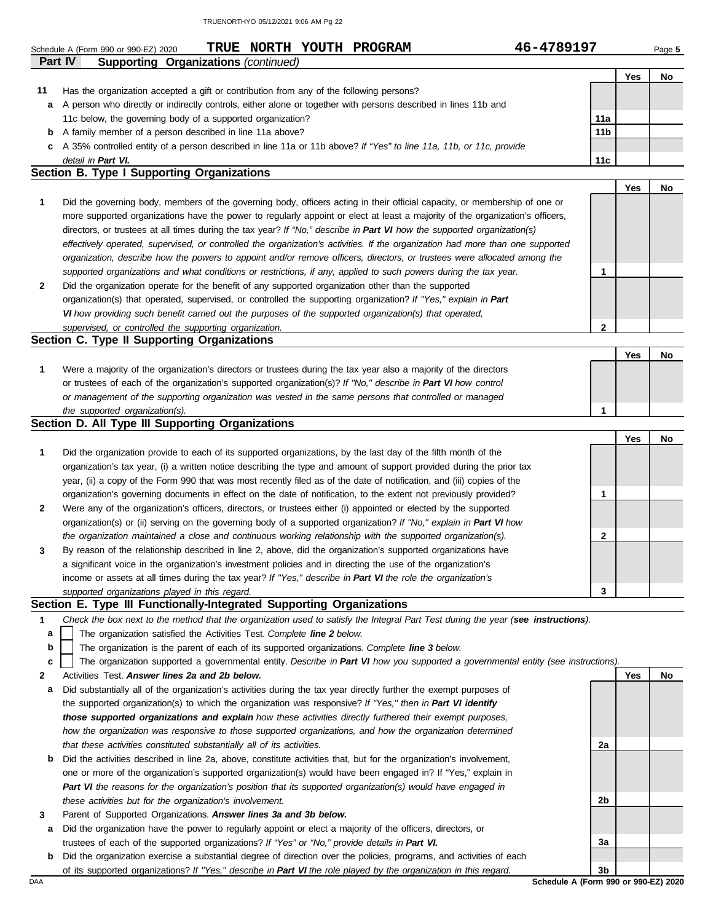|         | TRUENORTHYO 05/12/2021 9:06 AM Pg 22                                                                                              |                 |     |        |
|---------|-----------------------------------------------------------------------------------------------------------------------------------|-----------------|-----|--------|
|         | TRUE NORTH YOUTH PROGRAM<br>Schedule A (Form 990 or 990-EZ) 2020                                                                  | 46-4789197      |     | Page 5 |
| Part IV | <b>Supporting Organizations (continued)</b>                                                                                       |                 |     |        |
|         |                                                                                                                                   |                 | Yes | No     |
| 11      | Has the organization accepted a gift or contribution from any of the following persons?                                           |                 |     |        |
| a       | A person who directly or indirectly controls, either alone or together with persons described in lines 11b and                    |                 |     |        |
|         | 11c below, the governing body of a supported organization?                                                                        | 11a             |     |        |
| b       | A family member of a person described in line 11a above?                                                                          | 11 <sub>b</sub> |     |        |
| c       | A 35% controlled entity of a person described in line 11a or 11b above? If "Yes" to line 11a, 11b, or 11c, provide                |                 |     |        |
|         | detail in Part VI.                                                                                                                | 11c             |     |        |
|         | Section B. Type I Supporting Organizations                                                                                        |                 |     |        |
|         |                                                                                                                                   |                 | Yes | No     |
| 1       | Did the governing body, members of the governing body, officers acting in their official capacity, or membership of one or        |                 |     |        |
|         | more supported organizations have the power to regularly appoint or elect at least a majority of the organization's officers,     |                 |     |        |
|         | directors, or trustees at all times during the tax year? If "No," describe in Part VI how the supported organization(s)           |                 |     |        |
|         | effectively operated, supervised, or controlled the organization's activities. If the organization had more than one supported    |                 |     |        |
|         | organization, describe how the powers to appoint and/or remove officers, directors, or trustees were allocated among the          |                 |     |        |
|         | supported organizations and what conditions or restrictions, if any, applied to such powers during the tax year.                  | 1               |     |        |
| 2       | Did the organization operate for the benefit of any supported organization other than the supported                               |                 |     |        |
|         | organization(s) that operated, supervised, or controlled the supporting organization? If "Yes," explain in Part                   |                 |     |        |
|         | VI how providing such benefit carried out the purposes of the supported organization(s) that operated,                            |                 |     |        |
|         | supervised, or controlled the supporting organization.                                                                            | $\mathbf{2}$    |     |        |
|         | Section C. Type II Supporting Organizations                                                                                       |                 |     |        |
|         |                                                                                                                                   |                 | Yes | No     |
| 1       | Were a majority of the organization's directors or trustees during the tax year also a majority of the directors                  |                 |     |        |
|         | or trustees of each of the organization's supported organization(s)? If "No," describe in Part VI how control                     |                 |     |        |
|         | or management of the supporting organization was vested in the same persons that controlled or managed                            |                 |     |        |
|         | the supported organization(s).                                                                                                    | 1               |     |        |
|         | Section D. All Type III Supporting Organizations                                                                                  |                 |     |        |
|         |                                                                                                                                   |                 | Yes | No     |
| 1       | Did the organization provide to each of its supported organizations, by the last day of the fifth month of the                    |                 |     |        |
|         | organization's tax year, (i) a written notice describing the type and amount of support provided during the prior tax             |                 |     |        |
|         | year, (ii) a copy of the Form 990 that was most recently filed as of the date of notification, and (iii) copies of the            |                 |     |        |
|         | organization's governing documents in effect on the date of notification, to the extent not previously provided?                  | 1               |     |        |
| 2       | Were any of the organization's officers, directors, or trustees either (i) appointed or elected by the supported                  |                 |     |        |
|         | organization(s) or (ii) serving on the governing body of a supported organization? If "No," explain in Part VI how                |                 |     |        |
|         | the organization maintained a close and continuous working relationship with the supported organization(s).                       | 2               |     |        |
| 3       | By reason of the relationship described in line 2, above, did the organization's supported organizations have                     |                 |     |        |
|         | a significant voice in the organization's investment policies and in directing the use of the organization's                      |                 |     |        |
|         | income or assets at all times during the tax year? If "Yes," describe in Part VI the role the organization's                      |                 |     |        |
|         | supported organizations played in this regard.                                                                                    | 3               |     |        |
|         | Section E. Type III Functionally-Integrated Supporting Organizations                                                              |                 |     |        |
| 1       | Check the box next to the method that the organization used to satisfy the Integral Part Test during the year (see instructions). |                 |     |        |
| a       | The organization satisfied the Activities Test. Complete line 2 below.                                                            |                 |     |        |
| b       | The organization is the parent of each of its supported organizations. Complete line 3 below.                                     |                 |     |        |
| c       | The organization supported a governmental entity. Describe in Part VI how you supported a governmental entity (see instructions). |                 |     |        |
| 2       | Activities Test. Answer lines 2a and 2b below.                                                                                    |                 | Yes | No     |
| а       | Did substantially all of the organization's activities during the tax year directly further the exempt purposes of                |                 |     |        |
|         | the supported organization(s) to which the organization was responsive? If "Yes," then in Part VI identify                        |                 |     |        |
|         | those supported organizations and explain how these activities directly furthered their exempt purposes,                          |                 |     |        |
|         | how the organization was responsive to those supported organizations, and how the organization determined                         |                 |     |        |

|  | that these activities constituted substantially all of its activities. |  |                                                                                   |  |
|--|------------------------------------------------------------------------|--|-----------------------------------------------------------------------------------|--|
|  |                                                                        |  | Did the activities described in line 2a, above constitute activities that but for |  |

- **b** Did the activities described in line 2a, above, constitute activities that, but for the organization's involvement, one or more of the organization's supported organization(s) would have been engaged in? If "Yes," explain in *Part VI the reasons for the organization's position that its supported organization(s) would have engaged in these activities but for the organization's involvement.*
- **3** Parent of Supported Organizations. *Answer lines 3a and 3b below.*
- **a** Did the organization have the power to regularly appoint or elect a majority of the officers, directors, or trustees of each of the supported organizations? *If "Yes" or "No," provide details in Part VI.*
- **b** Did the organization exercise a substantial degree of direction over the policies, programs, and activities of each of its supported organizations? *If "Yes," describe in Part VI the role played by the organization in this regard.*

DAA **Schedule A (Form 990 or 990-EZ) 2020 3b**

**2a**

**2b**

**3a**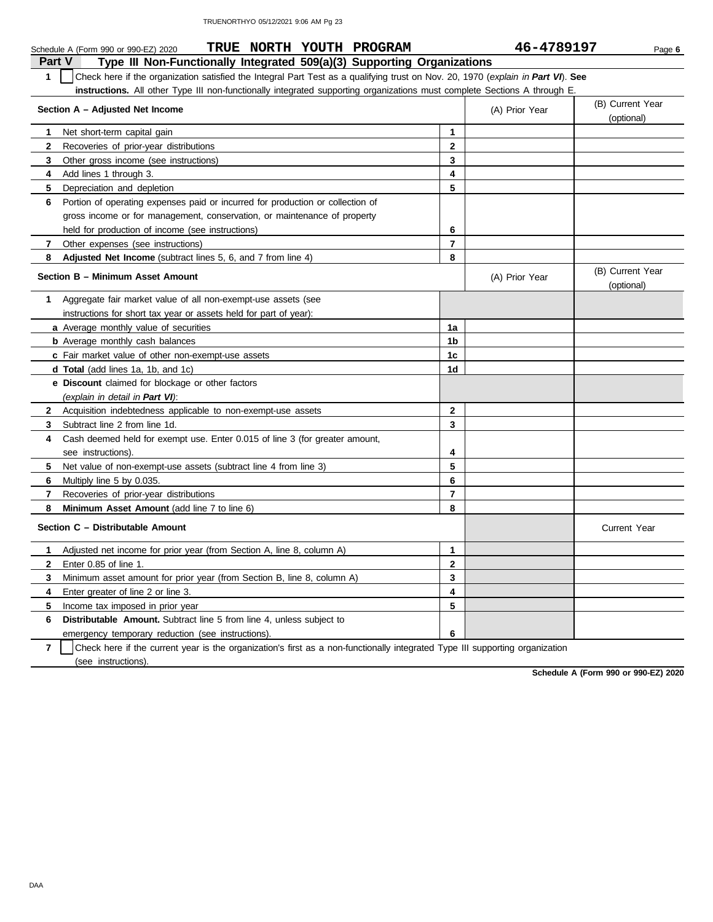|              | TRUE NORTH YOUTH PROGRAM<br>Schedule A (Form 990 or 990-EZ) 2020                                                                 |                | 46-4789197     | Page 6                         |
|--------------|----------------------------------------------------------------------------------------------------------------------------------|----------------|----------------|--------------------------------|
| Part V       | Type III Non-Functionally Integrated 509(a)(3) Supporting Organizations                                                          |                |                |                                |
| $\mathbf{1}$ | Check here if the organization satisfied the Integral Part Test as a qualifying trust on Nov. 20, 1970 (explain in Part VI). See |                |                |                                |
|              | instructions. All other Type III non-functionally integrated supporting organizations must complete Sections A through E.        |                |                |                                |
|              | Section A - Adjusted Net Income                                                                                                  |                | (A) Prior Year | (B) Current Year<br>(optional) |
| 1            | Net short-term capital gain                                                                                                      | $\mathbf{1}$   |                |                                |
| $\mathbf{2}$ | Recoveries of prior-year distributions                                                                                           | $\mathbf{2}$   |                |                                |
| 3            | Other gross income (see instructions)                                                                                            | 3              |                |                                |
| 4            | Add lines 1 through 3.                                                                                                           | 4              |                |                                |
| 5            | Depreciation and depletion                                                                                                       | 5              |                |                                |
| 6            | Portion of operating expenses paid or incurred for production or collection of                                                   |                |                |                                |
|              | gross income or for management, conservation, or maintenance of property                                                         |                |                |                                |
|              | held for production of income (see instructions)                                                                                 | 6              |                |                                |
| 7            | Other expenses (see instructions)                                                                                                | $\overline{7}$ |                |                                |
| 8            | Adjusted Net Income (subtract lines 5, 6, and 7 from line 4)                                                                     | 8              |                |                                |
|              | Section B - Minimum Asset Amount                                                                                                 |                | (A) Prior Year | (B) Current Year<br>(optional) |
| 1            | Aggregate fair market value of all non-exempt-use assets (see                                                                    |                |                |                                |
|              | instructions for short tax year or assets held for part of year):                                                                |                |                |                                |
|              | a Average monthly value of securities                                                                                            | 1a             |                |                                |
|              | <b>b</b> Average monthly cash balances                                                                                           | 1b             |                |                                |
|              | c Fair market value of other non-exempt-use assets                                                                               | 1 <sub>c</sub> |                |                                |
|              | d Total (add lines 1a, 1b, and 1c)                                                                                               | 1d             |                |                                |
|              | <b>e</b> Discount claimed for blockage or other factors                                                                          |                |                |                                |
|              | (explain in detail in Part VI):                                                                                                  |                |                |                                |
| $\mathbf{2}$ | Acquisition indebtedness applicable to non-exempt-use assets                                                                     | $\mathbf{2}$   |                |                                |
| 3            | Subtract line 2 from line 1d.                                                                                                    | 3              |                |                                |
| 4            | Cash deemed held for exempt use. Enter 0.015 of line 3 (for greater amount,                                                      |                |                |                                |
|              | see instructions)                                                                                                                | 4              |                |                                |
| 5            | Net value of non-exempt-use assets (subtract line 4 from line 3)                                                                 | 5              |                |                                |
| 6            | Multiply line 5 by 0.035.                                                                                                        | 6              |                |                                |
| 7            | Recoveries of prior-year distributions                                                                                           | $\overline{7}$ |                |                                |
| 8            | Minimum Asset Amount (add line 7 to line 6)                                                                                      | 8              |                |                                |
|              | Section C - Distributable Amount                                                                                                 |                |                | <b>Current Year</b>            |
| 1            | Adjusted net income for prior year (from Section A, line 8, column A)                                                            | $\mathbf{1}$   |                |                                |
| $\mathbf{2}$ | Enter 0.85 of line 1.                                                                                                            | $\mathbf{2}$   |                |                                |
| 3            | Minimum asset amount for prior year (from Section B, line 8, column A)                                                           | 3              |                |                                |
| 4            | Enter greater of line 2 or line 3.                                                                                               | 4              |                |                                |
| 5            | Income tax imposed in prior year                                                                                                 | 5              |                |                                |
| 6            | <b>Distributable Amount.</b> Subtract line 5 from line 4, unless subject to                                                      |                |                |                                |
|              | emergency temporary reduction (see instructions).                                                                                | 6              |                |                                |

**7** (see instructions). Check here if the current year is the organization's first as a non-functionally integrated Type III supporting organization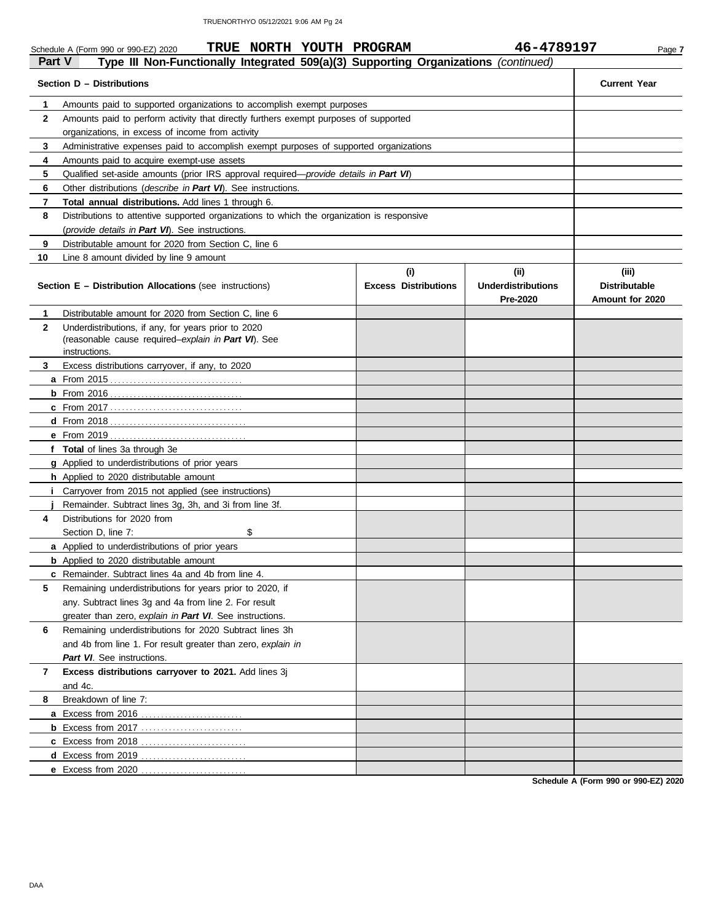|               | TRUE NORTH YOUTH PROGRAM<br>Schedule A (Form 990 or 990-EZ) 2020                              |                                    | 46-4789197                                   | Page 7                                           |
|---------------|-----------------------------------------------------------------------------------------------|------------------------------------|----------------------------------------------|--------------------------------------------------|
| <b>Part V</b> | Type III Non-Functionally Integrated 509(a)(3) Supporting Organizations (continued)           |                                    |                                              |                                                  |
|               | Section D - Distributions                                                                     |                                    |                                              | <b>Current Year</b>                              |
| 1             | Amounts paid to supported organizations to accomplish exempt purposes                         |                                    |                                              |                                                  |
| 2             | Amounts paid to perform activity that directly furthers exempt purposes of supported          |                                    |                                              |                                                  |
|               | organizations, in excess of income from activity                                              |                                    |                                              |                                                  |
| 3             | Administrative expenses paid to accomplish exempt purposes of supported organizations         |                                    |                                              |                                                  |
| 4             | Amounts paid to acquire exempt-use assets                                                     |                                    |                                              |                                                  |
| 5             | Qualified set-aside amounts (prior IRS approval required— <i>provide details in Part VI</i> ) |                                    |                                              |                                                  |
| 6             | Other distributions ( <i>describe in Part VI</i> ). See instructions.                         |                                    |                                              |                                                  |
| 7             | <b>Total annual distributions.</b> Add lines 1 through 6.                                     |                                    |                                              |                                                  |
| 8             | Distributions to attentive supported organizations to which the organization is responsive    |                                    |                                              |                                                  |
|               | (provide details in Part VI). See instructions.                                               |                                    |                                              |                                                  |
| 9             | Distributable amount for 2020 from Section C, line 6                                          |                                    |                                              |                                                  |
| 10            | Line 8 amount divided by line 9 amount                                                        |                                    |                                              |                                                  |
|               | <b>Section E - Distribution Allocations (see instructions)</b>                                | (i)<br><b>Excess Distributions</b> | (i)<br><b>Underdistributions</b><br>Pre-2020 | (iii)<br><b>Distributable</b><br>Amount for 2020 |
| 1             | Distributable amount for 2020 from Section C, line 6                                          |                                    |                                              |                                                  |
| $\mathbf{2}$  | Underdistributions, if any, for years prior to 2020                                           |                                    |                                              |                                                  |
|               | (reasonable cause required-explain in Part VI). See                                           |                                    |                                              |                                                  |
|               | instructions.<br>Excess distributions carryover, if any, to 2020                              |                                    |                                              |                                                  |
| 3             |                                                                                               |                                    |                                              |                                                  |
|               |                                                                                               |                                    |                                              |                                                  |
|               |                                                                                               |                                    |                                              |                                                  |
|               |                                                                                               |                                    |                                              |                                                  |
|               |                                                                                               |                                    |                                              |                                                  |
|               | f Total of lines 3a through 3e                                                                |                                    |                                              |                                                  |
|               | g Applied to underdistributions of prior years                                                |                                    |                                              |                                                  |
|               | h Applied to 2020 distributable amount                                                        |                                    |                                              |                                                  |
|               | <i>i</i> Carryover from 2015 not applied (see instructions)                                   |                                    |                                              |                                                  |
|               | Remainder. Subtract lines 3g, 3h, and 3i from line 3f.                                        |                                    |                                              |                                                  |
| 4             | Distributions for 2020 from                                                                   |                                    |                                              |                                                  |
|               | Section D, line 7:<br>\$                                                                      |                                    |                                              |                                                  |
|               | a Applied to underdistributions of prior years                                                |                                    |                                              |                                                  |
|               | <b>b</b> Applied to 2020 distributable amount                                                 |                                    |                                              |                                                  |
|               | c Remainder. Subtract lines 4a and 4b from line 4.                                            |                                    |                                              |                                                  |
| 5             | Remaining underdistributions for years prior to 2020, if                                      |                                    |                                              |                                                  |
|               | any. Subtract lines 3g and 4a from line 2. For result                                         |                                    |                                              |                                                  |
|               | greater than zero, explain in Part VI. See instructions.                                      |                                    |                                              |                                                  |
| 6             | Remaining underdistributions for 2020 Subtract lines 3h                                       |                                    |                                              |                                                  |
|               | and 4b from line 1. For result greater than zero, explain in                                  |                                    |                                              |                                                  |
|               | Part VI. See instructions.                                                                    |                                    |                                              |                                                  |
| 7             | Excess distributions carryover to 2021. Add lines 3j<br>and 4c.                               |                                    |                                              |                                                  |
| 8             | Breakdown of line 7:                                                                          |                                    |                                              |                                                  |
|               |                                                                                               |                                    |                                              |                                                  |
|               | <b>b</b> Excess from 2017                                                                     |                                    |                                              |                                                  |
|               |                                                                                               |                                    |                                              |                                                  |
|               |                                                                                               |                                    |                                              |                                                  |
|               | e Excess from 2020                                                                            |                                    |                                              |                                                  |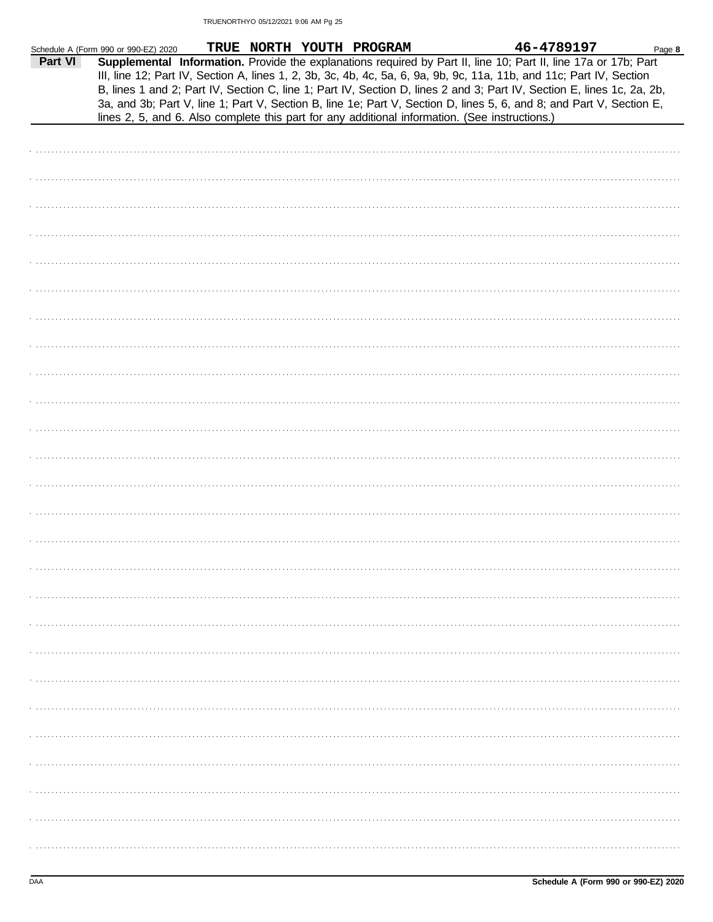|         | Schedule A (Form 990 or 990-EZ) 2020 |  | TRUE NORTH YOUTH PROGRAM |                                                                                                | 46-4789197                                                                                                                                                                                                                                                                                                                                                                                                                                                                                | Page 8 |
|---------|--------------------------------------|--|--------------------------|------------------------------------------------------------------------------------------------|-------------------------------------------------------------------------------------------------------------------------------------------------------------------------------------------------------------------------------------------------------------------------------------------------------------------------------------------------------------------------------------------------------------------------------------------------------------------------------------------|--------|
| Part VI |                                      |  |                          | lines 2, 5, and 6. Also complete this part for any additional information. (See instructions.) | Supplemental Information. Provide the explanations required by Part II, line 10; Part II, line 17a or 17b; Part<br>III, line 12; Part IV, Section A, lines 1, 2, 3b, 3c, 4b, 4c, 5a, 6, 9a, 9b, 9c, 11a, 11b, and 11c; Part IV, Section<br>B, lines 1 and 2; Part IV, Section C, line 1; Part IV, Section D, lines 2 and 3; Part IV, Section E, lines 1c, 2a, 2b,<br>3a, and 3b; Part V, line 1; Part V, Section B, line 1e; Part V, Section D, lines 5, 6, and 8; and Part V, Section E, |        |
|         |                                      |  |                          |                                                                                                |                                                                                                                                                                                                                                                                                                                                                                                                                                                                                           |        |
|         |                                      |  |                          |                                                                                                |                                                                                                                                                                                                                                                                                                                                                                                                                                                                                           |        |
|         |                                      |  |                          |                                                                                                |                                                                                                                                                                                                                                                                                                                                                                                                                                                                                           |        |
|         |                                      |  |                          |                                                                                                |                                                                                                                                                                                                                                                                                                                                                                                                                                                                                           |        |
|         |                                      |  |                          |                                                                                                |                                                                                                                                                                                                                                                                                                                                                                                                                                                                                           |        |
|         |                                      |  |                          |                                                                                                |                                                                                                                                                                                                                                                                                                                                                                                                                                                                                           |        |
|         |                                      |  |                          |                                                                                                |                                                                                                                                                                                                                                                                                                                                                                                                                                                                                           |        |
|         |                                      |  |                          |                                                                                                |                                                                                                                                                                                                                                                                                                                                                                                                                                                                                           |        |
|         |                                      |  |                          |                                                                                                |                                                                                                                                                                                                                                                                                                                                                                                                                                                                                           |        |
|         |                                      |  |                          |                                                                                                |                                                                                                                                                                                                                                                                                                                                                                                                                                                                                           |        |
|         |                                      |  |                          |                                                                                                |                                                                                                                                                                                                                                                                                                                                                                                                                                                                                           |        |
|         |                                      |  |                          |                                                                                                |                                                                                                                                                                                                                                                                                                                                                                                                                                                                                           |        |
|         |                                      |  |                          |                                                                                                |                                                                                                                                                                                                                                                                                                                                                                                                                                                                                           |        |
|         |                                      |  |                          |                                                                                                |                                                                                                                                                                                                                                                                                                                                                                                                                                                                                           |        |
|         |                                      |  |                          |                                                                                                |                                                                                                                                                                                                                                                                                                                                                                                                                                                                                           |        |
|         |                                      |  |                          |                                                                                                |                                                                                                                                                                                                                                                                                                                                                                                                                                                                                           |        |
|         |                                      |  |                          |                                                                                                |                                                                                                                                                                                                                                                                                                                                                                                                                                                                                           |        |
|         |                                      |  |                          |                                                                                                |                                                                                                                                                                                                                                                                                                                                                                                                                                                                                           |        |
|         |                                      |  |                          |                                                                                                |                                                                                                                                                                                                                                                                                                                                                                                                                                                                                           |        |
|         |                                      |  |                          |                                                                                                |                                                                                                                                                                                                                                                                                                                                                                                                                                                                                           |        |
|         |                                      |  |                          |                                                                                                |                                                                                                                                                                                                                                                                                                                                                                                                                                                                                           |        |
|         |                                      |  |                          |                                                                                                |                                                                                                                                                                                                                                                                                                                                                                                                                                                                                           |        |
|         |                                      |  |                          |                                                                                                |                                                                                                                                                                                                                                                                                                                                                                                                                                                                                           |        |
|         |                                      |  |                          |                                                                                                |                                                                                                                                                                                                                                                                                                                                                                                                                                                                                           |        |
|         |                                      |  |                          |                                                                                                |                                                                                                                                                                                                                                                                                                                                                                                                                                                                                           |        |
|         |                                      |  |                          |                                                                                                |                                                                                                                                                                                                                                                                                                                                                                                                                                                                                           |        |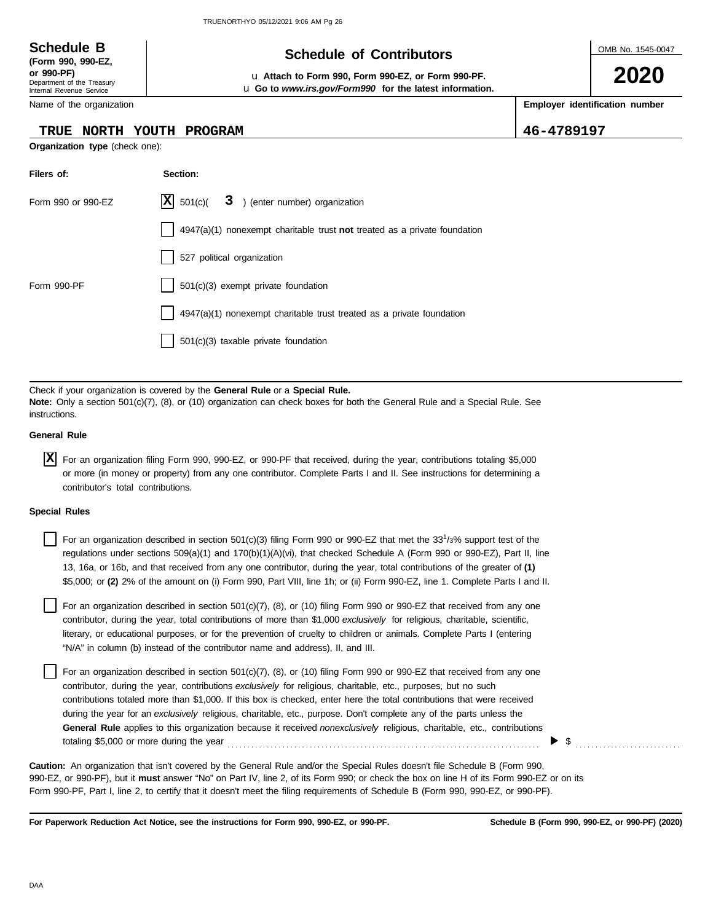Department of the Treasury **(Form 990, 990-EZ,**

Internal Revenue Service

# **Schedule of Contributors Schedule B**

**or 990-PF)** u **Attach to Form 990, Form 990-EZ, or Form 990-PF.** u **Go to** *www.irs.gov/Form990* **for the latest information.** OMB No. 1545-0047

**2020**

**Employer identification number**

Name of the organization

### **TRUE NORTH YOUTH PROGRAM 46-4789197**

**Organization type** (check one):

| Filers of:         | Section:                                                                           |
|--------------------|------------------------------------------------------------------------------------|
| Form 990 or 990-EZ | $ \mathbf{X} $ 501(c)( $3$ ) (enter number) organization                           |
|                    | $4947(a)(1)$ nonexempt charitable trust <b>not</b> treated as a private foundation |
|                    | 527 political organization                                                         |
| Form 990-PF        | 501(c)(3) exempt private foundation                                                |
|                    | 4947(a)(1) nonexempt charitable trust treated as a private foundation              |
|                    | $501(c)(3)$ taxable private foundation                                             |

Check if your organization is covered by the **General Rule** or a **Special Rule. Note:** Only a section 501(c)(7), (8), or (10) organization can check boxes for both the General Rule and a Special Rule. See instructions.

### **General Rule**

For an organization filing Form 990, 990-EZ, or 990-PF that received, during the year, contributions totaling \$5,000 **X** or more (in money or property) from any one contributor. Complete Parts I and II. See instructions for determining a contributor's total contributions.

### **Special Rules**

For an organization described in section 501(c)(3) filing Form 990 or 990-EZ that met the 33<sup>1</sup>/3% support test of the regulations under sections 509(a)(1) and 170(b)(1)(A)(vi), that checked Schedule A (Form 990 or 990-EZ), Part II, line 13, 16a, or 16b, and that received from any one contributor, during the year, total contributions of the greater of **(1)** \$5,000; or **(2)** 2% of the amount on (i) Form 990, Part VIII, line 1h; or (ii) Form 990-EZ, line 1. Complete Parts I and II.

literary, or educational purposes, or for the prevention of cruelty to children or animals. Complete Parts I (entering For an organization described in section 501(c)(7), (8), or (10) filing Form 990 or 990-EZ that received from any one contributor, during the year, total contributions of more than \$1,000 *exclusively* for religious, charitable, scientific, "N/A" in column (b) instead of the contributor name and address), II, and III.

For an organization described in section 501(c)(7), (8), or (10) filing Form 990 or 990-EZ that received from any one contributor, during the year, contributions *exclusively* for religious, charitable, etc., purposes, but no such contributions totaled more than \$1,000. If this box is checked, enter here the total contributions that were received during the year for an *exclusively* religious, charitable, etc., purpose. Don't complete any of the parts unless the **General Rule** applies to this organization because it received *nonexclusively* religious, charitable, etc., contributions totaling \$5,000 or more during the year . . . . . . . . . . . . . . . . . . . . . . . . . . . . . . . . . . . . . . . . . . . . . . . . . . . . . . . . . . . . . . . . . . . . . . . . . . . . . . . .

990-EZ, or 990-PF), but it **must** answer "No" on Part IV, line 2, of its Form 990; or check the box on line H of its Form 990-EZ or on its Form 990-PF, Part I, line 2, to certify that it doesn't meet the filing requirements of Schedule B (Form 990, 990-EZ, or 990-PF). **Caution:** An organization that isn't covered by the General Rule and/or the Special Rules doesn't file Schedule B (Form 990,

**For Paperwork Reduction Act Notice, see the instructions for Form 990, 990-EZ, or 990-PF.**

\$ . . . . . . . . . . . . . . . . . . . . . . . . . . .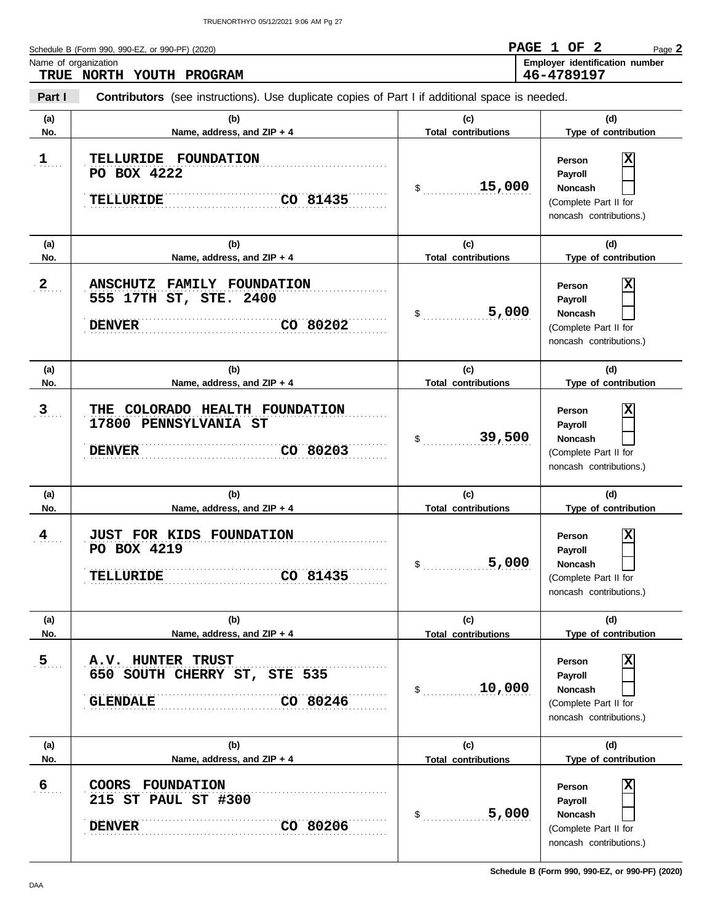|                      | Schedule B (Form 990, 990-EZ, or 990-PF) (2020)                                                          |                                           | PAGE 1 OF 2<br>Page 2                                                                                                 |
|----------------------|----------------------------------------------------------------------------------------------------------|-------------------------------------------|-----------------------------------------------------------------------------------------------------------------------|
| Name of organization | TRUE NORTH YOUTH PROGRAM                                                                                 |                                           | Employer identification number<br>46-4789197                                                                          |
| Part I               | Contributors (see instructions). Use duplicate copies of Part I if additional space is needed.           |                                           |                                                                                                                       |
| (a)<br>No.           | (b)<br>Name, address, and ZIP + 4                                                                        | (c)<br><b>Total contributions</b>         | (d)<br>Type of contribution                                                                                           |
| $\frac{1}{n}$        | TELLURIDE FOUNDATION<br>PO BOX 4222<br>TELLURIDE<br>CO 81435                                             | 15,000<br>\$                              | $\overline{\mathbf{x}}$<br>Person<br>Payroll<br>Noncash<br>(Complete Part II for<br>noncash contributions.)           |
| (a)<br>No.           | (b)<br>Name, address, and ZIP + 4                                                                        | (c)<br><b>Total contributions</b>         | (d)<br>Type of contribution                                                                                           |
| $\boldsymbol{2}$     | <b>ANSCHUTZ</b><br><b>FAMILY FOUNDATION</b><br>555 17TH ST, STE. 2400<br>CO 80202<br><b>DENVER</b>       | 5,000<br>$\mathsf{\$}$                    | $\overline{\mathbf{x}}$<br>Person<br>Payroll<br>Noncash<br>(Complete Part II for<br>noncash contributions.)           |
| (a)<br>No.           | (b)<br>Name, address, and ZIP + 4                                                                        | (c)<br><b>Total contributions</b>         | (d)<br>Type of contribution                                                                                           |
| $\overline{3}$       | COLORADO HEALTH FOUNDATION<br>THE<br>17800 PENNSYLVANIA ST<br>CO 80203<br><b>DENVER</b>                  | 39,500<br>$\mathsf{\$}$                   | $\overline{\mathbf{x}}$<br>Person<br>Payroll<br>Noncash<br>(Complete Part II for<br>noncash contributions.)           |
| (a)<br>No.           | (b)                                                                                                      | (c)                                       | (d)<br>Type of contribution                                                                                           |
| 4                    | Name, address, and ZIP + 4<br>FOR KIDS FOUNDATION<br>JUST<br>PO BOX 4219<br>CO 81435<br><b>TELLURIDE</b> | <b>Total contributions</b><br>5,000<br>\$ | $\overline{\mathbf{x}}$<br>Person<br>Payroll<br>Noncash<br>$\Box$<br>(Complete Part II for<br>noncash contributions.) |
| (a)<br>No.           | (b)<br>Name, address, and ZIP + 4                                                                        | (c)<br><b>Total contributions</b>         | (d)<br>Type of contribution                                                                                           |
| 5                    | A.V. HUNTER TRUST<br>650 SOUTH CHERRY ST, STE 535<br><b>GLENDALE</b><br>CO 80246                         | 10,000<br>\$                              | X<br>Person<br>Payroll<br>Noncash<br>(Complete Part II for<br>noncash contributions.)                                 |
| (a)<br>No.           | (b)<br>Name, address, and ZIP + 4                                                                        | (c)<br><b>Total contributions</b>         | (d)<br>Type of contribution                                                                                           |
| 6                    | <b>FOUNDATION</b><br><b>COORS</b><br>215 ST PAUL ST #300<br>CO 80206<br><b>DENVER</b>                    | 5,000<br>\$                               | X<br>Person<br>Payroll<br>Noncash<br>(Complete Part II for                                                            |

**Schedule B (Form 990, 990-EZ, or 990-PF) (2020)**

noncash contributions.)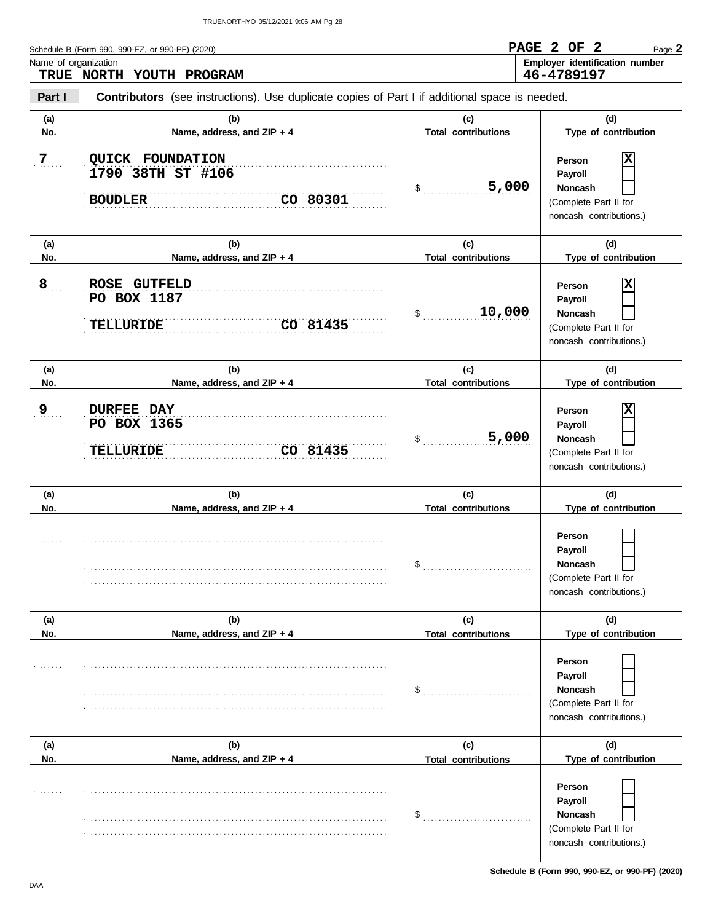|                      | Schedule B (Form 990, 990-EZ, or 990-PF) (2020)                                                |                                   | PAGE 2 OF 2<br>Page 2                                                                   |
|----------------------|------------------------------------------------------------------------------------------------|-----------------------------------|-----------------------------------------------------------------------------------------|
| Name of organization | TRUE NORTH YOUTH PROGRAM                                                                       |                                   | Employer identification number<br>46-4789197                                            |
| Part I               | Contributors (see instructions). Use duplicate copies of Part I if additional space is needed. |                                   |                                                                                         |
| (a)<br>No.           | (b)<br>Name, address, and ZIP + 4                                                              | (c)<br><b>Total contributions</b> | (d)<br>Type of contribution                                                             |
| 7                    | <b>QUICK FOUNDATION</b><br>1790 38TH ST #106<br><b>BOUDLER</b><br>CO 80301                     | 5,000<br>$\frac{1}{2}$            | X<br>Person<br>Payroll<br>Noncash<br>(Complete Part II for<br>noncash contributions.)   |
| (a)<br>No.           | (b)<br>Name, address, and ZIP + 4                                                              | (c)<br><b>Total contributions</b> | (d)<br>Type of contribution                                                             |
| 8                    | <b>ROSE GUTFELD</b><br>PO BOX 1187<br>TELLURIDE<br>CO 81435                                    | 10,000<br>$\frac{1}{2}$           | х<br>Person<br>Payroll<br>Noncash<br>(Complete Part II for<br>noncash contributions.)   |
| (a)<br>No.           | (b)<br>Name, address, and ZIP + 4                                                              | (c)<br><b>Total contributions</b> | (d)<br>Type of contribution                                                             |
| 9                    | <b>DURFEE DAY</b><br>PO BOX 1365<br>CO 81435<br>TELLURIDE                                      | 5,000<br>\$                       | Χ<br>Person<br>Payroll<br>Noncash<br>(Complete Part II for<br>noncash contributions.)   |
| (a)<br>No.           | (b)<br>Name, address, and ZIP + 4                                                              | (c)<br><b>Total contributions</b> | (d)<br>Type of contribution                                                             |
|                      |                                                                                                | \$.                               | Person<br>Payroll<br>Noncash<br>ட<br>(Complete Part II for<br>noncash contributions.)   |
| (a)<br>No.           | (b)<br>Name, address, and ZIP + 4                                                              | (c)<br><b>Total contributions</b> | (d)<br>Type of contribution                                                             |
|                      |                                                                                                | \$                                | Person<br>Payroll<br><b>Noncash</b><br>(Complete Part II for<br>noncash contributions.) |
| (a)<br>No.           | (b)<br>Name, address, and ZIP + 4                                                              | (c)<br><b>Total contributions</b> | (d)<br>Type of contribution                                                             |
|                      |                                                                                                | \$                                | Person<br>Payroll<br><b>Noncash</b><br>(Complete Part II for                            |

**Schedule B (Form 990, 990-EZ, or 990-PF) (2020)**

noncash contributions.)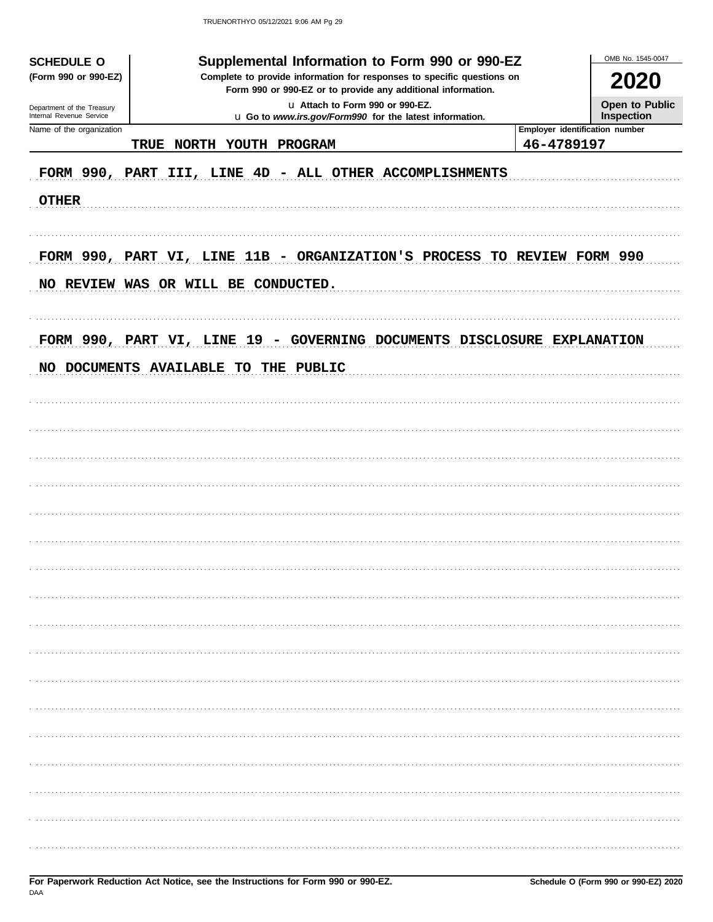| <b>SCHEDULE O</b>                                    | Supplemental Information to Form 990 or 990-EZ<br>Complete to provide information for responses to specific questions on |            | OMB No. 1545-0047                            |  |  |
|------------------------------------------------------|--------------------------------------------------------------------------------------------------------------------------|------------|----------------------------------------------|--|--|
| (Form 990 or 990-EZ)                                 | 2020                                                                                                                     |            |                                              |  |  |
| Department of the Treasury                           | La Attach to Form 990 or 990-EZ.                                                                                         |            |                                              |  |  |
| Internal Revenue Service<br>Name of the organization | u Go to www.irs.gov/Form990 for the latest information.                                                                  |            | Inspection<br>Employer identification number |  |  |
|                                                      | TRUE NORTH YOUTH PROGRAM                                                                                                 | 46-4789197 |                                              |  |  |
|                                                      | FORM 990, PART III, LINE 4D - ALL OTHER ACCOMPLISHMENTS                                                                  |            |                                              |  |  |
|                                                      |                                                                                                                          |            |                                              |  |  |
| <b>OTHER</b>                                         |                                                                                                                          |            |                                              |  |  |
|                                                      | FORM 990, PART VI, LINE 11B - ORGANIZATION'S PROCESS TO REVIEW FORM 990<br>NO REVIEW WAS OR WILL BE CONDUCTED.           |            |                                              |  |  |
|                                                      | FORM 990, PART VI, LINE 19 - GOVERNING DOCUMENTS DISCLOSURE EXPLANATION<br>NO DOCUMENTS AVAILABLE TO THE PUBLIC          |            |                                              |  |  |
|                                                      |                                                                                                                          |            |                                              |  |  |
|                                                      |                                                                                                                          |            |                                              |  |  |
|                                                      |                                                                                                                          |            |                                              |  |  |
|                                                      |                                                                                                                          |            |                                              |  |  |
|                                                      |                                                                                                                          |            |                                              |  |  |
|                                                      |                                                                                                                          |            |                                              |  |  |
|                                                      |                                                                                                                          |            |                                              |  |  |
|                                                      |                                                                                                                          |            |                                              |  |  |
| .                                                    |                                                                                                                          |            |                                              |  |  |
|                                                      |                                                                                                                          |            |                                              |  |  |
|                                                      |                                                                                                                          |            |                                              |  |  |
|                                                      |                                                                                                                          |            |                                              |  |  |
|                                                      |                                                                                                                          |            |                                              |  |  |
|                                                      |                                                                                                                          |            |                                              |  |  |
|                                                      |                                                                                                                          |            |                                              |  |  |
|                                                      |                                                                                                                          |            |                                              |  |  |
|                                                      |                                                                                                                          |            |                                              |  |  |
|                                                      |                                                                                                                          |            |                                              |  |  |
|                                                      |                                                                                                                          |            |                                              |  |  |
|                                                      |                                                                                                                          |            |                                              |  |  |
|                                                      |                                                                                                                          |            |                                              |  |  |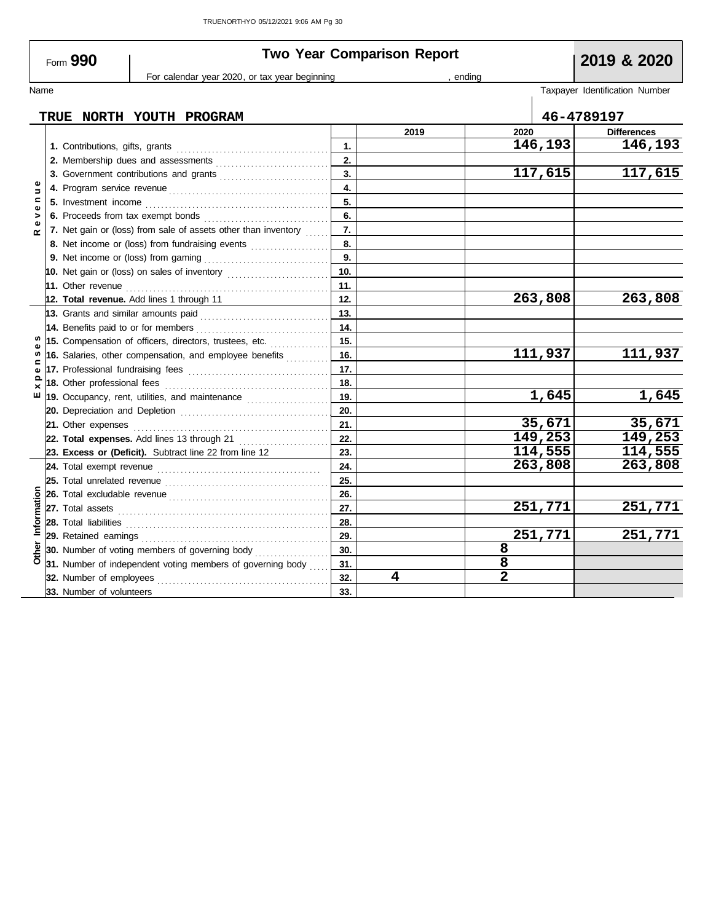|                                | Form 990                                                                                                                                                                                                                                                                            |     | <b>Two Year Comparison Report</b> |                | 2019 & 2020                    |
|--------------------------------|-------------------------------------------------------------------------------------------------------------------------------------------------------------------------------------------------------------------------------------------------------------------------------------|-----|-----------------------------------|----------------|--------------------------------|
|                                | For calendar year 2020, or tax year beginning<br>Name                                                                                                                                                                                                                               |     |                                   | endina         | Taxpayer Identification Number |
|                                |                                                                                                                                                                                                                                                                                     |     |                                   |                |                                |
|                                | TRUE NORTH YOUTH PROGRAM                                                                                                                                                                                                                                                            |     |                                   |                | 46-4789197                     |
|                                |                                                                                                                                                                                                                                                                                     |     | 2019                              | 2020           | <b>Differences</b>             |
|                                |                                                                                                                                                                                                                                                                                     | 1.  |                                   | 146,193        | 146,193                        |
|                                |                                                                                                                                                                                                                                                                                     | 2.  |                                   |                |                                |
|                                | 3. Government contributions and grants                                                                                                                                                                                                                                              | 3.  |                                   | 117,615        | 117,615                        |
| Φ<br>$\Rightarrow$             |                                                                                                                                                                                                                                                                                     | 4.  |                                   |                |                                |
| $\mathbf{C}$<br>$\pmb{\omega}$ |                                                                                                                                                                                                                                                                                     | 5.  |                                   |                |                                |
| >                              |                                                                                                                                                                                                                                                                                     | 6.  |                                   |                |                                |
| Φ<br>$\alpha$                  | 7. Net gain or (loss) from sale of assets other than inventory                                                                                                                                                                                                                      | 7.  |                                   |                |                                |
|                                | 8. Net income or (loss) from fundraising events                                                                                                                                                                                                                                     | 8.  |                                   |                |                                |
|                                |                                                                                                                                                                                                                                                                                     | 9.  |                                   |                |                                |
|                                | 10. Net gain or (loss) on sales of inventory                                                                                                                                                                                                                                        | 10. |                                   |                |                                |
|                                |                                                                                                                                                                                                                                                                                     | 11. |                                   |                |                                |
|                                | 12. Total revenue. Add lines 1 through 11                                                                                                                                                                                                                                           | 12. |                                   | 263,808        | 263,808                        |
|                                |                                                                                                                                                                                                                                                                                     | 13. |                                   |                |                                |
|                                |                                                                                                                                                                                                                                                                                     | 14. |                                   |                |                                |
|                                | 15. Compensation of officers, directors, trustees, etc.                                                                                                                                                                                                                             | 15. |                                   |                |                                |
| ⊆                              | 16. Salaries, other compensation, and employee benefits                                                                                                                                                                                                                             | 16. |                                   | 111,937        | 111,937                        |
| Φ                              |                                                                                                                                                                                                                                                                                     | 17. |                                   |                |                                |
| ௨                              |                                                                                                                                                                                                                                                                                     | 18. |                                   |                |                                |
| ш                              |                                                                                                                                                                                                                                                                                     | 19. |                                   | 1,645          | 1,645                          |
|                                |                                                                                                                                                                                                                                                                                     | 20. |                                   |                |                                |
|                                | 21. Other expenses                                                                                                                                                                                                                                                                  | 21. |                                   | 35,671         | 35,671                         |
|                                | 22. Total expenses. Add lines 13 through 21                                                                                                                                                                                                                                         | 22. |                                   | 149,253        | 149,253                        |
|                                | 23. Excess or (Deficit). Subtract line 22 from line 12                                                                                                                                                                                                                              | 23. |                                   | 114,555        | 114,555                        |
| Information                    | 24. Total exempt revenue <i>[1] [1]</i> [1] [1] [1] [1] [1] [1] $\frac{1}{2}$ [1] $\frac{1}{2}$ [1] $\frac{1}{2}$ [1] $\frac{1}{2}$ [1] $\frac{1}{2}$ [1] $\frac{1}{2}$ [1] $\frac{1}{2}$ [1] $\frac{1}{2}$ [1] $\frac{1}{2}$ [1] $\frac{1}{2}$ [1] $\frac{1}{2}$ [1] $\frac{1}{2}$ | 24. |                                   | 263,808        | 263,808                        |
|                                |                                                                                                                                                                                                                                                                                     | 25. |                                   |                |                                |
|                                |                                                                                                                                                                                                                                                                                     | 26. |                                   |                |                                |
|                                |                                                                                                                                                                                                                                                                                     | 27. |                                   | 251,771        | 251,771                        |
|                                | 28. Total liabilities <b>constant in the constant of the constant in the constant in the constant in the constant in the constant in the constant in the constant in the constant in the constant in the constant in the constan</b>                                                | 28. |                                   |                |                                |
|                                |                                                                                                                                                                                                                                                                                     | 29. |                                   | 251,771        | 251,771                        |
| Other                          | <b>30.</b> Number of voting members of governing body <i>minimizing</i>                                                                                                                                                                                                             | 30. |                                   | 8              |                                |
|                                | 31. Number of independent voting members of governing body                                                                                                                                                                                                                          | 31. |                                   | 8              |                                |
|                                |                                                                                                                                                                                                                                                                                     | 32. | 4                                 | $\overline{2}$ |                                |
|                                | 33. Number of volunteers                                                                                                                                                                                                                                                            | 33. |                                   |                |                                |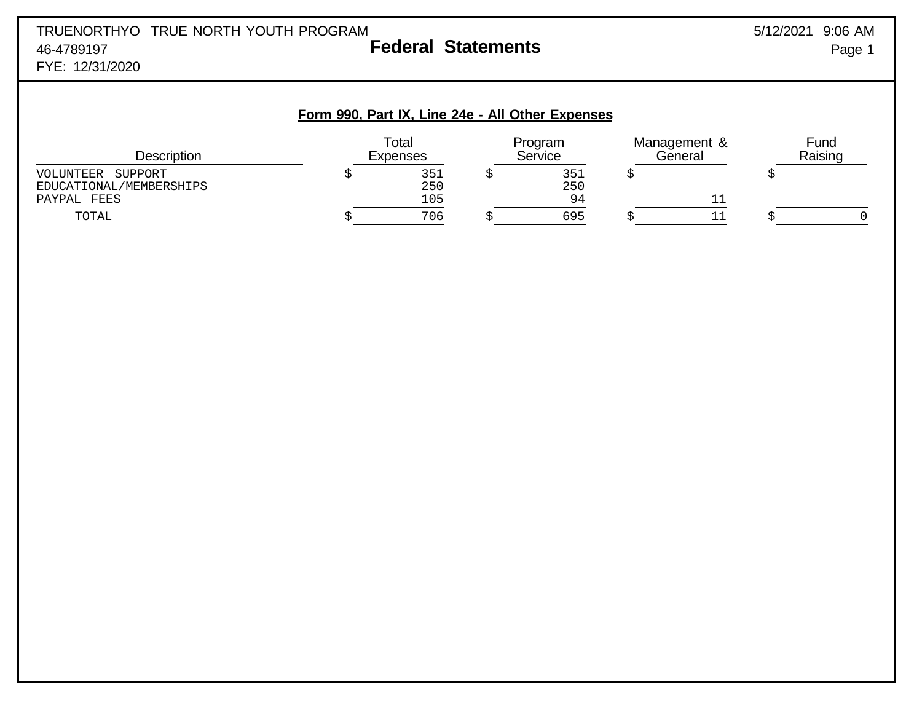|                 | TRUENORTHYO TRUE NORTH YOUTH PROGRAM | 5/12/2021 9:06 AM |        |
|-----------------|--------------------------------------|-------------------|--------|
| 46-4789197      | <b>Federal Statements</b>            |                   | Page 1 |
| FYE: 12/31/2020 |                                      |                   |        |

| /12/2021 9:06 AM |
|------------------|
| Page 1           |

| Form 990, Part IX, Line 24e - All Other Expenses               |  |                          |  |                    |  |                         |                 |
|----------------------------------------------------------------|--|--------------------------|--|--------------------|--|-------------------------|-----------------|
| <b>Description</b>                                             |  | Total<br><b>Expenses</b> |  | Program<br>Service |  | Management &<br>General | Fund<br>Raising |
| VOLUNTEER<br>SUPPORT<br>EDUCATIONAL/MEMBERSHIPS<br>PAYPAL FEES |  | 351<br>250<br>105        |  | 351<br>250<br>94   |  |                         |                 |
| TOTAL                                                          |  | 706                      |  | 695                |  |                         |                 |